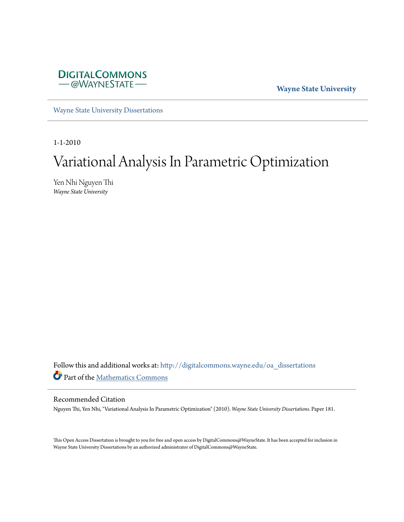

**Wayne State University**

[Wayne State University Dissertations](http://digitalcommons.wayne.edu/oa_dissertations?utm_source=digitalcommons.wayne.edu%2Foa_dissertations%2F181&utm_medium=PDF&utm_campaign=PDFCoverPages)

1-1-2010

# Variational Analysis In Parametric Optimization

Yen Nhi Nguyen Thi *Wayne State University*

Follow this and additional works at: [http://digitalcommons.wayne.edu/oa\\_dissertations](http://digitalcommons.wayne.edu/oa_dissertations?utm_source=digitalcommons.wayne.edu%2Foa_dissertations%2F181&utm_medium=PDF&utm_campaign=PDFCoverPages) Part of the [Mathematics Commons](http://network.bepress.com/hgg/discipline/174?utm_source=digitalcommons.wayne.edu%2Foa_dissertations%2F181&utm_medium=PDF&utm_campaign=PDFCoverPages)

#### Recommended Citation

Nguyen Thi, Yen Nhi, "Variational Analysis In Parametric Optimization" (2010). *Wayne State University Dissertations.* Paper 181.

This Open Access Dissertation is brought to you for free and open access by DigitalCommons@WayneState. It has been accepted for inclusion in Wayne State University Dissertations by an authorized administrator of DigitalCommons@WayneState.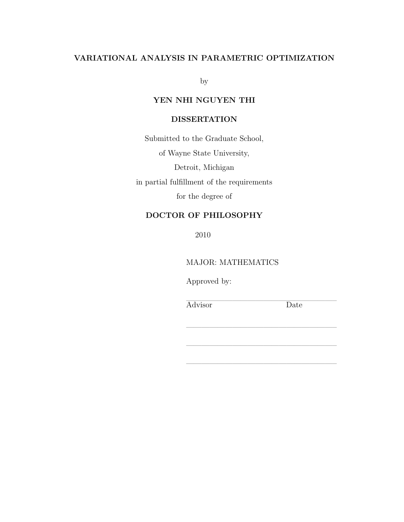## VARIATIONAL ANALYSIS IN PARAMETRIC OPTIMIZATION

by

## YEN NHI NGUYEN THI

### DISSERTATION

Submitted to the Graduate School, of Wayne State University, Detroit, Michigan in partial fulfillment of the requirements for the degree of

# DOCTOR OF PHILOSOPHY

2010

# MAJOR: MATHEMATICS

Approved by:

———————————————————– Advisor Date

———————————————————–

———————————————————–

———————————————————–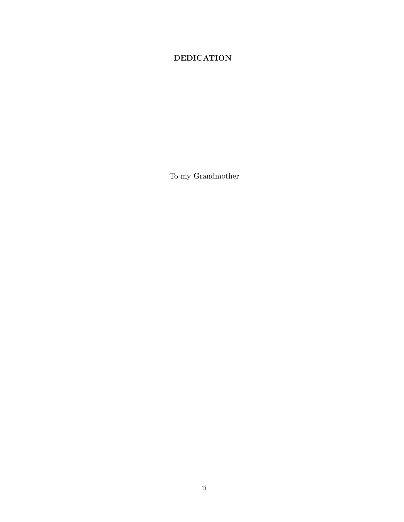# DEDICATION

To my Grandmother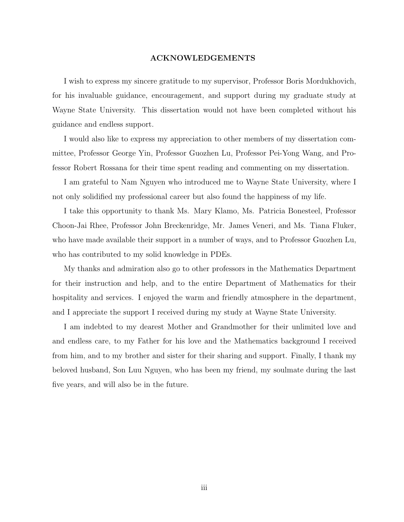#### ACKNOWLEDGEMENTS

I wish to express my sincere gratitude to my supervisor, Professor Boris Mordukhovich, for his invaluable guidance, encouragement, and support during my graduate study at Wayne State University. This dissertation would not have been completed without his guidance and endless support.

I would also like to express my appreciation to other members of my dissertation committee, Professor George Yin, Professor Guozhen Lu, Professor Pei-Yong Wang, and Professor Robert Rossana for their time spent reading and commenting on my dissertation.

I am grateful to Nam Nguyen who introduced me to Wayne State University, where I not only solidified my professional career but also found the happiness of my life.

I take this opportunity to thank Ms. Mary Klamo, Ms. Patricia Bonesteel, Professor Choon-Jai Rhee, Professor John Breckenridge, Mr. James Veneri, and Ms. Tiana Fluker, who have made available their support in a number of ways, and to Professor Guozhen Lu, who has contributed to my solid knowledge in PDEs.

My thanks and admiration also go to other professors in the Mathematics Department for their instruction and help, and to the entire Department of Mathematics for their hospitality and services. I enjoyed the warm and friendly atmosphere in the department, and I appreciate the support I received during my study at Wayne State University.

I am indebted to my dearest Mother and Grandmother for their unlimited love and and endless care, to my Father for his love and the Mathematics background I received from him, and to my brother and sister for their sharing and support. Finally, I thank my beloved husband, Son Luu Nguyen, who has been my friend, my soulmate during the last five years, and will also be in the future.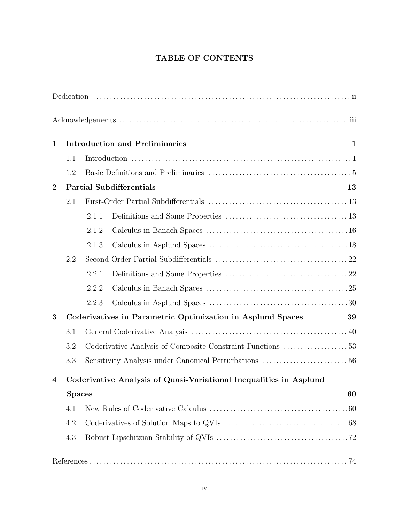# TABLE OF CONTENTS

| $\mathbf{1}$ |                                                                    |       | <b>Introduction and Preliminaries</b> | $\mathbf 1$ |  |  |
|--------------|--------------------------------------------------------------------|-------|---------------------------------------|-------------|--|--|
|              | 1.1                                                                |       |                                       |             |  |  |
|              | 1.2                                                                |       |                                       |             |  |  |
| $\bf{2}$     | <b>Partial Subdifferentials</b>                                    |       |                                       |             |  |  |
|              | 2.1                                                                |       |                                       |             |  |  |
|              |                                                                    | 2.1.1 |                                       |             |  |  |
|              |                                                                    | 2.1.2 |                                       |             |  |  |
|              |                                                                    | 2.1.3 |                                       |             |  |  |
|              | 2.2                                                                |       |                                       |             |  |  |
|              |                                                                    | 2.2.1 |                                       |             |  |  |
|              |                                                                    | 2.2.2 |                                       |             |  |  |
|              |                                                                    | 2.2.3 |                                       |             |  |  |
| 3            | Coderivatives in Parametric Optimization in Asplund Spaces<br>39   |       |                                       |             |  |  |
|              | 3.1                                                                |       |                                       |             |  |  |
|              | 3.2                                                                |       |                                       |             |  |  |
|              | 3.3                                                                |       |                                       |             |  |  |
| 4            | Coderivative Analysis of Quasi-Variational Inequalities in Asplund |       |                                       |             |  |  |
|              | <b>Spaces</b>                                                      |       |                                       |             |  |  |
|              | 4.1                                                                |       |                                       |             |  |  |
|              | 4.2                                                                |       |                                       |             |  |  |
|              | 4.3                                                                |       |                                       |             |  |  |
|              |                                                                    |       |                                       |             |  |  |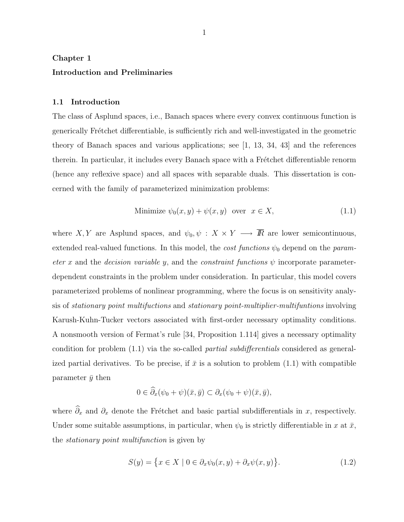# Chapter 1 Introduction and Preliminaries

#### 1.1 Introduction

The class of Asplund spaces, i.e., Banach spaces where every convex continuous function is generically Fr´etchet differentiable, is sufficiently rich and well-investigated in the geometric theory of Banach spaces and various applications; see [1, 13, 34, 43] and the references therein. In particular, it includes every Banach space with a Frétchet differentiable renorm (hence any reflexive space) and all spaces with separable duals. This dissertation is concerned with the family of parameterized minimization problems:

Minimize 
$$
\psi_0(x, y) + \psi(x, y)
$$
 over  $x \in X$ ,  $(1.1)$ 

where X, Y are Asplund spaces, and  $\psi_0, \psi : X \times Y \longrightarrow \overline{R}$  are lower semicontinuous, extended real-valued functions. In this model, the *cost functions*  $\psi_0$  depend on the *param*eter x and the decision variable y, and the constraint functions  $\psi$  incorporate parameterdependent constraints in the problem under consideration. In particular, this model covers parameterized problems of nonlinear programming, where the focus is on sensitivity analysis of stationary point multifuctions and stationary point-multiplier-multifuntions involving Karush-Kuhn-Tucker vectors associated with first-order necessary optimality conditions. A nonsmooth version of Fermat's rule [34, Proposition 1.114] gives a necessary optimality condition for problem (1.1) via the so-called partial subdifferentials considered as generalized partial derivatives. To be precise, if  $\bar{x}$  is a solution to problem (1.1) with compatible parameter  $\bar{y}$  then

$$
0 \in \partial_x(\psi_0 + \psi)(\bar{x}, \bar{y}) \subset \partial_x(\psi_0 + \psi)(\bar{x}, \bar{y}),
$$

where  $\widehat{\partial}_x$  and  $\partial_x$  denote the Frétchet and basic partial subdifferentials in x, respectively. Under some suitable assumptions, in particular, when  $\psi_0$  is strictly differentiable in x at  $\bar{x}$ , the stationary point multifunction is given by

$$
S(y) = \left\{ x \in X \mid 0 \in \partial_x \psi_0(x, y) + \partial_x \psi(x, y) \right\}.
$$
\n
$$
(1.2)
$$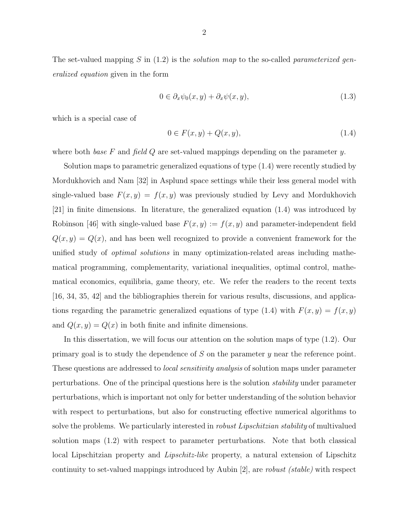The set-valued mapping S in  $(1.2)$  is the *solution map* to the so-called *parameterized gen*eralized equation given in the form

$$
0 \in \partial_x \psi_0(x, y) + \partial_x \psi(x, y), \tag{1.3}
$$

which is a special case of

$$
0 \in F(x, y) + Q(x, y),\tag{1.4}
$$

where both *base* F and field  $Q$  are set-valued mappings depending on the parameter  $y$ .

Solution maps to parametric generalized equations of type (1.4) were recently studied by Mordukhovich and Nam [32] in Asplund space settings while their less general model with single-valued base  $F(x, y) = f(x, y)$  was previously studied by Levy and Mordukhovich [21] in finite dimensions. In literature, the generalized equation (1.4) was introduced by Robinson [46] with single-valued base  $F(x, y) := f(x, y)$  and parameter-independent field  $Q(x, y) = Q(x)$ , and has been well recognized to provide a convenient framework for the unified study of *optimal solutions* in many optimization-related areas including mathematical programming, complementarity, variational inequalities, optimal control, mathematical economics, equilibria, game theory, etc. We refer the readers to the recent texts [16, 34, 35, 42] and the bibliographies therein for various results, discussions, and applications regarding the parametric generalized equations of type (1.4) with  $F(x, y) = f(x, y)$ and  $Q(x, y) = Q(x)$  in both finite and infinite dimensions.

In this dissertation, we will focus our attention on the solution maps of type (1.2). Our primary goal is to study the dependence of S on the parameter y near the reference point. These questions are addressed to *local sensitivity analysis* of solution maps under parameter perturbations. One of the principal questions here is the solution stability under parameter perturbations, which is important not only for better understanding of the solution behavior with respect to perturbations, but also for constructing effective numerical algorithms to solve the problems. We particularly interested in *robust Lipschitzian stability* of multivalued solution maps (1.2) with respect to parameter perturbations. Note that both classical local Lipschitzian property and Lipschitz-like property, a natural extension of Lipschitz continuity to set-valued mappings introduced by Aubin [2], are robust (stable) with respect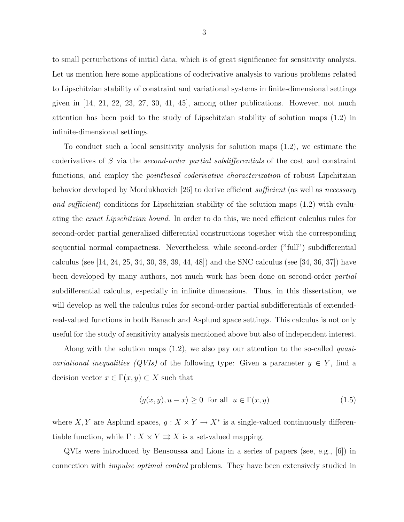to small perturbations of initial data, which is of great significance for sensitivity analysis. Let us mention here some applications of coderivative analysis to various problems related to Lipschitzian stability of constraint and variational systems in finite-dimensional settings given in  $[14, 21, 22, 23, 27, 30, 41, 45]$ , among other publications. However, not much attention has been paid to the study of Lipschitzian stability of solution maps (1.2) in infinite-dimensional settings.

To conduct such a local sensitivity analysis for solution maps (1.2), we estimate the coderivatives of S via the second-order partial subdifferentials of the cost and constraint functions, and employ the *pointbased coderivative characterization* of robust Lipchitzian behavior developed by Mordukhovich [26] to derive efficient sufficient (as well as *necessary* and sufficient) conditions for Lipschitzian stability of the solution maps (1.2) with evaluating the exact Lipschitzian bound. In order to do this, we need efficient calculus rules for second-order partial generalized differential constructions together with the corresponding sequential normal compactness. Nevertheless, while second-order ("full") subdifferential calculus (see [14, 24, 25, 34, 30, 38, 39, 44, 48]) and the SNC calculus (see [34, 36, 37]) have been developed by many authors, not much work has been done on second-order *partial* subdifferential calculus, especially in infinite dimensions. Thus, in this dissertation, we will develop as well the calculus rules for second-order partial subdifferentials of extendedreal-valued functions in both Banach and Asplund space settings. This calculus is not only useful for the study of sensitivity analysis mentioned above but also of independent interest.

Along with the solution maps  $(1.2)$ , we also pay our attention to the so-called *quasivariational inequalities (QVIs)* of the following type: Given a parameter  $y \in Y$ , find a decision vector  $x \in \Gamma(x, y) \subset X$  such that

$$
\langle g(x, y), u - x \rangle \ge 0 \quad \text{for all} \quad u \in \Gamma(x, y) \tag{1.5}
$$

where X, Y are Asplund spaces,  $g: X \times Y \to X^*$  is a single-valued continuously differentiable function, while  $\Gamma: X \times Y \rightrightarrows X$  is a set-valued mapping.

QVIs were introduced by Bensoussa and Lions in a series of papers (see, e.g., [6]) in connection with *impulse optimal control* problems. They have been extensively studied in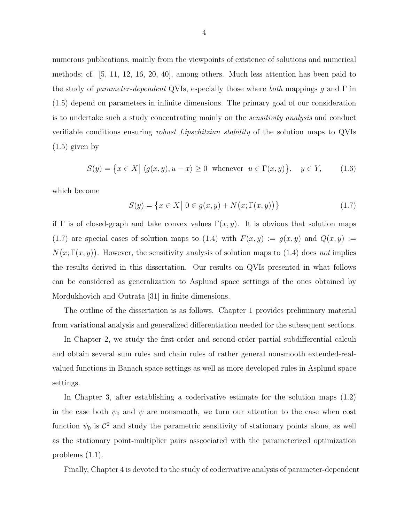numerous publications, mainly from the viewpoints of existence of solutions and numerical methods; cf. [5, 11, 12, 16, 20, 40], among others. Much less attention has been paid to the study of *parameter-dependent* QVIs, especially those where *both* mappings g and  $\Gamma$  in (1.5) depend on parameters in infinite dimensions. The primary goal of our consideration is to undertake such a study concentrating mainly on the sensitivity analysis and conduct verifiable conditions ensuring robust Lipschitzian stability of the solution maps to QVIs  $(1.5)$  given by

$$
S(y) = \{x \in X \mid \langle g(x, y), u - x \rangle \ge 0 \text{ whenever } u \in \Gamma(x, y) \}, y \in Y,
$$
 (1.6)

which become

$$
S(y) = \{ x \in X \mid 0 \in g(x, y) + N(x; \Gamma(x, y)) \}
$$
\n(1.7)

if  $\Gamma$  is of closed-graph and take convex values  $\Gamma(x, y)$ . It is obvious that solution maps (1.7) are special cases of solution maps to (1.4) with  $F(x, y) := g(x, y)$  and  $Q(x, y) :=$  $N(x;\Gamma(x,y))$ . However, the sensitivity analysis of solution maps to (1.4) does not implies the results derived in this dissertation. Our results on QVIs presented in what follows can be considered as generalization to Asplund space settings of the ones obtained by Mordukhovich and Outrata [31] in finite dimensions.

The outline of the dissertation is as follows. Chapter 1 provides preliminary material from variational analysis and generalized differentiation needed for the subsequent sections.

In Chapter 2, we study the first-order and second-order partial subdifferential calculi and obtain several sum rules and chain rules of rather general nonsmooth extended-realvalued functions in Banach space settings as well as more developed rules in Asplund space settings.

In Chapter 3, after establishing a coderivative estimate for the solution maps (1.2) in the case both  $\psi_0$  and  $\psi$  are nonsmooth, we turn our attention to the case when cost function  $\psi_0$  is  $\mathcal{C}^2$  and study the parametric sensitivity of stationary points alone, as well as the stationary point-multiplier pairs asscociated with the parameterized optimization problems (1.1).

Finally, Chapter 4 is devoted to the study of coderivative analysis of parameter-dependent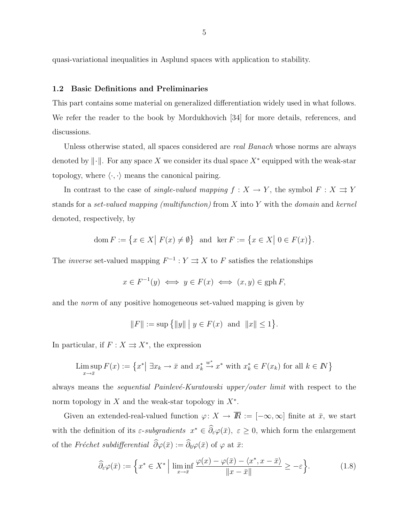quasi-variational inequalities in Asplund spaces with application to stability.

#### 1.2 Basic Definitions and Preliminaries

This part contains some material on generalized differentiation widely used in what follows. We refer the reader to the book by Mordukhovich [34] for more details, references, and discussions.

Unless otherwise stated, all spaces considered are *real Banach* whose norms are always denoted by  $\|\cdot\|$ . For any space X we consider its dual space  $X^*$  equipped with the weak-star topology, where  $\langle \cdot, \cdot \rangle$  means the canonical pairing.

In contrast to the case of *single-valued mapping*  $f : X \to Y$ , the symbol  $F : X \rightrightarrows Y$ stands for a set-valued mapping (multifunction) from  $X$  into  $Y$  with the domain and kernel denoted, respectively, by

$$
\text{dom } F := \{ x \in X \mid F(x) \neq \emptyset \} \text{ and } \ker F := \{ x \in X \mid 0 \in F(x) \}.
$$

The *inverse* set-valued mapping  $F^{-1}: Y \rightrightarrows X$  to F satisfies the relationships

$$
x \in F^{-1}(y) \iff y \in F(x) \iff (x, y) \in \text{gph } F,
$$

and the norm of any positive homogeneous set-valued mapping is given by

$$
||F|| := \sup \{ ||y|| \mid y \in F(x) \text{ and } ||x|| \le 1 \}.
$$

In particular, if  $F: X \rightrightarrows X^*$ , the expression

$$
\limsup_{x \to \bar{x}} F(x) := \left\{ x^* \mid \exists x_k \to \bar{x} \text{ and } x_k^* \stackrel{w^*}{\to} x^* \text{ with } x_k^* \in F(x_k) \text{ for all } k \in \mathbb{N} \right\}
$$

always means the *sequential Painlevé-Kuratowski upper/outer limit* with respect to the norm topology in  $X$  and the weak-star topology in  $X^*$ .

Given an extended-real-valued function  $\varphi: X \to \overline{R} := [-\infty, \infty]$  finite at  $\overline{x}$ , we start with the definition of its  $\varepsilon$ -subgradients  $x^* \in \widehat{\partial}_{\varepsilon} \varphi(\bar{x}), \ \varepsilon \geq 0$ , which form the enlargement of the Fréchet subdifferential  $\widehat{\partial}\varphi(\bar{x}) := \widehat{\partial}_0\varphi(\bar{x})$  of  $\varphi$  at  $\bar{x}$ :

$$
\widehat{\partial}_{\varepsilon}\varphi(\bar{x}) := \left\{ x^* \in X^* \; \middle| \; \liminf_{x \to \bar{x}} \frac{\varphi(x) - \varphi(\bar{x}) - \langle x^*, x - \bar{x} \rangle}{\|x - \bar{x}\|} \ge -\varepsilon \right\}.
$$
\n(1.8)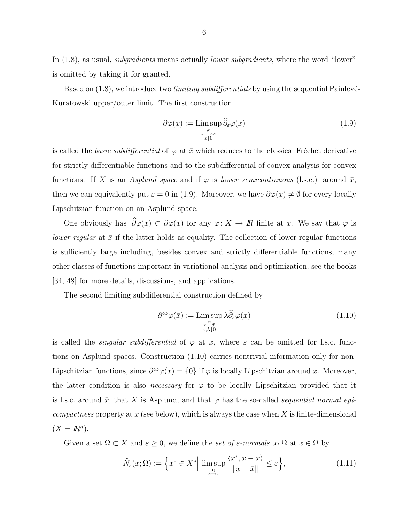In  $(1.8)$ , as usual, *subgradients* means actually *lower subgradients*, where the word "lower" is omitted by taking it for granted.

Based on  $(1.8)$ , we introduce two *limiting subdifferentials* by using the sequential Painlevé-Kuratowski upper/outer limit. The first construction

$$
\partial \varphi(\bar{x}) := \limsup_{\substack{x \to \bar{x} \\ \varepsilon \downarrow 0}} \widehat{\partial}_{\varepsilon} \varphi(x) \tag{1.9}
$$

is called the *basic subdifferential* of  $\varphi$  at  $\bar{x}$  which reduces to the classical Fréchet derivative for strictly differentiable functions and to the subdifferential of convex analysis for convex functions. If X is an Asplund space and if  $\varphi$  is lower semicontinuous (l.s.c.) around  $\bar{x}$ , then we can equivalently put  $\varepsilon = 0$  in (1.9). Moreover, we have  $\partial \varphi(\bar{x}) \neq \emptyset$  for every locally Lipschitzian function on an Asplund space.

One obviously has  $\widehat{\partial}\varphi(\bar{x}) \subset \partial\varphi(\bar{x})$  for any  $\varphi: X \to \overline{R}$  finite at  $\bar{x}$ . We say that  $\varphi$  is lower regular at  $\bar{x}$  if the latter holds as equality. The collection of lower regular functions is sufficiently large including, besides convex and strictly differentiable functions, many other classes of functions important in variational analysis and optimization; see the books [34, 48] for more details, discussions, and applications.

The second limiting subdifferential construction defined by

$$
\partial^{\infty} \varphi(\bar{x}) := \limsup_{\substack{x \to \bar{x} \\ \varepsilon, \lambda \downarrow 0}} \lambda \widehat{\partial}_{\varepsilon} \varphi(x)
$$
\n(1.10)

is called the *singular subdifferential* of  $\varphi$  at  $\bar{x}$ , where  $\varepsilon$  can be omitted for l.s.c. functions on Asplund spaces. Construction (1.10) carries nontrivial information only for non-Lipschitzian functions, since  $\partial^{\infty}\varphi(\bar{x}) = \{0\}$  if  $\varphi$  is locally Lipschitzian around  $\bar{x}$ . Moreover, the latter condition is also *necessary* for  $\varphi$  to be locally Lipschitzian provided that it is l.s.c. around  $\bar{x}$ , that X is Asplund, and that  $\varphi$  has the so-called *sequential normal epicompactness* property at  $\bar{x}$  (see below), which is always the case when X is finite-dimensional  $(X = \mathbb{R}^n).$ 

Given a set  $\Omega \subset X$  and  $\varepsilon \geq 0$ , we define the set of  $\varepsilon$ -normals to  $\Omega$  at  $\bar{x} \in \Omega$  by

$$
\widehat{N}_{\varepsilon}(\bar{x};\Omega) := \left\{ x^* \in X^* \Big| \limsup_{x \to \bar{x}} \frac{\langle x^*, x - \bar{x} \rangle}{\|x - \bar{x}\|} \le \varepsilon \right\},\tag{1.11}
$$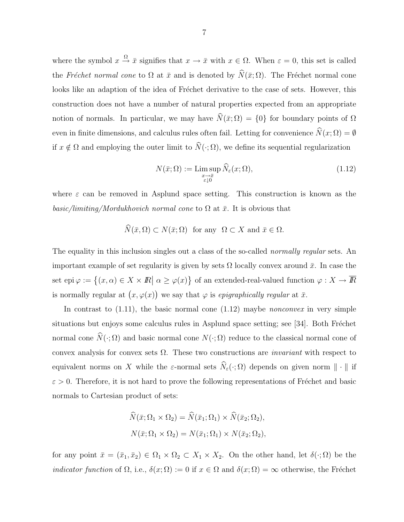where the symbol  $x \stackrel{\Omega}{\to} \bar{x}$  signifies that  $x \to \bar{x}$  with  $x \in \Omega$ . When  $\varepsilon = 0$ , this set is called the Fréchet normal cone to  $\Omega$  at  $\bar{x}$  and is denoted by  $\widehat{N}(\bar{x}; \Omega)$ . The Fréchet normal cone looks like an adaption of the idea of Fréchet derivative to the case of sets. However, this construction does not have a number of natural properties expected from an appropriate notion of normals. In particular, we may have  $\hat{N}(\bar{x}; \Omega) = \{0\}$  for boundary points of  $\Omega$ even in finite dimensions, and calculus rules often fail. Letting for convenience  $\widehat{N}(x; \Omega) = \emptyset$ if  $x \notin \Omega$  and employing the outer limit to  $\widehat{N}(\cdot; \Omega)$ , we define its sequential regularization

$$
N(\bar{x}; \Omega) := \limsup_{\substack{x \to \bar{x} \\ \varepsilon \downarrow 0}} \widehat{N}_{\varepsilon}(x; \Omega), \tag{1.12}
$$

where  $\varepsilon$  can be removed in Asplund space setting. This construction is known as the basic/limiting/Mordukhovich normal cone to  $\Omega$  at  $\bar{x}$ . It is obvious that

$$
\hat{N}(\bar{x}, \Omega) \subset N(\bar{x}; \Omega) \text{ for any } \Omega \subset X \text{ and } \bar{x} \in \Omega.
$$

The equality in this inclusion singles out a class of the so-called *normally regular* sets. An important example of set regularity is given by sets  $\Omega$  locally convex around  $\bar{x}$ . In case the set epi  $\varphi := \{(x, \alpha) \in X \times \mathbb{R} \mid \alpha \geq \varphi(x)\}\$  of an extended-real-valued function  $\varphi : X \to \overline{\mathbb{R}}$ is normally regular at  $(x, \varphi(x))$  we say that  $\varphi$  is epigraphically regular at  $\bar{x}$ .

In contrast to  $(1.11)$ , the basic normal cone  $(1.12)$  maybe *nonconvex* in very simple situations but enjoys some calculus rules in Asplund space setting; see [34]. Both Fréchet normal cone  $\widehat{N}(\cdot; \Omega)$  and basic normal cone  $N(\cdot; \Omega)$  reduce to the classical normal cone of convex analysis for convex sets  $\Omega$ . These two constructions are *invariant* with respect to equivalent norms on X while the  $\varepsilon$ -normal sets  $\widehat{N}_{\varepsilon}(\cdot; \Omega)$  depends on given norm  $\|\cdot\|$  if  $\varepsilon > 0$ . Therefore, it is not hard to prove the following representations of Fréchet and basic normals to Cartesian product of sets:

$$
\widehat{N}(\bar{x}; \Omega_1 \times \Omega_2) = \widehat{N}(\bar{x}_1; \Omega_1) \times \widehat{N}(\bar{x}_2; \Omega_2),
$$
  

$$
N(\bar{x}; \Omega_1 \times \Omega_2) = N(\bar{x}_1; \Omega_1) \times N(\bar{x}_2; \Omega_2),
$$

for any point  $\bar{x} = (\bar{x}_1, \bar{x}_2) \in \Omega_1 \times \Omega_2 \subset X_1 \times X_2$ . On the other hand, let  $\delta(\cdot; \Omega)$  be the *indicator function* of  $\Omega$ , i.e.,  $\delta(x; \Omega) := 0$  if  $x \in \Omega$  and  $\delta(x; \Omega) = \infty$  otherwise, the Fréchet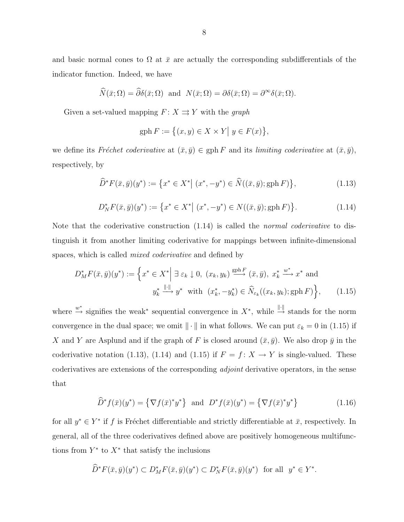and basic normal cones to  $\Omega$  at  $\bar{x}$  are actually the corresponding subdifferentials of the indicator function. Indeed, we have

$$
\widehat{N}(\bar{x};\Omega) = \widehat{\partial}\delta(\bar{x};\Omega) \text{ and } N(\bar{x};\Omega) = \partial\delta(\bar{x};\Omega) = \partial^{\infty}\delta(\bar{x};\Omega).
$$

Given a set-valued mapping  $F: X \rightrightarrows Y$  with the graph

$$
\text{gph}\,F := \big\{(x,y) \in X \times Y \big\vert\ y \in F(x)\big\},\
$$

we define its Fréchet coderivative at  $(\bar{x}, \bar{y}) \in \text{gph } F$  and its limiting coderivative at  $(\bar{x}, \bar{y})$ , respectively, by

$$
\widehat{D}^*F(\bar{x}, \bar{y})(y^*) := \left\{ x^* \in X^* \middle| (x^*, -y^*) \in \widehat{N}((\bar{x}, \bar{y}); \text{gph } F) \right\},\tag{1.13}
$$

$$
D_N^* F(\bar{x}, \bar{y})(y^*) := \left\{ x^* \in X^* \middle| (x^*, -y^*) \in N((\bar{x}, \bar{y}); \text{gph } F) \right\}.
$$
 (1.14)

Note that the coderivative construction  $(1.14)$  is called the *normal coderivative* to distinguish it from another limiting coderivative for mappings between infinite-dimensional spaces, which is called *mixed coderivative* and defined by

$$
D_M^* F(\bar{x}, \bar{y})(y^*) := \left\{ x^* \in X^* \middle| \exists \varepsilon_k \downarrow 0, (x_k, y_k) \stackrel{\text{gph } F}{\longrightarrow} (\bar{x}, \bar{y}), x_k^* \stackrel{w^*}{\longrightarrow} x^* \text{ and}
$$

$$
y_k^* \stackrel{\parallel \cdot \parallel}{\longrightarrow} y^* \text{ with } (x_k^*, -y_k^*) \in \widehat{N}_{\varepsilon_k}((x_k, y_k); \text{gph } F) \right\}, \qquad (1.15)
$$

where  $\stackrel{w^*}{\rightarrow}$  signifies the weak<sup>\*</sup> sequential convergence in  $X^*$ , while  $\stackrel{\|\cdot\|}{\rightarrow}$  stands for the norm convergence in the dual space; we omit  $\|\cdot\|$  in what follows. We can put  $\varepsilon_k = 0$  in (1.15) if X and Y are Asplund and if the graph of F is closed around  $(\bar{x}, \bar{y})$ . We also drop  $\bar{y}$  in the coderivative notation (1.13), (1.14) and (1.15) if  $F = f: X \to Y$  is single-valued. These coderivatives are extensions of the corresponding adjoint derivative operators, in the sense that

$$
\widehat{D}^* f(\bar{x})(y^*) = \left\{ \nabla f(\bar{x})^* y^* \right\} \text{ and } D^* f(\bar{x})(y^*) = \left\{ \nabla f(\bar{x})^* y^* \right\} \tag{1.16}
$$

for all  $y^* \in Y^*$  if f is Fréchet differentiable and strictly differentiable at  $\bar{x}$ , respectively. In general, all of the three coderivatives defined above are positively homogeneous multifunctions from  $Y^*$  to  $X^*$  that satisfy the inclusions

$$
\widehat{D}^*F(\bar{x},\bar{y})(y^*) \subset D^*_M F(\bar{x},\bar{y})(y^*) \subset D^*_N F(\bar{x},\bar{y})(y^*) \text{ for all } y^* \in Y^*.
$$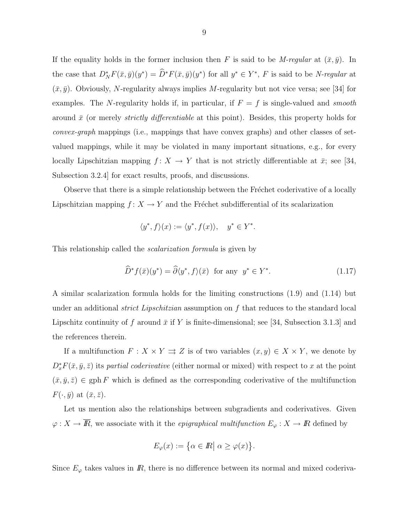If the equality holds in the former inclusion then F is said to be M-regular at  $(\bar{x}, \bar{y})$ . In the case that  $D_N^*F(\bar{x}, \bar{y})(y^*) = \bar{D}^*F(\bar{x}, \bar{y})(y^*)$  for all  $y^* \in Y^*$ , F is said to be N-regular at  $(\bar{x}, \bar{y})$ . Obviously, N-regularity always implies M-regularity but not vice versa; see [34] for examples. The N-regularity holds if, in particular, if  $F = f$  is single-valued and *smooth* around  $\bar{x}$  (or merely *strictly differentiable* at this point). Besides, this property holds for convex-graph mappings (i.e., mappings that have convex graphs) and other classes of setvalued mappings, while it may be violated in many important situations, e.g., for every locally Lipschitzian mapping  $f: X \to Y$  that is not strictly differentiable at  $\bar{x}$ ; see [34, Subsection 3.2.4] for exact results, proofs, and discussions.

Observe that there is a simple relationship between the Fréchet coderivative of a locally Lipschitzian mapping  $f: X \to Y$  and the Fréchet subdifferential of its scalarization

$$
\langle y^*, f \rangle(x) := \langle y^*, f(x) \rangle, \quad y^* \in Y^*.
$$

This relationship called the *scalarization formula* is given by

$$
\widehat{D}^* f(\bar{x})(y^*) = \widehat{\partial} \langle y^*, f \rangle(\bar{x}) \text{ for any } y^* \in Y^*.
$$
\n(1.17)

A similar scalarization formula holds for the limiting constructions (1.9) and (1.14) but under an additional *strict Lipschitzian* assumption on f that reduces to the standard local Lipschitz continuity of f around  $\bar{x}$  if Y is finite-dimensional; see [34, Subsection 3.1.3] and the references therein.

If a multifunction  $F: X \times Y \rightrightarrows Z$  is of two variables  $(x, y) \in X \times Y$ , we denote by  $D_x^*F(\bar{x},\bar{y},\bar{z})$  its *partial coderivative* (either normal or mixed) with respect to x at the point  $(\bar{x}, \bar{y}, \bar{z}) \in \text{gph } F$  which is defined as the corresponding coderivative of the multifunction  $F(\cdot, \bar{y})$  at  $(\bar{x}, \bar{z})$ .

Let us mention also the relationships between subgradients and coderivatives. Given  $\varphi: X \to \overline{R}$ , we associate with it the *epigraphical multifunction*  $E_{\varphi}: X \to \overline{R}$  defined by

$$
E_{\varphi}(x) := \{ \alpha \in \mathbb{R} \mid \alpha \ge \varphi(x) \}.
$$

Since  $E_{\varphi}$  takes values in  $\mathbb{R}$ , there is no difference between its normal and mixed coderiva-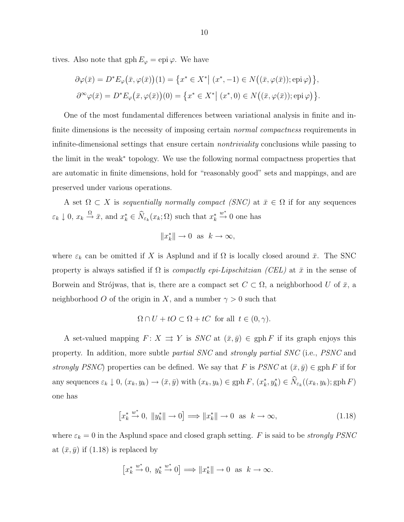tives. Also note that  $gph E<sub>\varphi</sub> = epi\varphi$ . We have

$$
\partial \varphi(\bar{x}) = D^* E_{\varphi}(\bar{x}, \varphi(\bar{x}))(1) = \{ x^* \in X^* | (x^*, -1) \in N((\bar{x}, \varphi(\bar{x})); \text{epi }\varphi) \},\
$$
  

$$
\partial^{\infty} \varphi(\bar{x}) = D^* E_{\varphi}(\bar{x}, \varphi(\bar{x}))(0) = \{ x^* \in X^* | (x^*, 0) \in N((\bar{x}, \varphi(\bar{x})); \text{epi }\varphi) \}.
$$

One of the most fundamental differences between variational analysis in finite and infinite dimensions is the necessity of imposing certain *normal compactness* requirements in infinite-dimensional settings that ensure certain *nontriviality* conclusions while passing to the limit in the weak<sup>∗</sup> topology. We use the following normal compactness properties that are automatic in finite dimensions, hold for "reasonably good" sets and mappings, and are preserved under various operations.

A set  $\Omega \subset X$  is sequentially normally compact (SNC) at  $\bar{x} \in \Omega$  if for any sequences  $\varepsilon_k \downarrow 0, x_k \stackrel{\Omega}{\to} \bar{x}$ , and  $x_k^* \in \widehat{N}_{\varepsilon_k}(x_k; \Omega)$  such that  $x_k^*$  $\stackrel{w^*}{\rightarrow} 0$  one has

$$
||x_k^*|| \to 0 \text{ as } k \to \infty,
$$

where  $\varepsilon_k$  can be omitted if X is Asplund and if  $\Omega$  is locally closed around  $\bar{x}$ . The SNC property is always satisfied if  $\Omega$  is *compactly epi-Lipschitzian (CEL)* at  $\bar{x}$  in the sense of Borwein and Strójwas, that is, there are a compact set  $C \subset \Omega$ , a neighborhood U of  $\bar{x}$ , a neighborhood O of the origin in X, and a number  $\gamma > 0$  such that

$$
\Omega \cap U + tO \subset \Omega + tC
$$
 for all  $t \in (0, \gamma)$ .

A set-valued mapping  $F: X \rightrightarrows Y$  is  $SNC$  at  $(\bar{x}, \bar{y}) \in \text{gph } F$  if its graph enjoys this property. In addition, more subtle *partial SNC* and *strongly partial SNC* (i.e., *PSNC* and strongly PSNC) properties can be defined. We say that F is PSNC at  $(\bar{x}, \bar{y}) \in \text{gph } F$  if for any sequences  $\varepsilon_k \downarrow 0$ ,  $(x_k, y_k) \rightarrow (\bar{x}, \bar{y})$  with  $(x_k, y_k) \in \text{gph } F$ ,  $(x_k^*, y_k^*) \in \hat{N}_{\varepsilon_k}((x_k, y_k); \text{gph } F)$ one has

$$
\left[x_k^* \stackrel{w^*}{\rightarrow} 0, \|y_k^*\| \to 0\right] \Longrightarrow \|x_k^*\| \to 0 \text{ as } k \to \infty,
$$
\n(1.18)

where  $\varepsilon_k = 0$  in the Asplund space and closed graph setting. F is said to be *strongly PSNC* at  $(\bar{x}, \bar{y})$  if (1.18) is replaced by

$$
\left[x_k^* \stackrel{w^*}{\rightarrow} 0, y_k^* \stackrel{w^*}{\rightarrow} 0\right] \Longrightarrow ||x_k^*|| \to 0 \text{ as } k \to \infty.
$$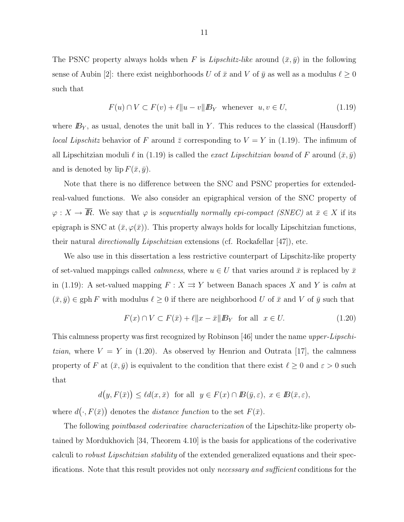The PSNC property always holds when F is Lipschitz-like around  $(\bar{x}, \bar{y})$  in the following sense of Aubin [2]: there exist neighborhoods U of  $\bar{x}$  and V of  $\bar{y}$  as well as a modulus  $\ell \ge 0$ such that

$$
F(u) \cap V \subset F(v) + \ell \|u - v\| B_Y \text{ whenever } u, v \in U,
$$
\n(1.19)

where  $B_Y$ , as usual, denotes the unit ball in Y. This reduces to the classical (Hausdorff) *local Lipschitz* behavior of F around  $\overline{z}$  corresponding to  $V = Y$  in (1.19). The infimum of all Lipschitzian moduli  $\ell$  in (1.19) is called the exact Lipschitzian bound of F around  $(\bar{x}, \bar{y})$ and is denoted by  $lip F(\bar{x}, \bar{y}).$ 

Note that there is no difference between the SNC and PSNC properties for extendedreal-valued functions. We also consider an epigraphical version of the SNC property of  $\varphi: X \to \overline{R}$ . We say that  $\varphi$  is sequentially normally epi-compact (SNEC) at  $\overline{x} \in X$  if its epigraph is SNC at  $(\bar{x}, \varphi(\bar{x}))$ . This property always holds for locally Lipschitzian functions, their natural *directionally Lipschitzian* extensions (cf. Rockafellar [47]), etc.

We also use in this dissertation a less restrictive counterpart of Lipschitz-like property of set-valued mappings called *calmness*, where  $u \in U$  that varies around  $\bar{x}$  is replaced by  $\bar{x}$ in (1.19): A set-valued mapping  $F : X \rightrightarrows Y$  between Banach spaces X and Y is calm at  $(\bar{x}, \bar{y}) \in \text{gph } F$  with modulus  $\ell \geq 0$  if there are neighborhood U of  $\bar{x}$  and V of  $\bar{y}$  such that

$$
F(x) \cap V \subset F(\bar{x}) + \ell \|x - \bar{x}\| B_Y \quad \text{for all} \quad x \in U. \tag{1.20}
$$

This calmness property was first recognized by Robinson [46] under the name upper-Lipschitzian, where  $V = Y$  in (1.20). As observed by Henrion and Outrata [17], the calmness property of F at  $(\bar{x}, \bar{y})$  is equivalent to the condition that there exist  $\ell \geq 0$  and  $\varepsilon > 0$  such that

$$
d(y, F(\bar{x})) \le \ell d(x, \bar{x}) \text{ for all } y \in F(x) \cap B(\bar{y}, \varepsilon), x \in B(\bar{x}, \varepsilon),
$$

where  $d(\cdot, F(\bar{x}))$  denotes the *distance function* to the set  $F(\bar{x})$ .

The following *pointbased coderivative characterization* of the Lipschitz-like property obtained by Mordukhovich [34, Theorem 4.10] is the basis for applications of the coderivative calculi to *robust Lipschitzian stability* of the extended generalized equations and their specifications. Note that this result provides not only necessary and sufficient conditions for the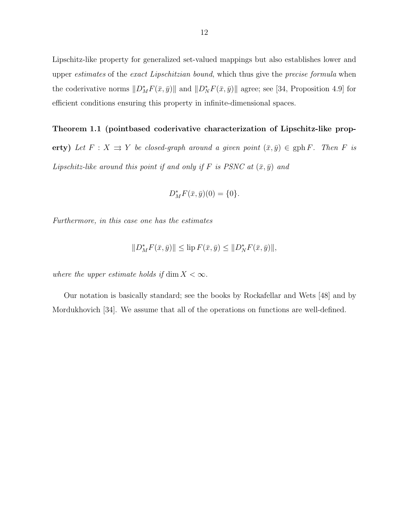Lipschitz-like property for generalized set-valued mappings but also establishes lower and upper estimates of the exact Lipschitzian bound, which thus give the precise formula when the coderivative norms  $||D_M^*F(\bar{x}, \bar{y})||$  and  $||D_N^*F(\bar{x}, \bar{y})||$  agree; see [34, Proposition 4.9] for efficient conditions ensuring this property in infinite-dimensional spaces.

#### Theorem 1.1 (pointbased coderivative characterization of Lipschitz-like prop-

erty) Let  $F : X \rightrightarrows Y$  be closed-graph around a given point  $(\bar{x}, \bar{y}) \in \text{gph } F$ . Then F is Lipschitz-like around this point if and only if F is PSNC at  $(\bar{x}, \bar{y})$  and

$$
D_M^*F(\bar{x}, \bar{y})(0) = \{0\}.
$$

Furthermore, in this case one has the estimates

$$
||D_M^*F(\bar{x}, \bar{y})|| \leq \text{lip } F(\bar{x}, \bar{y}) \leq ||D_N^*F(\bar{x}, \bar{y})||,
$$

where the upper estimate holds if  $\dim X < \infty$ .

Our notation is basically standard; see the books by Rockafellar and Wets [48] and by Mordukhovich [34]. We assume that all of the operations on functions are well-defined.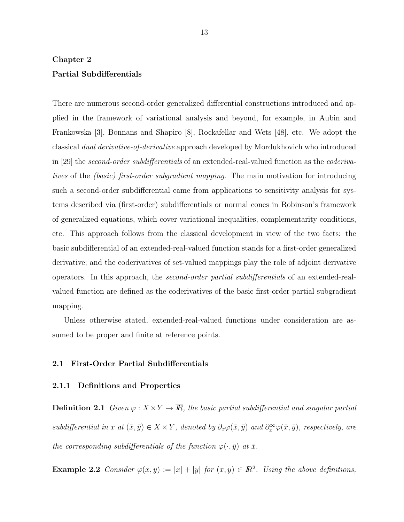# Chapter 2 Partial Subdifferentials

There are numerous second-order generalized differential constructions introduced and applied in the framework of variational analysis and beyond, for example, in Aubin and Frankowska [3], Bonnans and Shapiro [8], Rockafellar and Wets [48], etc. We adopt the classical dual derivative-of-derivative approach developed by Mordukhovich who introduced in [29] the *second-order subdifferentials* of an extended-real-valued function as the *coderiva*tives of the (basic) first-order subgradient mapping. The main motivation for introducing such a second-order subdifferential came from applications to sensitivity analysis for systems described via (first-order) subdifferentials or normal cones in Robinson's framework of generalized equations, which cover variational inequalities, complementarity conditions, etc. This approach follows from the classical development in view of the two facts: the basic subdifferential of an extended-real-valued function stands for a first-order generalized derivative; and the coderivatives of set-valued mappings play the role of adjoint derivative operators. In this approach, the second-order partial subdifferentials of an extended-realvalued function are defined as the coderivatives of the basic first-order partial subgradient mapping.

Unless otherwise stated, extended-real-valued functions under consideration are assumed to be proper and finite at reference points.

#### 2.1 First-Order Partial Subdifferentials

#### 2.1.1 Definitions and Properties

**Definition 2.1** Given  $\varphi: X \times Y \to \overline{R}$ , the basic partial subdifferential and singular partial subdifferential in x at  $(\bar{x}, \bar{y}) \in X \times Y$ , denoted by  $\partial_x \varphi(\bar{x}, \bar{y})$  and  $\partial_x^{\infty} \varphi(\bar{x}, \bar{y})$ , respectively, are the corresponding subdifferentials of the function  $\varphi(\cdot, \bar{y})$  at  $\bar{x}$ .

**Example 2.2** Consider  $\varphi(x, y) := |x| + |y|$  for  $(x, y) \in \mathbb{R}^2$ . Using the above definitions,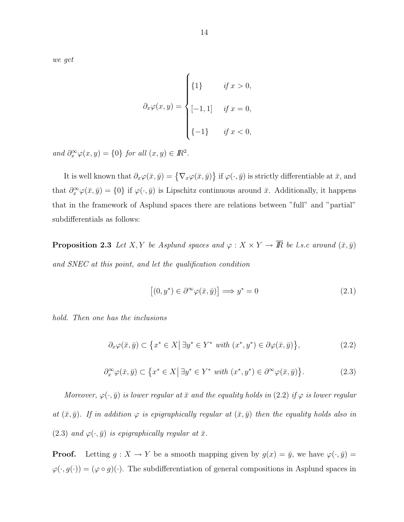we get

$$
\partial_x \varphi(x, y) = \begin{cases} \{1\} & \text{if } x > 0, \\ \\ [-1, 1] & \text{if } x = 0, \\ \{-1\} & \text{if } x < 0, \end{cases}
$$

and  $\partial_x^{\infty} \varphi(x, y) = \{0\}$  for all  $(x, y) \in \mathbb{R}^2$ .

It is well known that  $\partial_x\varphi(\bar{x},\bar{y})=\left\{\nabla_x\varphi(\bar{x},\bar{y})\right\}$  if  $\varphi(\cdot,\bar{y})$  is strictly differentiable at  $\bar{x}$ , and that  $\partial_x^{\infty} \varphi(\bar{x}, \bar{y}) = \{0\}$  if  $\varphi(\cdot, \bar{y})$  is Lipschitz continuous around  $\bar{x}$ . Additionally, it happens that in the framework of Asplund spaces there are relations between "full" and "partial" subdifferentials as follows:

**Proposition 2.3** Let X, Y be Asplund spaces and  $\varphi: X \times Y \to \overline{R}$  be l.s.c around  $(\bar{x}, \bar{y})$ and SNEC at this point, and let the qualification condition

$$
[(0, y^*) \in \partial^{\infty} \varphi(\bar{x}, \bar{y})] \Longrightarrow y^* = 0 \tag{2.1}
$$

hold. Then one has the inclusions

$$
\partial_x \varphi(\bar{x}, \bar{y}) \subset \left\{ x^* \in X \, \middle| \, \exists y^* \in Y^* \, \text{with } (x^*, y^*) \in \partial \varphi(\bar{x}, \bar{y}) \right\},\tag{2.2}
$$

$$
\partial_x^{\infty} \varphi(\bar{x}, \bar{y}) \subset \left\{ x^* \in X \, \middle| \, \exists y^* \in Y^* \, \text{with } (x^*, y^*) \in \partial^{\infty} \varphi(\bar{x}, \bar{y}) \right\}. \tag{2.3}
$$

Moreover,  $\varphi(\cdot, \bar{y})$  is lower regular at  $\bar{x}$  and the equality holds in (2.2) if  $\varphi$  is lower regular at  $(\bar{x}, \bar{y})$ . If in addition  $\varphi$  is epigraphically regular at  $(\bar{x}, \bar{y})$  then the equality holds also in (2.3) and  $\varphi(\cdot, \bar{y})$  is epigraphically regular at  $\bar{x}$ .

**Proof.** Letting  $g : X \to Y$  be a smooth mapping given by  $g(x) = \bar{y}$ , we have  $\varphi(\cdot, \bar{y}) =$  $\varphi(\cdot, g(\cdot)) = (\varphi \circ g)(\cdot)$ . The subdifferentiation of general compositions in Asplund spaces in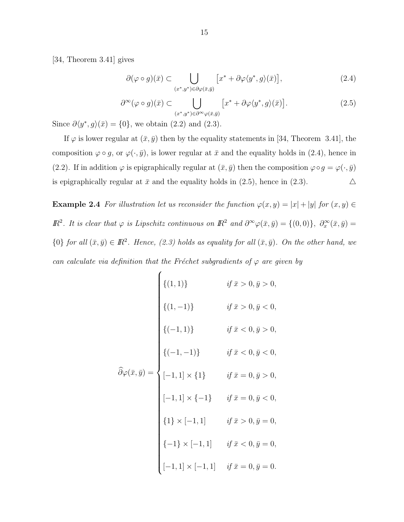[34, Theorem 3.41] gives

$$
\partial(\varphi \circ g)(\bar{x}) \subset \bigcup_{(x^*,y^*) \in \partial \varphi(\bar{x},\bar{y})} \left[ x^* + \partial \varphi \langle y^*, g \rangle(\bar{x}) \right],\tag{2.4}
$$

$$
\partial^{\infty}(\varphi \circ g)(\bar{x}) \subset \bigcup_{(x^*,y^*) \in \partial^{\infty} \varphi(\bar{x},\bar{y})} \left[ x^* + \partial \varphi \langle y^*, g \rangle(\bar{x}) \right]. \tag{2.5}
$$

Since  $\partial \langle y^*, g \rangle (\bar{x}) = \{0\}$ , we obtain (2.2) and (2.3).

If  $\varphi$  is lower regular at  $(\bar{x}, \bar{y})$  then by the equality statements in [34, Theorem 3.41], the composition  $\varphi \circ g$ , or  $\varphi(\cdot, \bar{y})$ , is lower regular at  $\bar{x}$  and the equality holds in (2.4), hence in (2.2). If in addition  $\varphi$  is epigraphically regular at  $(\bar{x}, \bar{y})$  then the composition  $\varphi \circ g = \varphi(\cdot, \bar{y})$ is epigraphically regular at  $\bar{x}$  and the equality holds in (2.5), hence in (2.3).  $\Delta$ 

Example 2.4 For illustration let us reconsider the function  $\varphi(x, y) = |x| + |y|$  for  $(x, y) \in$  $\mathbb{R}^2$ . It is clear that  $\varphi$  is Lipschitz continuous on  $\mathbb{R}^2$  and  $\partial^{\infty} \varphi(\bar{x}, \bar{y}) = \{(0,0)\}, \ \partial_x^{\infty}(\bar{x}, \bar{y}) =$  ${0}$  for all  $(\bar{x}, \bar{y}) \in \mathbb{R}^2$ . Hence, (2.3) holds as equality for all  $(\bar{x}, \bar{y})$ . On the other hand, we can calculate via definition that the Fréchet subgradients of  $\varphi$  are given by

$$
\hat{\partial}\varphi(\bar{x}, \bar{y}) = \begin{cases}\n\{(1, 1)\} & \text{if } \bar{x} > 0, \bar{y} > 0, \\
\{(1, -1)\} & \text{if } \bar{x} > 0, \bar{y} < 0, \\
\{(-1, 1)\} & \text{if } \bar{x} < 0, \bar{y} > 0, \\
\{(-1, -1)\} & \text{if } \bar{x} < 0, \bar{y} < 0, \\
\{(-1, -1)\} & \text{if } \bar{x} = 0, \bar{y} > 0, \\
[-1, 1] \times \{-1\} & \text{if } \bar{x} = 0, \bar{y} < 0, \\
\{1\} \times [-1, 1] & \text{if } \bar{x} > 0, \bar{y} = 0, \\
\{-1\} \times [-1, 1] & \text{if } \bar{x} < 0, \bar{y} = 0, \\
[-1, 1] \times [-1, 1] & \text{if } \bar{x} < 0, \bar{y} = 0, \\
[-1, 1] \times [-1, 1] & \text{if } \bar{x} = 0, \bar{y} = 0.\n\end{cases}
$$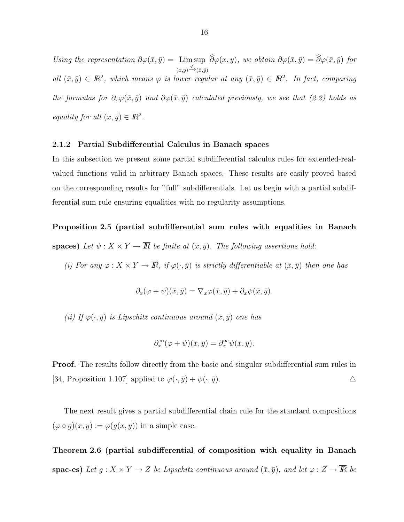Using the representation  $\partial \varphi(\bar{x}, \bar{y}) =$  Lim sup  $(x,y) \xrightarrow{\varphi} (\bar{x}, \bar{y})$  $\partial \varphi(x, y)$ , we obtain  $\partial \varphi(\bar{x}, \bar{y}) = \partial \varphi(\bar{x}, \bar{y})$  for all  $(\bar{x}, \bar{y}) \in \mathbb{R}^2$ , which means  $\varphi$  is lower regular at any  $(\bar{x}, \bar{y}) \in \mathbb{R}^2$ . In fact, comparing the formulas for  $\partial_x\varphi(\bar{x},\bar{y})$  and  $\partial\varphi(\bar{x},\bar{y})$  calculated previously, we see that (2.2) holds as equality for all  $(x, y) \in \mathbb{R}^2$ .

#### 2.1.2 Partial Subdifferential Calculus in Banach spaces

In this subsection we present some partial subdifferential calculus rules for extended-realvalued functions valid in arbitrary Banach spaces. These results are easily proved based on the corresponding results for "full" subdifferentials. Let us begin with a partial subdifferential sum rule ensuring equalities with no regularity assumptions.

Proposition 2.5 (partial subdifferential sum rules with equalities in Banach spaces) Let  $\psi: X \times Y \to \overline{R}$  be finite at  $(\bar{x}, \bar{y})$ . The following assertions hold:

(i) For any  $\varphi: X \times Y \to \overline{R}$ , if  $\varphi(\cdot, \bar{y})$  is strictly differentiable at  $(\bar{x}, \bar{y})$  then one has

$$
\partial_x(\varphi+\psi)(\bar{x},\bar{y}) = \nabla_x\varphi(\bar{x},\bar{y}) + \partial_x\psi(\bar{x},\bar{y}).
$$

(ii) If  $\varphi(\cdot, \bar{y})$  is Lipschitz continuous around  $(\bar{x}, \bar{y})$  one has

$$
\partial_x^{\infty}(\varphi + \psi)(\bar{x}, \bar{y}) = \partial_x^{\infty}\psi(\bar{x}, \bar{y}).
$$

Proof. The results follow directly from the basic and singular subdifferential sum rules in [34, Proposition 1.107] applied to  $\varphi(\cdot, \bar{y}) + \psi(\cdot, \bar{y})$ .  $\triangle$ 

The next result gives a partial subdifferential chain rule for the standard compositions  $(\varphi \circ g)(x, y) := \varphi(g(x, y))$  in a simple case.

Theorem 2.6 (partial subdifferential of composition with equality in Banach spac-es) Let  $g: X \times Y \to Z$  be Lipschitz continuous around  $(\bar{x}, \bar{y})$ , and let  $\varphi: Z \to \overline{I\\! R}$  be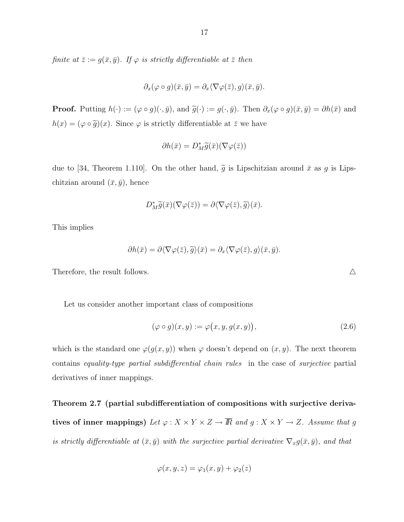finite at  $\bar{z} := g(\bar{x}, \bar{y})$ . If  $\varphi$  is strictly differentiable at  $\bar{z}$  then

$$
\partial_x(\varphi \circ g)(\bar{x}, \bar{y}) = \partial_x \langle \nabla \varphi(\bar{z}), g \rangle(\bar{x}, \bar{y}).
$$

**Proof.** Putting  $h(\cdot) := (\varphi \circ g)(\cdot, \bar{y})$ , and  $\tilde{g}(\cdot) := g(\cdot, \bar{y})$ . Then  $\partial_x(\varphi \circ g)(\bar{x}, \bar{y}) = \partial h(\bar{x})$  and  $h(x) = (\varphi \circ \tilde{g})(x)$ . Since  $\varphi$  is strictly differentiable at  $\bar{z}$  we have

$$
\partial h(\bar{x})=D^*_M\widetilde{g}(\bar{x})(\nabla\varphi(\bar{z}))
$$

due to [34, Theorem 1.110]. On the other hand,  $\tilde{g}$  is Lipschitzian around  $\bar{x}$  as g is Lipschitzian around  $(\bar{x}, \bar{y})$ , hence

$$
D_M^* \widetilde{g}(\bar{x}) (\nabla \varphi(\bar{z})) = \partial \langle \nabla \varphi(\bar{z}), \widetilde{g} \rangle(\bar{x}).
$$

This implies

$$
\partial h(\bar{x}) = \partial \langle \nabla \varphi(\bar{z}), \tilde{g} \rangle(\bar{x}) = \partial_x \langle \nabla \varphi(\bar{z}), g \rangle(\bar{x}, \bar{y}).
$$

Therefore, the result follows.  $\triangle$ 

Let us consider another important class of compositions

$$
(\varphi \circ g)(x, y) := \varphi(x, y, g(x, y)), \qquad (2.6)
$$

which is the standard one  $\varphi(g(x, y))$  when  $\varphi$  doesn't depend on  $(x, y)$ . The next theorem contains equality-type partial subdifferential chain rules in the case of surjective partial derivatives of inner mappings.

Theorem 2.7 (partial subdifferentiation of compositions with surjective derivatives of inner mappings) Let  $\varphi: X \times Y \times Z \to \overline{I\!R}$  and  $g: X \times Y \to Z$ . Assume that g is strictly differentiable at  $(\bar{x}, \bar{y})$  with the surjective partial derivative  $\nabla_x g(\bar{x}, \bar{y})$ , and that

$$
\varphi(x, y, z) = \varphi_1(x, y) + \varphi_2(z)
$$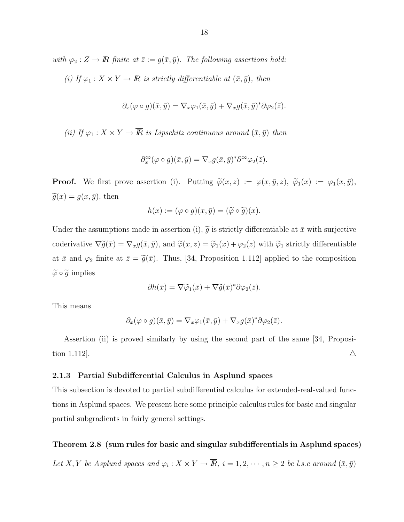with  $\varphi_2: Z \to \overline{I\\!}$  finite at  $\overline{z} := g(\overline{x}, \overline{y})$ . The following assertions hold:

(i) If  $\varphi_1: X \times Y \to \overline{I\\!}$  is strictly differentiable at  $(\bar{x}, \bar{y})$ , then

$$
\partial_x(\varphi \circ g)(\bar{x}, \bar{y}) = \nabla_x \varphi_1(\bar{x}, \bar{y}) + \nabla_x g(\bar{x}, \bar{y})^* \partial \varphi_2(\bar{z}).
$$

(ii) If  $\varphi_1: X \times Y \to \overline{\mathbb{R}}$  is Lipschitz continuous around  $(\bar{x}, \bar{y})$  then

$$
\partial_x^{\infty} (\varphi \circ g)(\bar{x}, \bar{y}) = \nabla_x g(\bar{x}, \bar{y})^* \partial^{\infty} \varphi_2(\bar{z}).
$$

**Proof.** We first prove assertion (i). Putting  $\tilde{\varphi}(x, z) := \varphi(x, \bar{y}, z)$ ,  $\tilde{\varphi}_1(x) := \varphi_1(x, \bar{y})$ ,  $\widetilde{g}(x) = g(x, \bar{y}),$  then

$$
h(x) := (\varphi \circ g)(x, \bar{y}) = (\widetilde{\varphi} \circ \widetilde{g})(x).
$$

Under the assumptions made in assertion (i),  $\tilde{g}$  is strictly differentiable at  $\bar{x}$  with surjective coderivative  $\nabla \widetilde{g}(\bar{x}) = \nabla_x g(\bar{x}, \bar{y})$ , and  $\widetilde{\varphi}(x, z) = \widetilde{\varphi}_1(x) + \varphi_2(z)$  with  $\widetilde{\varphi}_1$  strictly differentiable at  $\bar{x}$  and  $\varphi_2$  finite at  $\bar{z} = \tilde{g}(\bar{x})$ . Thus, [34, Proposition 1.112] applied to the composition  $\widetilde{\varphi} \circ \widetilde{g}$  implies

$$
\partial h(\bar{x}) = \nabla \widetilde{\varphi}_1(\bar{x}) + \nabla \widetilde{g}(\bar{x})^* \partial \varphi_2(\bar{z}).
$$

This means

$$
\partial_x(\varphi \circ g)(\bar{x}, \bar{y}) = \nabla_x \varphi_1(\bar{x}, \bar{y}) + \nabla_x g(\bar{x})^* \partial \varphi_2(\bar{z}).
$$

Assertion (ii) is proved similarly by using the second part of the same [34, Proposition 1.112].  $\triangle$ 

#### 2.1.3 Partial Subdifferential Calculus in Asplund spaces

This subsection is devoted to partial subdifferential calculus for extended-real-valued functions in Asplund spaces. We present here some principle calculus rules for basic and singular partial subgradients in fairly general settings.

#### Theorem 2.8 (sum rules for basic and singular subdifferentials in Asplund spaces)

Let X, Y be Asplund spaces and  $\varphi_i: X \times Y \to \mathbb{R}$ ,  $i = 1, 2, \cdots, n \geq 2$  be l.s.c around  $(\bar{x}, \bar{y})$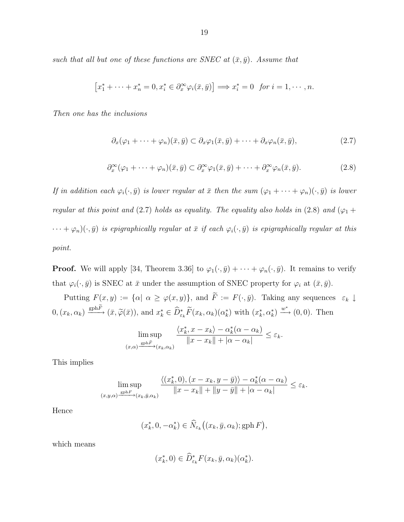such that all but one of these functions are SNEC at  $(\bar{x}, \bar{y})$ . Assume that

$$
[x_1^* + \dots + x_n^* = 0, x_i^* \in \partial_x^{\infty} \varphi_i(\bar{x}, \bar{y})] \Longrightarrow x_i^* = 0 \text{ for } i = 1, \cdots, n.
$$

Then one has the inclusions

$$
\partial_x(\varphi_1 + \dots + \varphi_n)(\bar{x}, \bar{y}) \subset \partial_x \varphi_1(\bar{x}, \bar{y}) + \dots + \partial_x \varphi_n(\bar{x}, \bar{y}), \tag{2.7}
$$

$$
\partial_x^{\infty}(\varphi_1 + \dots + \varphi_n)(\bar{x}, \bar{y}) \subset \partial_x^{\infty} \varphi_1(\bar{x}, \bar{y}) + \dots + \partial_x^{\infty} \varphi_n(\bar{x}, \bar{y}). \tag{2.8}
$$

If in addition each  $\varphi_i(\cdot, \bar{y})$  is lower regular at  $\bar{x}$  then the sum  $(\varphi_1 + \cdots + \varphi_n)(\cdot, \bar{y})$  is lower regular at this point and (2.7) holds as equality. The equality also holds in (2.8) and ( $\varphi_1$  +  $\cdots + \varphi_n)(\cdot, \bar{y})$  is epigraphically regular at  $\bar{x}$  if each  $\varphi_i(\cdot, \bar{y})$  is epigraphically regular at this point.

**Proof.** We will apply [34, Theorem 3.36] to  $\varphi_1(\cdot, \bar{y}) + \cdots + \varphi_n(\cdot, \bar{y})$ . It remains to verify that  $\varphi_i(\cdot, \bar{y})$  is SNEC at  $\bar{x}$  under the assumption of SNEC property for  $\varphi_i$  at  $(\bar{x}, \bar{y})$ .

Putting  $F(x, y) := {\alpha \mid \alpha \geq \varphi(x, y)}$ , and  $F := F(\cdot, \bar{y})$ . Taking any sequences  $\varepsilon_k \downarrow$  $0, (x_k, \alpha_k) \xrightarrow{\text{gph}\tilde{F}} (\bar{x}, \tilde{\varphi}(\bar{x})), \text{ and } x_k^* \in \hat{D}_{\varepsilon_k}^* \tilde{F}(x_k, \alpha_k) (\alpha_k^*) \text{ with } (x_k^*, \alpha_k^*) \xrightarrow{w^*} (0, 0). \text{ Then}$ 

$$
\limsup_{(x,\alpha)\frac{\text{gph}\tilde{F}}{\lambda}(x_k,\alpha_k)} \frac{\langle x_k^*, x - x_k \rangle - \alpha_k^*(\alpha - \alpha_k)}{\|x - x_k\| + |\alpha - \alpha_k|} \leq \varepsilon_k.
$$

This implies

$$
\limsup_{(x,y,\alpha)\xrightarrow{\text{gph}F}(x_k,\bar{y},\alpha_k)}\frac{\langle (x_k^*,0), (x-x_k,y-\bar{y})\rangle - \alpha_k^*(\alpha-\alpha_k)}{\|x-x_k\| + \|y-\bar{y}\| + |\alpha-\alpha_k|} \leq \varepsilon_k.
$$

Hence

$$
(x_k^*, 0, -\alpha_k^*) \in \widehat{N}_{\varepsilon_k}((x_k, \bar{y}, \alpha_k); \text{gph } F),
$$

which means

$$
(x_k^*,0) \in \widehat{D}^*_{\varepsilon_k} F(x_k,\bar{y},\alpha_k)(\alpha_k^*).
$$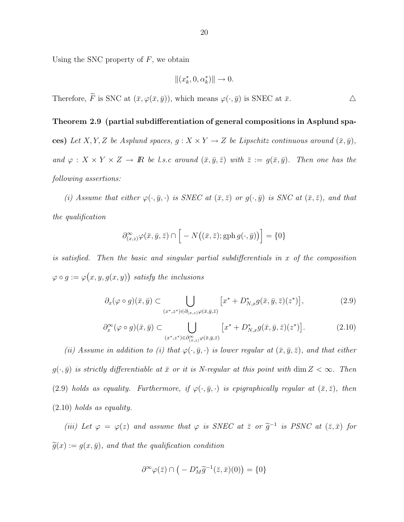Using the SNC property of  $F$ , we obtain

$$
\|(x_k^*,0,\alpha_k^*)\|\to 0.
$$

Therefore,  $\widetilde{F}$  is SNC at  $(\bar{x}, \varphi(\bar{x}, \bar{y}))$ , which means  $\varphi(\cdot, \bar{y})$  is SNEC at  $\bar{x}$ .  $\Delta$ 

#### Theorem 2.9 (partial subdifferentiation of general compositions in Asplund spa-

ces) Let X, Y, Z be Asplund spaces,  $g: X \times Y \to Z$  be Lipschitz continuous around  $(\bar{x}, \bar{y})$ , and  $\varphi: X \times Y \times Z \to \mathbb{R}$  be l.s.c around  $(\bar{x}, \bar{y}, \bar{z})$  with  $\bar{z} := g(\bar{x}, \bar{y})$ . Then one has the following assertions:

(i) Assume that either  $\varphi(\cdot, \bar{y}, \cdot)$  is SNEC at  $(\bar{x}, \bar{z})$  or  $g(\cdot, \bar{y})$  is SNC at  $(\bar{x}, \bar{z})$ , and that the qualification

$$
\partial_{(x,z)}^{\infty} \varphi(\bar{x}, \bar{y}, \bar{z}) \cap \left[ -N((\bar{x}, \bar{z}); \operatorname{gph} g(\cdot, \bar{y})) \right] = \{0\}
$$

is satisfied. Then the basic and singular partial subdifferentials in x of the composition  $\varphi \circ g := \varphi(x, y, g(x, y))$  satisfy the inclusions

$$
\partial_x(\varphi \circ g)(\bar{x}, \bar{y}) \subset \bigcup_{(x^*, z^*) \in \partial_{(x,z)}\varphi(\bar{x}, \bar{y}, \bar{z})} \left[ x^* + D^*_{N,x} g(\bar{x}, \bar{y}, \bar{z})(z^*) \right],\tag{2.9}
$$

$$
\partial_x^{\infty}(\varphi \circ g)(\bar{x}, \bar{y}) \subset \bigcup_{(x^*, z^*) \in \partial_{(x,z)}^{\infty} \varphi(\bar{x}, \bar{y}, \bar{z})} \left[ x^* + D^*_{N,x} g(\bar{x}, \bar{y}, \bar{z})(z^*) \right]. \tag{2.10}
$$

(ii) Assume in addition to (i) that  $\varphi(\cdot, \bar{y}, \cdot)$  is lower regular at  $(\bar{x}, \bar{y}, \bar{z})$ , and that either  $g(\cdot, \bar{y})$  is strictly differentiable at  $\bar{x}$  or it is N-regular at this point with dim  $Z < \infty$ . Then (2.9) holds as equality. Furthermore, if  $\varphi(\cdot, \bar{y}, \cdot)$  is epigraphically regular at  $(\bar{x}, \bar{z})$ , then (2.10) holds as equality.

(iii) Let  $\varphi = \varphi(z)$  and assume that  $\varphi$  is SNEC at  $\bar{z}$  or  $\tilde{g}^{-1}$  is PSNC at  $(\bar{z}, \bar{x})$  for  $\widetilde{g}(x) := g(x, \bar{y})$ , and that the qualification condition

$$
\partial^{\infty}\varphi(\bar{z})\cap\big(-D_M^*\widetilde{g}^{-1}(\bar{z},\bar{x})(0)\big)=\{0\}
$$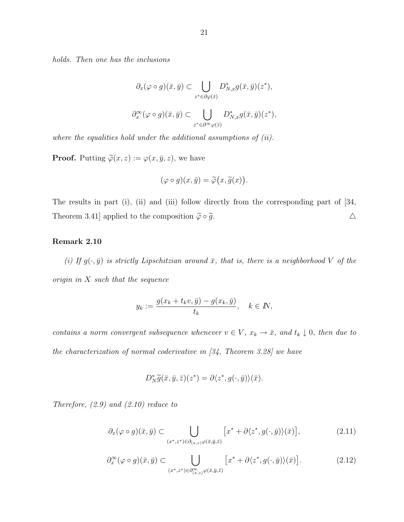holds. Then one has the inclusions

$$
\partial_x(\varphi \circ g)(\bar{x}, \bar{y}) \subset \bigcup_{z^* \in \partial \varphi(\bar{z})} D^*_{N,x} g(\bar{x}, \bar{y})(z^*),
$$
  

$$
\partial_x^{\infty}(\varphi \circ g)(\bar{x}, \bar{y}) \subset \bigcup_{z^* \in \partial^{\infty} \varphi(\bar{z})} D^*_{N,x} g(\bar{x}, \bar{y})(z^*),
$$

where the equalities hold under the additional assumptions of  $(ii)$ .

**Proof.** Putting  $\tilde{\varphi}(x, z) := \varphi(x, \bar{y}, z)$ , we have

$$
(\varphi \circ g)(x, \bar{y}) = \widetilde{\varphi}\big(x, \widetilde{g}(x)\big).
$$

The results in part (i), (ii) and (iii) follow directly from the corresponding part of [34, Theorem 3.41] applied to the composition  $\tilde{\varphi} \circ \tilde{g}$ .  $\triangle$ 

## Remark 2.10

(i) If  $g(\cdot, \bar{y})$  is strictly Lipschitzian around  $\bar{x}$ , that is, there is a neighborhood V of the origin in  $X$  such that the sequence

$$
y_k := \frac{g(x_k + t_k v, \bar{y}) - g(x_k, \bar{y})}{t_k}, \quad k \in \mathbb{N},
$$

contains a norm convergent subsequence whenever  $v \in V$ ,  $x_k \to \bar{x}$ , and  $t_k \downarrow 0$ , then due to the characterization of normal coderivative in [34, Theorem 3.28] we have

$$
D_N^*\widetilde{g}(\bar{x}, \bar{y}, \bar{z})(z^*) = \partial \langle z^*, g(\cdot, \bar{y}) \rangle(\bar{x}).
$$

Therefore,  $(2.9)$  and  $(2.10)$  reduce to

$$
\partial_x(\varphi \circ g)(\bar{x}, \bar{y}) \subset \bigcup_{(x^*, z^*) \in \partial_{(x,z)}\varphi(\bar{x}, \bar{y}, \bar{z})} \left[ x^* + \partial \langle z^*, g(\cdot, \bar{y}) \rangle(\bar{x}) \right],\tag{2.11}
$$

$$
\partial_x^{\infty}(\varphi \circ g)(\bar{x}, \bar{y}) \subset \bigcup_{(x^*, z^*) \in \partial_{(x, z)}^{\infty} \varphi(\bar{x}, \bar{y}, \bar{z})} \left[ x^* + \partial \langle z^*, g(\cdot, \bar{y}) \rangle(\bar{x}) \right]. \tag{2.12}
$$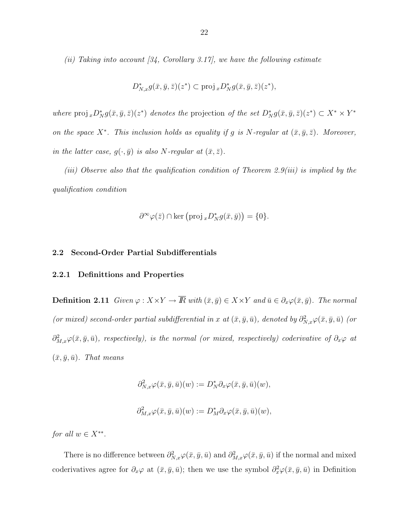(ii) Taking into account [34, Corollary 3.17], we have the following estimate

$$
D_{N,x}^*g(\bar{x},\bar{y},\bar{z})(z^*) \subset \text{proj}_x D_N^*g(\bar{x},\bar{y},\bar{z})(z^*),
$$

where  $\text{proj}_x D^*_N g(\bar{x}, \bar{y}, \bar{z})(z^*)$  denotes the projection of the set  $D^*_N g(\bar{x}, \bar{y}, \bar{z})(z^*) \subset X^* \times Y^*$ on the space  $X^*$ . This inclusion holds as equality if g is N-regular at  $(\bar{x}, \bar{y}, \bar{z})$ . Moreover, in the latter case,  $g(\cdot, \bar{y})$  is also N-regular at  $(\bar{x}, \bar{z})$ .

(iii) Observe also that the qualification condition of Theorem 2.9(iii) is implied by the qualification condition

$$
\partial^{\infty} \varphi(\bar{z}) \cap \ker \left( \operatorname{proj}_{x} D_{N}^{*} g(\bar{x}, \bar{y}) \right) = \{0\}.
$$

#### 2.2 Second-Order Partial Subdifferentials

#### 2.2.1 Definittions and Properties

**Definition 2.11** Given  $\varphi: X \times Y \to \overline{R}$  with  $(\bar{x}, \bar{y}) \in X \times Y$  and  $\bar{u} \in \partial_x \varphi(\bar{x}, \bar{y})$ . The normal (or mixed) second-order partial subdifferential in x at  $(\bar{x}, \bar{y}, \bar{u})$ , denoted by  $\partial_{N,x}^2 \varphi(\bar{x}, \bar{y}, \bar{u})$  (or  $\partial_{M,x}^2 \varphi(\bar{x},\bar{y},\bar{u})$ , respectively), is the normal (or mixed, respectively) coderivative of  $\partial_x\varphi$  at  $(\bar{x}, \bar{y}, \bar{u})$ . That means

$$
\partial^2_{N,x}\varphi(\bar x,\bar y,\bar u)(w):=D^*_N\partial_x\varphi(\bar x,\bar y,\bar u)(w),
$$

$$
\partial^2_{M,x}\varphi(\bar x,\bar y,\bar u)(w):=D^*_M\partial_x\varphi(\bar x,\bar y,\bar u)(w),
$$

for all  $w \in X^{**}$ .

There is no difference between  $\partial_{N,x}^2 \varphi(\bar{x}, \bar{y}, \bar{u})$  and  $\partial_{M,x}^2 \varphi(\bar{x}, \bar{y}, \bar{u})$  if the normal and mixed coderivatives agree for  $\partial_x \varphi$  at  $(\bar{x}, \bar{y}, \bar{u});$  then we use the symbol  $\partial_x^2 \varphi(\bar{x}, \bar{y}, \bar{u})$  in Definition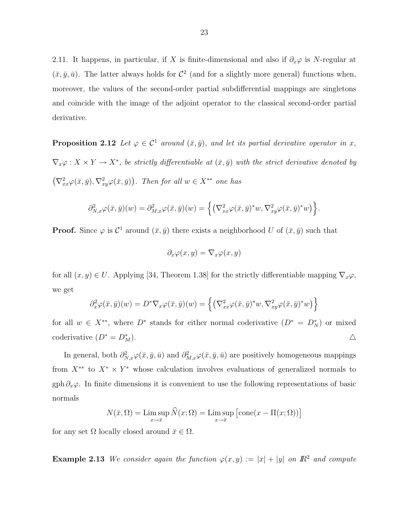2.11. It happens, in particular, if X is finite-dimensional and also if  $\partial_x \varphi$  is N-regular at  $(\bar{x}, \bar{y}, \bar{u})$ . The latter always holds for  $\mathcal{C}^2$  (and for a slightly more general) functions when, moreover, the values of the second-order partial subdifferential mappings are singletons and coincide with the image of the adjoint operator to the classical second-order partial derivative.

**Proposition 2.12** Let  $\varphi \in C^1$  around  $(\bar{x}, \bar{y})$ , and let its partial derivative operator in x,  $\nabla_x \varphi : X \times Y \to X^*$ , be strictly differentiable at  $(\bar{x}, \bar{y})$  with the strict derivative denoted by  $(\nabla^2_{xx}\varphi(\bar{x},\bar{y}), \nabla^2_{xy}\varphi(\bar{x},\bar{y}))$ . Then for all  $w \in X^{**}$  one has

$$
\partial_{N,x}^2 \varphi(\bar{x},\bar{y})(w) = \partial_{M,x}^2 \varphi(\bar{x},\bar{y})(w) = \left\{ \left( \nabla_{xx}^2 \varphi(\bar{x},\bar{y})^* w, \nabla_{xy}^2 \varphi(\bar{x},\bar{y})^* w \right) \right\}.
$$

**Proof.** Since  $\varphi$  is  $\mathcal{C}^1$  around  $(\bar{x}, \bar{y})$  there exists a neighborhood U of  $(\bar{x}, \bar{y})$  such that

$$
\partial_x \varphi(x, y) = \nabla_x \varphi(x, y)
$$

for all  $(x, y) \in U$ . Applying [34, Theorem 1.38] for the strictly differentiable mapping  $\nabla_x \varphi$ , we get

$$
\partial_x^2 \varphi(\bar{x}, \bar{y})(w) = D^* \nabla_x \varphi(\bar{x}, \bar{y})(w) = \left\{ \left( \nabla_{xx}^2 \varphi(\bar{x}, \bar{y})^* w, \nabla_{xy}^2 \varphi(\bar{x}, \bar{y})^* w \right) \right\}
$$

for all  $w \in X^{**}$ , where  $D^*$  stands for either normal coderivative  $(D^* = D_N^*)$  or mixed coderivative  $(D^* = D_M^*)$ .  $M^*$ ).

In general, both  $\partial_{N,x}^2 \varphi(\bar{x}, \bar{y}, \bar{u})$  and  $\partial_{M,x}^2 \varphi(\bar{x}, \bar{y}, \bar{u})$  are positively homogeneous mappings from  $X^{**}$  to  $X^* \times Y^*$  whose calculation involves evaluations of generalized normals to gph  $\partial_x\varphi$ . In finite dimensions it is convenient to use the following representations of basic normals

$$
N(\bar{x}, \Omega) = \limsup_{x \to \bar{x}} \widehat{N}(x; \Omega) = \limsup_{x \to \bar{x}} \left[ \text{cone}(x - \Pi(x; \Omega)) \right]
$$

for any set  $\Omega$  locally closed around  $\bar{x} \in \Omega$ .

**Example 2.13** We consider again the function  $\varphi(x, y) := |x| + |y|$  on  $\mathbb{R}^2$  and compute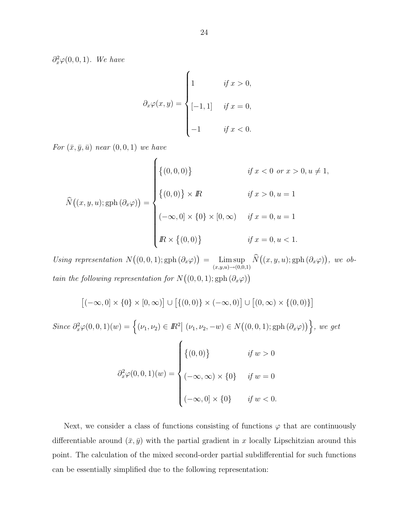$\partial_x^2 \varphi(0,0,1)$ . We have

$$
\partial_x \varphi(x, y) = \begin{cases} 1 & \text{if } x > 0, \\ \\ [-1, 1] & \text{if } x = 0, \\ -1 & \text{if } x < 0. \end{cases}
$$

For  $(\bar{x}, \bar{y}, \bar{u})$  near  $(0, 0, 1)$  we have

$$
\widehat{N}((x, y, u); \text{gph}(\partial_x \varphi)) = \begin{cases}\n\{(0, 0, 0)\} & \text{if } x < 0 \text{ or } x > 0, u \neq 1, \\
\{(0, 0)\} \times \mathbb{R} & \text{if } x > 0, u = 1 \\
(-\infty, 0] \times \{0\} \times [0, \infty) & \text{if } x = 0, u = 1 \\
\mathbb{R} \times \{(0, 0)\} & \text{if } x = 0, u < 1.\n\end{cases}
$$

Using representation  $N((0,0,1); \text{gph}(\partial_x \varphi)) = \text{Lim sup}$  $\limsup_{(x,y,u)\to(0,0,1)} \widehat{N}((x,y,u); \text{gph}(\partial_x\varphi)),$  we obtain the following representation for  $N((0,0,1);$ gph $(\partial_x \varphi))$ 

$$
\big[(-\infty,0]\times\{0\}\times[0,\infty)\big]\cup\big[\{(0,0)\}\times(-\infty,0)\big]\cup\big[(0,\infty)\times\{(0,0)\}\big]
$$

Since  $\partial_x^2 \varphi(0,0,1)(w) = \left\{ (\nu_1, \nu_2) \in \mathbb{R}^2 \middle| (\nu_1, \nu_2, -w) \in N((0,0,1); \text{gph}(\partial_x \varphi)) \right\}$ , we get  $\partial_x^2 \varphi(0,0,1)(w) =$  $\sqrt{ }$  $\begin{array}{c} \end{array}$  $\begin{array}{c} \end{array}$  $\{(0,0)\}\$  if  $w > 0$  $(-\infty,\infty)\times\{0\}$  if  $w=0$  $(-\infty, 0] \times \{0\}$  if  $w < 0$ .

Next, we consider a class of functions consisting of functions  $\varphi$  that are continuously differentiable around  $(\bar{x}, \bar{y})$  with the partial gradient in x locally Lipschitzian around this point. The calculation of the mixed second-order partial subdifferential for such functions can be essentially simplified due to the following representation: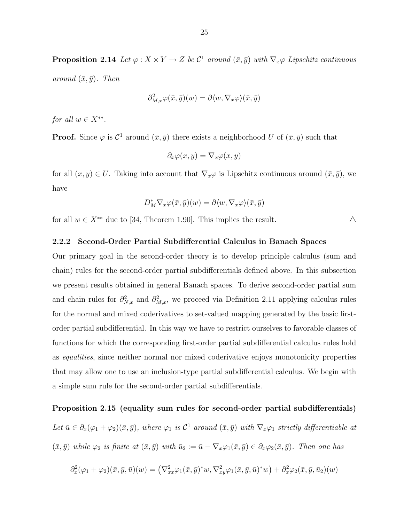$$
\partial^2_{M,x}\varphi(\bar x,\bar y)(w)=\partial\langle w,\nabla_x\varphi\rangle(\bar x,\bar y)
$$

for all  $w \in X^{**}$ .

**Proof.** Since  $\varphi$  is  $\mathcal{C}^1$  around  $(\bar{x}, \bar{y})$  there exists a neighborhood U of  $(\bar{x}, \bar{y})$  such that

$$
\partial_x \varphi(x, y) = \nabla_x \varphi(x, y)
$$

for all  $(x, y) \in U$ . Taking into account that  $\nabla_x \varphi$  is Lipschitz continuous around  $(\bar{x}, \bar{y})$ , we have

$$
D_M^*\nabla_x\varphi(\bar x,\bar y)(w)=\partial\langle w,\nabla_x\varphi\rangle(\bar x,\bar y)
$$

for all  $w \in X^{**}$  due to [34, Theorem 1.90]. This implies the result.  $\triangle$ 

#### 2.2.2 Second-Order Partial Subdifferential Calculus in Banach Spaces

Our primary goal in the second-order theory is to develop principle calculus (sum and chain) rules for the second-order partial subdifferentials defined above. In this subsection we present results obtained in general Banach spaces. To derive second-order partial sum and chain rules for  $\partial_{N,x}^2$  and  $\partial_{M,x}^2$ , we proceed via Definition 2.11 applying calculus rules for the normal and mixed coderivatives to set-valued mapping generated by the basic firstorder partial subdifferential. In this way we have to restrict ourselves to favorable classes of functions for which the corresponding first-order partial subdifferential calculus rules hold as equalities, since neither normal nor mixed coderivative enjoys monotonicity properties that may allow one to use an inclusion-type partial subdifferential calculus. We begin with a simple sum rule for the second-order partial subdifferentials.

#### Proposition 2.15 (equality sum rules for second-order partial subdifferentials)

Let  $\bar{u} \in \partial_x(\varphi_1 + \varphi_2)(\bar{x}, \bar{y})$ , where  $\varphi_1$  is  $\mathcal{C}^1$  around  $(\bar{x}, \bar{y})$  with  $\nabla_x \varphi_1$  strictly differentiable at  $(\bar{x}, \bar{y})$  while  $\varphi_2$  is finite at  $(\bar{x}, \bar{y})$  with  $\bar{u}_2 := \bar{u} - \nabla_x \varphi_1(\bar{x}, \bar{y}) \in \partial_x \varphi_2(\bar{x}, \bar{y})$ . Then one has

$$
\partial_x^2(\varphi_1+\varphi_2)(\bar{x},\bar{y},\bar{u})(w)=\left(\nabla_{xx}^2\varphi_1(\bar{x},\bar{y})^*w,\nabla_{xy}^2\varphi_1(\bar{x},\bar{y},\bar{u})^*w\right)+\partial_x^2\varphi_2(\bar{x},\bar{y},\bar{u}_2)(w)
$$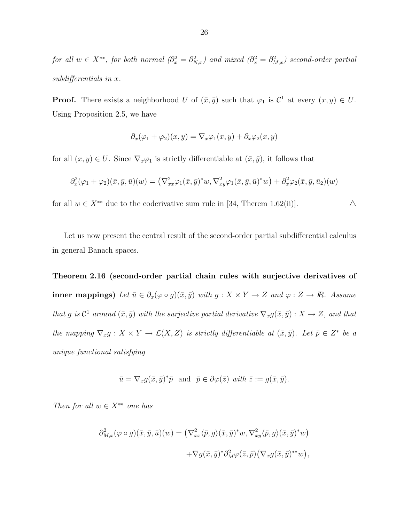for all  $w \in X^{**}$ , for both normal  $(\partial_x^2 = \partial_{N,x}^2)$  and mixed  $(\partial_x^2 = \partial_{M,x}^2)$  second-order partial subdifferentials in x.

**Proof.** There exists a neighborhood U of  $(\bar{x}, \bar{y})$  such that  $\varphi_1$  is  $\mathcal{C}^1$  at every  $(x, y) \in U$ . Using Proposition 2.5, we have

$$
\partial_x(\varphi_1 + \varphi_2)(x, y) = \nabla_x \varphi_1(x, y) + \partial_x \varphi_2(x, y)
$$

for all  $(x, y) \in U$ . Since  $\nabla_x \varphi_1$  is strictly differentiable at  $(\bar{x}, \bar{y})$ , it follows that

$$
\partial_x^2(\varphi_1+\varphi_2)(\bar{x},\bar{y},\bar{u})(w)=\left(\nabla_{xx}^2\varphi_1(\bar{x},\bar{y})^*w,\nabla_{xy}^2\varphi_1(\bar{x},\bar{y},\bar{u})^*w\right)+\partial_x^2\varphi_2(\bar{x},\bar{y},\bar{u}_2)(w)
$$

for all  $w \in X^{**}$  due to the coderivative sum rule in [34, Therem 1.62(ii)].  $\triangle$ 

Let us now present the central result of the second-order partial subdifferential calculus in general Banach spaces.

Theorem 2.16 (second-order partial chain rules with surjective derivatives of inner mappings) Let  $\bar{u} \in \partial_x(\varphi \circ g)(\bar{x}, \bar{y})$  with  $g : X \times Y \to Z$  and  $\varphi : Z \to \mathbb{R}$ . Assume that g is  $\mathcal{C}^1$  around  $(\bar{x}, \bar{y})$  with the surjective partial derivative  $\nabla_x g(\bar{x}, \bar{y}) : X \to Z$ , and that the mapping  $\nabla_x g : X \times Y \to \mathcal{L}(X, Z)$  is strictly differentiable at  $(\bar{x}, \bar{y})$ . Let  $\bar{p} \in Z^*$  be a unique functional satisfying

$$
\bar{u} = \nabla_x g(\bar{x}, \bar{y})^* \bar{p}
$$
 and  $\bar{p} \in \partial \varphi(\bar{z})$  with  $\bar{z} := g(\bar{x}, \bar{y})$ .

Then for all  $w \in X^{**}$  one has

$$
\partial_{M,x}^2(\varphi \circ g)(\bar{x}, \bar{y}, \bar{u})(w) = (\nabla_{xx}^2 \langle \bar{p}, g \rangle (\bar{x}, \bar{y})^* w, \nabla_{xy}^2 \langle \bar{p}, g \rangle (\bar{x}, \bar{y})^* w) + \nabla g(\bar{x}, \bar{y})^* \partial_M^2 \varphi(\bar{z}, \bar{p}) (\nabla_x g(\bar{x}, \bar{y})^{**} w),
$$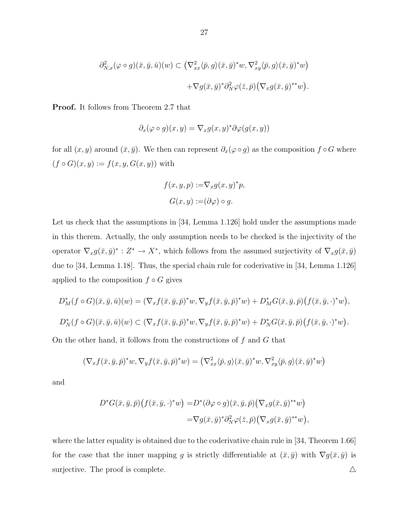$$
\partial_{N,x}^2(\varphi \circ g)(\bar{x}, \bar{y}, \bar{u})(w) \subset \left(\nabla_{xx}^2 \langle \bar{p}, g \rangle (\bar{x}, \bar{y})^* w, \nabla_{xy}^2 \langle \bar{p}, g \rangle (\bar{x}, \bar{y})^* w\right) \n+ \nabla g(\bar{x}, \bar{y})^* \partial_N^2 \varphi(\bar{z}, \bar{p}) \left(\nabla_x g(\bar{x}, \bar{y})^{**} w\right).
$$

Proof. It follows from Theorem 2.7 that

$$
\partial_x(\varphi \circ g)(x, y) = \nabla_x g(x, y)^* \partial \varphi(g(x, y))
$$

for all  $(x, y)$  around  $(\bar{x}, \bar{y})$ . We then can represent  $\partial_x(\varphi \circ g)$  as the composition  $f \circ G$  where  $(f\circ G)(x,y):=f(x,y,G(x,y))$  with

$$
f(x, y, p) := \nabla_x g(x, y)^* p,
$$
  

$$
G(x, y) := (\partial \varphi) \circ g.
$$

Let us check that the assumptions in [34, Lemma 1.126] hold under the assumptions made in this therem. Actually, the only assumption needs to be checked is the injectivity of the operator  $\nabla_x g(\bar{x}, \bar{y})^* : Z^* \to X^*$ , which follows from the assumed surjectivity of  $\nabla_x g(\bar{x}, \bar{y})$ due to [34, Lemma 1.18]. Thus, the special chain rule for coderivative in [34, Lemma 1.126] applied to the composition  $f \circ G$  gives

$$
D_M^*(f \circ G)(\bar{x}, \bar{y}, \bar{u})(w) = (\nabla_x f(\bar{x}, \bar{y}, \bar{p})^* w, \nabla_y f(\bar{x}, \bar{y}, \bar{p})^* w) + D_M^* G(\bar{x}, \bar{y}, \bar{p}) (f(\bar{x}, \bar{y}, \cdot)^* w),
$$
  

$$
D_N^*(f \circ G)(\bar{x}, \bar{y}, \bar{u})(w) \subset (\nabla_x f(\bar{x}, \bar{y}, \bar{p})^* w, \nabla_y f(\bar{x}, \bar{y}, \bar{p})^* w) + D_N^* G(\bar{x}, \bar{y}, \bar{p}) (f(\bar{x}, \bar{y}, \cdot)^* w).
$$

On the other hand, it follows from the constructions of  $f$  and  $G$  that

$$
(\nabla_x f(\bar{x}, \bar{y}, \bar{p})^* w, \nabla_y f(\bar{x}, \bar{y}, \bar{p})^* w) = (\nabla_{xx}^2 \langle \bar{p}, g \rangle (\bar{x}, \bar{y})^* w, \nabla_{xy}^2 \langle \bar{p}, g \rangle (\bar{x}, \bar{y})^* w)
$$

and

$$
D^*G(\bar{x}, \bar{y}, \bar{p})(f(\bar{x}, \bar{y}, \cdot)^*w) = D^*(\partial \varphi \circ g)(\bar{x}, \bar{y}, \bar{p})(\nabla_x g(\bar{x}, \bar{y})^{**}w)
$$
  

$$
= \nabla g(\bar{x}, \bar{y})^*\partial^2_N \varphi(\bar{z}, \bar{p})(\nabla_x g(\bar{x}, \bar{y})^{**}w),
$$

where the latter equality is obtained due to the coderivative chain rule in [34, Theorem 1.66] for the case that the inner mapping g is strictly differentiable at  $(\bar{x}, \bar{y})$  with  $\nabla g(\bar{x}, \bar{y})$  is surjective. The proof is complete.  $\Delta$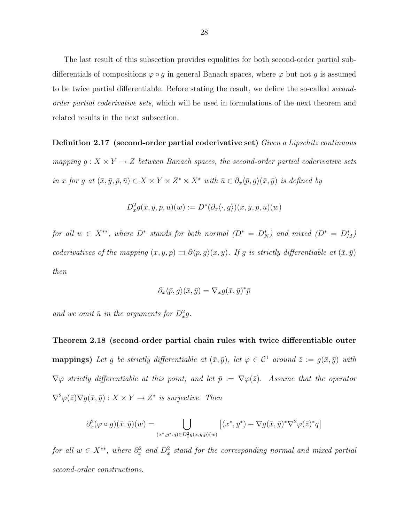The last result of this subsection provides equalities for both second-order partial subdifferentials of compositions  $\varphi \circ g$  in general Banach spaces, where  $\varphi$  but not g is assumed to be twice partial differentiable. Before stating the result, we define the so-called secondorder partial coderivative sets, which will be used in formulations of the next theorem and related results in the next subsection.

Definition 2.17 (second-order partial coderivative set) Given a Lipschitz continuous mapping  $g: X \times Y \to Z$  between Banach spaces, the second-order partial coderivative sets in x for g at  $(\bar{x}, \bar{y}, \bar{p}, \bar{u}) \in X \times Y \times Z^* \times X^*$  with  $\bar{u} \in \partial_x \langle \bar{p}, g \rangle (\bar{x}, \bar{y})$  is defined by

$$
D_x^2 g(\bar{x}, \bar{y}, \bar{p}, \bar{u})(w) := D^*(\partial_x \langle \cdot, g \rangle)(\bar{x}, \bar{y}, \bar{p}, \bar{u})(w)
$$

for all  $w \in X^{**}$ , where  $D^*$  stands for both normal  $(D^* = D_N^*)$  and mixed  $(D^* = D_M^*)$ coderivatives of the mapping  $(x, y, p) \Rightarrow \partial \langle p, g \rangle (x, y)$ . If g is strictly differentiable at  $(\bar{x}, \bar{y})$ then

$$
\partial_x \langle \bar{p}, g \rangle (\bar{x}, \bar{y}) = \nabla_x g(\bar{x}, \bar{y})^* \bar{p}
$$

and we omit  $\bar{u}$  in the arguments for  $D_x^2g$ .

Theorem 2.18 (second-order partial chain rules with twice differentiable outer **mappings)** Let g be strictly differentiable at  $(\bar{x}, \bar{y})$ , let  $\varphi \in C^1$  around  $\bar{z} := g(\bar{x}, \bar{y})$  with  $\nabla\varphi$  strictly differentiable at this point, and let  $\bar{p} := \nabla\varphi(\bar{z})$ . Assume that the operator  $\nabla^2 \varphi(\bar{z}) \nabla g(\bar{x}, \bar{y}) : X \times Y \to Z^*$  is surjective. Then

$$
\partial_x^2(\varphi \circ g)(\bar{x}, \bar{y})(w) = \bigcup_{(x^*, y^*, q) \in D_x^2 g(\bar{x}, \bar{y}, \bar{p})(w)} \left[ (x^*, y^*) + \nabla g(\bar{x}, \bar{y})^* \nabla^2 \varphi(\bar{z})^* q \right]
$$

for all  $w \in X^{**}$ , where  $\partial_x^2$  and  $D_x^2$  stand for the corresponding normal and mixed partial second-order constructions.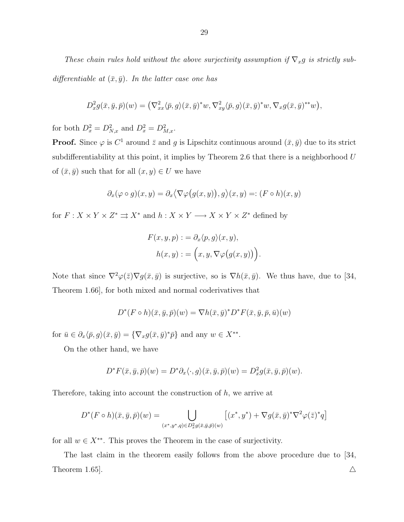These chain rules hold without the above surjectivity assumption if  $\nabla_x g$  is strictly subdifferentiable at  $(\bar{x}, \bar{y})$ . In the latter case one has

$$
D_x^2 g(\bar{x}, \bar{y}, \bar{p})(w) = (\nabla_{xx}^2 \langle \bar{p}, g \rangle (\bar{x}, \bar{y})^* w, \nabla_{xy}^2 \langle \bar{p}, g \rangle (\bar{x}, \bar{y})^* w, \nabla_x g(\bar{x}, \bar{y})^{**} w),
$$

for both  $D_x^2 = D_{N,x}^2$  and  $D_x^2 = D_{M,x}^2$ .

**Proof.** Since  $\varphi$  is  $C^1$  around  $\bar{z}$  and g is Lipschitz continuous around  $(\bar{x}, \bar{y})$  due to its strict subdifferentiability at this point, it implies by Theorem 2.6 that there is a neighborhood  $U$ of  $(\bar{x}, \bar{y})$  such that for all  $(x, y) \in U$  we have

$$
\partial_x(\varphi \circ g)(x, y) = \partial_x \langle \nabla \varphi(g(x, y)), g \rangle(x, y) =: (F \circ h)(x, y)
$$

for  $F: X \times Y \times Z^* \rightrightarrows X^*$  and  $h: X \times Y \longrightarrow X \times Y \times Z^*$  defined by

$$
F(x, y, p) := \partial_x \langle p, g \rangle (x, y),
$$

$$
h(x, y) := (x, y, \nabla \varphi (g(x, y)))
$$

.

Note that since  $\nabla^2 \varphi(\bar{z}) \nabla g(\bar{x}, \bar{y})$  is surjective, so is  $\nabla h(\bar{x}, \bar{y})$ . We thus have, due to [34, Theorem 1.66], for both mixed and normal coderivatives that

$$
D^*(F \circ h)(\bar{x}, \bar{y}, \bar{p})(w) = \nabla h(\bar{x}, \bar{y})^* D^* F(\bar{x}, \bar{y}, \bar{p}, \bar{u})(w)
$$

for  $\bar{u} \in \partial_x \langle \bar{p}, g \rangle (\bar{x}, \bar{y}) = \{ \nabla_x g(\bar{x}, \bar{y})^* \bar{p} \}$  and any  $w \in X^{**}$ .

On the other hand, we have

$$
D^*F(\bar{x}, \bar{y}, \bar{p})(w) = D^*\partial_x \langle \cdot, g \rangle (\bar{x}, \bar{y}, \bar{p})(w) = D_x^2 g(\bar{x}, \bar{y}, \bar{p})(w).
$$

Therefore, taking into account the construction of  $h$ , we arrive at

$$
D^*(F \circ h)(\bar{x}, \bar{y}, \bar{p})(w) = \bigcup_{(x^*, y^*, q) \in D_x^2 g(\bar{x}, \bar{y}, \bar{p})(w)} [(x^*, y^*) + \nabla g(\bar{x}, \bar{y})^* \nabla^2 \varphi(\bar{z})^* q]
$$

for all  $w \in X^{**}$ . This proves the Theorem in the case of surjectivity.

The last claim in the theorem easily follows from the above procedure due to [34, Theorem 1.65].  $\triangle$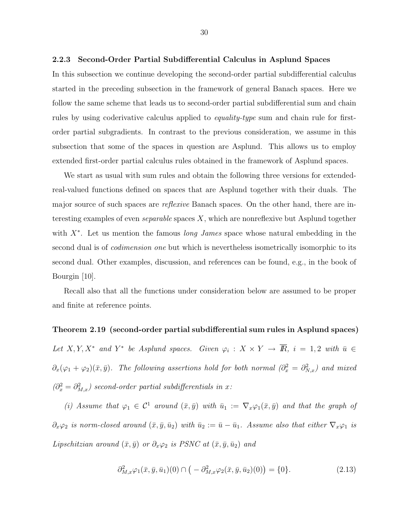#### 2.2.3 Second-Order Partial Subdifferential Calculus in Asplund Spaces

In this subsection we continue developing the second-order partial subdifferential calculus started in the preceding subsection in the framework of general Banach spaces. Here we follow the same scheme that leads us to second-order partial subdifferential sum and chain rules by using coderivative calculus applied to equality-type sum and chain rule for firstorder partial subgradients. In contrast to the previous consideration, we assume in this subsection that some of the spaces in question are Asplund. This allows us to employ extended first-order partial calculus rules obtained in the framework of Asplund spaces.

We start as usual with sum rules and obtain the following three versions for extendedreal-valued functions defined on spaces that are Asplund together with their duals. The major source of such spaces are *reflexive* Banach spaces. On the other hand, there are interesting examples of even *separable* spaces  $X$ , which are nonreflexive but Asplund together with  $X^*$ . Let us mention the famous *long James* space whose natural embedding in the second dual is of *codimension one* but which is nevertheless isometrically isomorphic to its second dual. Other examples, discussion, and references can be found, e.g., in the book of Bourgin [10].

Recall also that all the functions under consideration below are assumed to be proper and finite at reference points.

## Theorem 2.19 (second-order partial subdifferential sum rules in Asplund spaces)

Let X, Y, X<sup>\*</sup> and Y<sup>\*</sup> be Asplund spaces. Given  $\varphi_i : X \times Y \to \overline{R}$ ,  $i = 1, 2$  with  $\overline{u} \in$  $\partial_x(\varphi_1+\varphi_2)(\bar{x},\bar{y})$ . The following assertions hold for both normal  $(\partial_x^2=\partial_{N,x}^2)$  and mixed  $(\partial_x^2 = \partial_{M,x}^2)$  second-order partial subdifferentials in x:

(i) Assume that  $\varphi_1 \in C^1$  around  $(\bar{x}, \bar{y})$  with  $\bar{u}_1 := \nabla_x \varphi_1(\bar{x}, \bar{y})$  and that the graph of  $\partial_x\varphi_2$  is norm-closed around  $(\bar{x}, \bar{y}, \bar{u}_2)$  with  $\bar{u}_2 := \bar{u} - \bar{u}_1$ . Assume also that either  $\nabla_x\varphi_1$  is Lipschitzian around  $(\bar{x}, \bar{y})$  or  $\partial_x \varphi_2$  is PSNC at  $(\bar{x}, \bar{y}, \bar{u}_2)$  and

$$
\partial_{M,x}^2 \varphi_1(\bar{x}, \bar{y}, \bar{u}_1)(0) \cap \left( -\partial_{M,x}^2 \varphi_2(\bar{x}, \bar{y}, \bar{u}_2)(0) \right) = \{0\}. \tag{2.13}
$$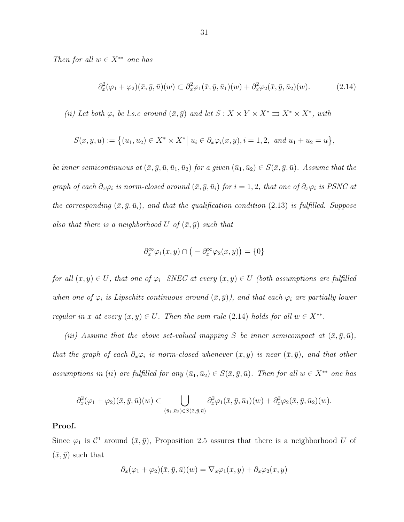Then for all  $w \in X^{**}$  one has

$$
\partial_x^2(\varphi_1+\varphi_2)(\bar{x},\bar{y},\bar{u})(w) \subset \partial_x^2\varphi_1(\bar{x},\bar{y},\bar{u}_1)(w) + \partial_x^2\varphi_2(\bar{x},\bar{y},\bar{u}_2)(w). \tag{2.14}
$$

(ii) Let both  $\varphi_i$  be l.s.c around  $(\bar{x}, \bar{y})$  and let  $S : X \times Y \times X^* \Rightarrow X^* \times X^*$ , with

$$
S(x, y, u) := \{(u_1, u_2) \in X^* \times X^* \mid u_i \in \partial_x \varphi_i(x, y), i = 1, 2, \text{ and } u_1 + u_2 = u\},\
$$

be inner semicontinuous at  $(\bar{x}, \bar{y}, \bar{u}, \bar{u}_1, \bar{u}_2)$  for a given  $(\bar{u}_1, \bar{u}_2) \in S(\bar{x}, \bar{y}, \bar{u})$ . Assume that the graph of each  $\partial_x\varphi_i$  is norm-closed around  $(\bar{x}, \bar{y}, \bar{u}_i)$  for  $i = 1, 2$ , that one of  $\partial_x\varphi_i$  is PSNC at the corresponding  $(\bar{x}, \bar{y}, \bar{u}_i)$ , and that the qualification condition (2.13) is fulfilled. Suppose also that there is a neighborhood U of  $(\bar{x}, \bar{y})$  such that

$$
\partial_x^{\infty} \varphi_1(x, y) \cap \big(- \partial_x^{\infty} \varphi_2(x, y)\big) = \{0\}
$$

for all  $(x, y) \in U$ , that one of  $\varphi_i$  SNEC at every  $(x, y) \in U$  (both assumptions are fulfilled when one of  $\varphi_i$  is Lipschitz continuous around  $(\bar{x}, \bar{y})$ , and that each  $\varphi_i$  are partially lower regular in x at every  $(x, y) \in U$ . Then the sum rule (2.14) holds for all  $w \in X^{**}$ .

(iii) Assume that the above set-valued mapping S be inner semicompact at  $(\bar{x}, \bar{y}, \bar{u})$ , that the graph of each  $\partial_x\varphi_i$  is norm-closed whenever  $(x, y)$  is near  $(\bar{x}, \bar{y})$ , and that other assumptions in (ii) are fulfilled for any  $(\bar{u}_1, \bar{u}_2) \in S(\bar{x}, \bar{y}, \bar{u})$ . Then for all  $w \in X^{**}$  one has

$$
\partial_x^2(\varphi_1+\varphi_2)(\bar{x},\bar{y},\bar{u})(w) \subset \bigcup_{(\bar{u}_1,\bar{u}_2)\in S(\bar{x},\bar{y},\bar{u})} \partial_x^2\varphi_1(\bar{x},\bar{y},\bar{u}_1)(w) + \partial_x^2\varphi_2(\bar{x},\bar{y},\bar{u}_2)(w).
$$

#### Proof.

Since  $\varphi_1$  is  $\mathcal{C}^1$  around  $(\bar{x}, \bar{y})$ , Proposition 2.5 assures that there is a neighborhood U of  $(\bar{x}, \bar{y})$  such that

$$
\partial_x(\varphi_1+\varphi_2)(\bar{x},\bar{y},\bar{u})(w) = \nabla_x\varphi_1(x,y) + \partial_x\varphi_2(x,y)
$$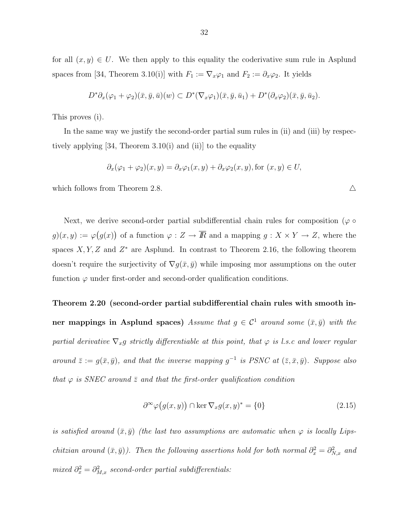for all  $(x, y) \in U$ . We then apply to this equality the coderivative sum rule in Asplund spaces from [34, Theorem 3.10(i)] with  $F_1 := \nabla_x \varphi_1$  and  $F_2 := \partial_x \varphi_2$ . It yields

$$
D^*\partial_x(\varphi_1+\varphi_2)(\bar{x},\bar{y},\bar{u})(w) \subset D^*(\nabla_x\varphi_1)(\bar{x},\bar{y},\bar{u}_1) + D^*(\partial_x\varphi_2)(\bar{x},\bar{y},\bar{u}_2).
$$

This proves (i).

In the same way we justify the second-order partial sum rules in (ii) and (iii) by respectively applying  $[34,$  Theorem  $3.10(i)$  and  $(ii)$ ] to the equality

$$
\partial_x(\varphi_1 + \varphi_2)(x, y) = \partial_x \varphi_1(x, y) + \partial_x \varphi_2(x, y), \text{for } (x, y) \in U,
$$

which follows from Theorem 2.8.  $\triangle$ 

Next, we derive second-order partial subdifferential chain rules for composition ( $\varphi \circ$  $g(x, y) := \varphi(g(x))$  of a function  $\varphi : Z \to \overline{R}$  and a mapping  $g : X \times Y \to Z$ , where the spaces  $X, Y, Z$  and  $Z^*$  are Asplund. In contrast to Theorem 2.16, the following theorem doesn't require the surjectivity of  $\nabla g(\bar{x}, \bar{y})$  while imposing mor assumptions on the outer function  $\varphi$  under first-order and second-order qualification conditions.

Theorem 2.20 (second-order partial subdifferential chain rules with smooth inner mappings in Asplund spaces) Assume that  $g \in C^1$  around some  $(\bar{x}, \bar{y})$  with the partial derivative  $\nabla_x g$  strictly differentiable at this point, that  $\varphi$  is l.s.c and lower regular around  $\bar{z} := g(\bar{x}, \bar{y})$ , and that the inverse mapping  $g^{-1}$  is PSNC at  $(\bar{z}, \bar{x}, \bar{y})$ . Suppose also that  $\varphi$  is SNEC around  $\bar{z}$  and that the first-order qualification condition

$$
\partial^{\infty} \varphi(g(x, y)) \cap \ker \nabla_x g(x, y)^* = \{0\}
$$
\n(2.15)

is satisfied around  $(\bar{x}, \bar{y})$  (the last two assumptions are automatic when  $\varphi$  is locally Lipschitzian around  $(\bar{x}, \bar{y})$ ). Then the following assertions hold for both normal  $\partial_x^2 = \partial_{N,x}^2$  and mixed  $\partial_x^2 = \partial_{M,x}^2$  second-order partial subdifferentials: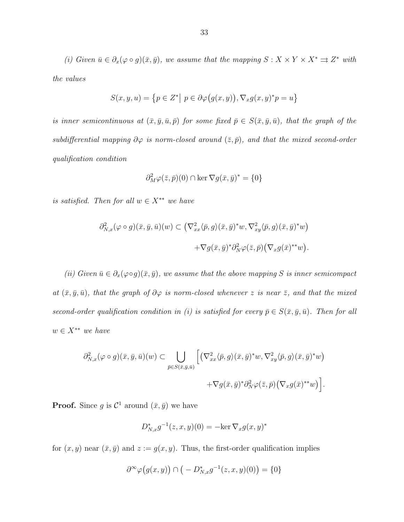(i) Given  $\bar{u} \in \partial_x(\varphi \circ g)(\bar{x}, \bar{y})$ , we assume that the mapping  $S : X \times Y \times X^* \Rightarrow Z^*$  with the values

$$
S(x, y, u) = \{ p \in Z^* | p \in \partial \varphi(g(x, y)), \nabla_x g(x, y)^* p = u \}
$$

is inner semicontinuous at  $(\bar{x}, \bar{y}, \bar{u}, \bar{p})$  for some fixed  $\bar{p} \in S(\bar{x}, \bar{y}, \bar{u})$ , that the graph of the subdifferential mapping  $\partial \varphi$  is norm-closed around  $(\bar{z}, \bar{p})$ , and that the mixed second-order qualification condition

$$
\partial_M^2 \varphi(\bar{z}, \bar{p})(0) \cap \ker \nabla g(\bar{x}, \bar{y})^* = \{0\}
$$

is satisfied. Then for all  $w \in X^{**}$  we have

$$
\partial_{N,x}^2(\varphi \circ g)(\bar{x}, \bar{y}, \bar{u})(w) \subset \left(\nabla_{xx}^2 \langle \bar{p}, g \rangle (\bar{x}, \bar{y})^* w, \nabla_{xy}^2 \langle \bar{p}, g \rangle (\bar{x}, \bar{y})^* w\right) \n+ \nabla g(\bar{x}, \bar{y})^* \partial_N^2 \varphi(\bar{z}, \bar{p}) \left(\nabla_x g(\bar{x})^{**} w\right).
$$

(ii) Given  $\bar{u} \in \partial_x(\varphi \circ g)(\bar{x}, \bar{y})$ , we assume that the above mapping S is inner semicompact at  $(\bar{x}, \bar{y}, \bar{u})$ , that the graph of  $\partial \varphi$  is norm-closed whenever z is near  $\bar{z}$ , and that the mixed second-order qualification condition in (i) is satisfied for every  $\bar{p} \in S(\bar{x}, \bar{y}, \bar{u})$ . Then for all  $w ∈ X^{**}$  we have

$$
\partial_{N,x}^2(\varphi \circ g)(\bar{x}, \bar{y}, \bar{u})(w) \subset \bigcup_{\bar{p} \in S(\bar{x}, \bar{y}, \bar{u})} \left[ \left( \nabla_{xx}^2 \langle \bar{p}, g \rangle (\bar{x}, \bar{y})^* w, \nabla_{xy}^2 \langle \bar{p}, g \rangle (\bar{x}, \bar{y})^* w \right) \right. \\ \left. + \nabla g(\bar{x}, \bar{y})^* \partial_N^2 \varphi(\bar{z}, \bar{p}) \left( \nabla_x g(\bar{x})^{**} w \right) \right].
$$

**Proof.** Since g is  $\mathcal{C}^1$  around  $(\bar{x}, \bar{y})$  we have

$$
D_{N,x}^*g^{-1}(z,x,y)(0) = -\ker \nabla_x g(x,y)^*
$$

for  $(x, y)$  near  $(\bar{x}, \bar{y})$  and  $z := g(x, y)$ . Thus, the first-order qualification implies

$$
\partial^{\infty} \varphi(g(x, y)) \cap \big(-D^*_{N,x}g^{-1}(z, x, y)(0)\big) = \{0\}
$$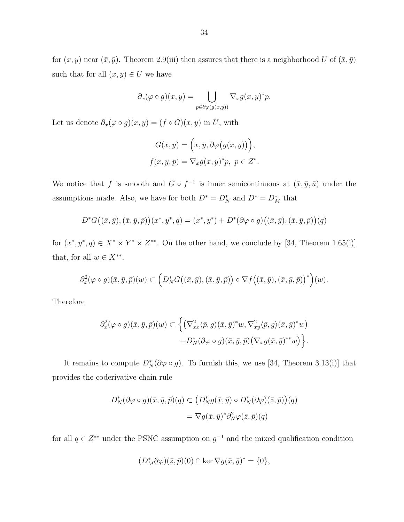for  $(x, y)$  near  $(\bar{x}, \bar{y})$ . Theorem 2.9(iii) then assures that there is a neighborhood U of  $(\bar{x}, \bar{y})$ such that for all  $(x, y) \in U$  we have

$$
\partial_x(\varphi \circ g)(x, y) = \bigcup_{p \in \partial \varphi(g(x, y))} \nabla_x g(x, y)^* p.
$$

Let us denote  $\partial_x(\varphi \circ g)(x, y) = (f \circ G)(x, y)$  in U, with

$$
G(x, y) = (x, y, \partial \varphi (g(x, y))),
$$
  

$$
f(x, y, p) = \nabla_x g(x, y)^* p, \ p \in Z^*.
$$

We notice that f is smooth and  $G \circ f^{-1}$  is inner semicontinuous at  $(\bar{x}, \bar{y}, \bar{u})$  under the assumptions made. Also, we have for both  $D^* = D_N^*$  and  $D^* = D_M^*$  that

$$
D^*G((\bar{x},\bar{y}),(\bar{x},\bar{y},\bar{p}))(x^*,y^*,q)=(x^*,y^*)+D^*(\partial\varphi\circ g)((\bar{x},\bar{y}),(\bar{x},\bar{y},\bar{p}))(q)
$$

for  $(x^*, y^*, q) \in X^* \times Y^* \times Z^{**}$ . On the other hand, we conclude by [34, Theorem 1.65(i)] that, for all  $w \in X^{**}$ ,

$$
\partial_x^2(\varphi \circ g)(\bar{x}, \bar{y}, \bar{p})(w) \subset \left(D_N^*G\big((\bar{x}, \bar{y}), (\bar{x}, \bar{y}, \bar{p})\big) \circ \nabla f\big((\bar{x}, \bar{y}), (\bar{x}, \bar{y}, \bar{p})\big)^*\right)(w).
$$

Therefore

$$
\partial_x^2(\varphi \circ g)(\bar{x}, \bar{y}, \bar{p})(w) \subset \left\{ \left( \nabla_{xx}^2 \langle \bar{p}, g \rangle (\bar{x}, \bar{y})^* w, \nabla_{xy}^2 \langle \bar{p}, g \rangle (\bar{x}, \bar{y})^* w \right) \right. \\ \left. + D_N^*(\partial \varphi \circ g)(\bar{x}, \bar{y}, \bar{p}) \left( \nabla_x g(\bar{x}, \bar{y})^{**} w \right) \right\}.
$$

It remains to compute  $D_N^*(\partial \varphi \circ g)$ . To furnish this, we use [34, Theorem 3.13(i)] that provides the coderivative chain rule

$$
D_N^*(\partial \varphi \circ g)(\bar{x}, \bar{y}, \bar{p})(q) \subset (D_N^* g(\bar{x}, \bar{y}) \circ D_N^*(\partial \varphi)(\bar{z}, \bar{p}))(q)
$$
  
=  $\nabla g(\bar{x}, \bar{y})^* \partial_N^2 \varphi(\bar{z}, \bar{p})(q)$ 

for all  $q \in Z^{**}$  under the PSNC assumption on  $g^{-1}$  and the mixed qualification condition

$$
(D_M^* \partial \varphi)(\overline{z}, \overline{p})(0) \cap \ker \nabla g(\overline{x}, \overline{y})^* = \{0\},\
$$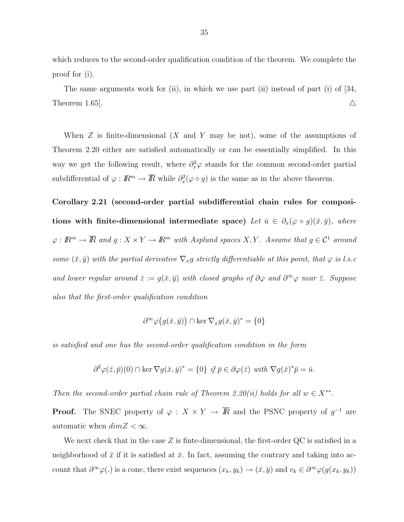which reduces to the second-order qualification condition of the theorem. We complete the proof for (i).

The same arguments work for (ii), in which we use part (ii) instead of part (i) of [34, Theorem 1.65].  $\triangle$ 

When  $Z$  is finite-dimensional  $(X \text{ and } Y \text{ may be not}),$  some of the assumptions of Theorem 2.20 either are satisfied automatically or can be essentially simplified. In this way we get the following result, where  $\partial_x^2 \varphi$  stands for the common second-order partial subdifferential of  $\varphi : \mathbb{R}^m \to \overline{\mathbb{R}}$  while  $\partial_x^2(\varphi \circ g)$  is the same as in the above theorem.

Corollary 2.21 (second-order partial subdifferential chain rules for compositions with finite-dimensional intermediate space) Let  $\bar{u} \in \partial_x(\varphi \circ g)(\bar{x}, \bar{y})$ , where  $\varphi : \mathbb{R}^m \to \overline{\mathbb{R}}$  and  $g : X \times Y \to \mathbb{R}^m$  with Asplund spaces  $X, Y$ . Assume that  $g \in \mathcal{C}^1$  around some  $(\bar{x}, \bar{y})$  with the partial derivative  $\nabla_x g$  strictly differentiable at this point, that  $\varphi$  is l.s.c and lower regular around  $\bar{z} := g(\bar{x}, \bar{y})$  with closed graphs of  $\partial \varphi$  and  $\partial^{\infty} \varphi$  near  $\bar{z}$ . Suppose also that the first-order qualification condition

$$
\partial^{\infty} \varphi(g(\bar{x}, \bar{y})) \cap \ker \nabla_x g(\bar{x}, \bar{y})^* = \{0\}
$$

is satisfied and one has the second-order qualification condition in the form

$$
\partial^2 \varphi(\bar{z}, \bar{p})(0) \cap \ker \nabla g(\bar{x}, \bar{y})^* = \{0\} \text{ if } \bar{p} \in \partial \varphi(\bar{z}) \text{ with } \nabla g(\bar{x})^* \bar{p} = \bar{u}.
$$

Then the second-order partial chain rule of Theorem 2.20(ii) holds for all  $w \in X^{**}$ .

**Proof.** The SNEC property of  $\varphi : X \times Y \to \overline{R}$  and the PSNC property of  $g^{-1}$  are automatic when  $dim Z < \infty$ .

We next check that in the case  $Z$  is finte-dimensional, the first-order  $QC$  is satisfied in a neighborhood of  $\bar{x}$  if it is satisfied at  $\bar{x}$ . In fact, assuming the contrary and taking into account that  $\partial^{\infty}\varphi(.)$  is a cone, there exist sequences  $(x_k, y_k) \to (\bar{x}, \bar{y})$  and  $v_k \in \partial^{\infty}\varphi(g(x_k, y_k))$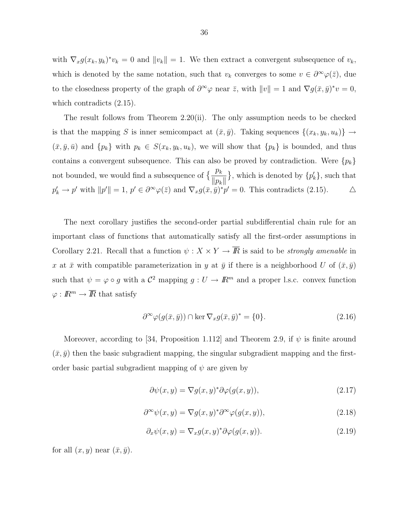with  $\nabla_x g(x_k, y_k)^* v_k = 0$  and  $||v_k|| = 1$ . We then extract a convergent subsequence of  $v_k$ , which is denoted by the same notation, such that  $v_k$  converges to some  $v \in \partial^{\infty} \varphi(\bar{z})$ , due to the closedness property of the graph of  $\partial^{\infty}\varphi$  near  $\bar{z}$ , with  $||v|| = 1$  and  $\nabla g(\bar{x}, \bar{y})^*v = 0$ , which contradicts  $(2.15)$ .

The result follows from Theorem 2.20(ii). The only assumption needs to be checked is that the mapping S is inner semicompact at  $(\bar{x}, \bar{y})$ . Taking sequences  $\{(x_k, y_k, u_k)\}\rightarrow$  $(\bar{x}, \bar{y}, \bar{u})$  and  $\{p_k\}$  with  $p_k \in S(x_k, y_k, u_k)$ , we will show that  $\{p_k\}$  is bounded, and thus contains a convergent subsequence. This can also be proved by contradiction. Were  $\{p_k\}$ not bounded, we would find a subsequence of  $\left\{\frac{p_k}{p}\right\}$  $\|p_k\|$ }, which is denoted by  $\{p'_{k}\}\$ , such that  $p'_k \to p'$  with  $||p'|| = 1$ ,  $p' \in \partial^{\infty} \varphi(\bar{z})$  and  $\nabla_x g(\bar{x}, \bar{y})^* p' = 0$ . This contradicts (2.15).  $\Delta$ 

The next corollary justifies the second-order partial subdifferential chain rule for an important class of functions that automatically satisfy all the first-order assumptions in Corollary 2.21. Recall that a function  $\psi : X \times Y \to \overline{R}$  is said to be *strongly amenable* in x at  $\bar{x}$  with compatible parameterization in y at  $\bar{y}$  if there is a neighborhood U of  $(\bar{x}, \bar{y})$ such that  $\psi = \varphi \circ g$  with a  $\mathcal{C}^2$  mapping  $g: U \to \mathbb{R}^m$  and a proper l.s.c. convex function  $\varphi : \mathbb{R}^m \to \overline{\mathbb{R}}$  that satisfy

$$
\partial^{\infty} \varphi(g(\bar{x}, \bar{y})) \cap \ker \nabla_x g(\bar{x}, \bar{y})^* = \{0\}.
$$
\n(2.16)

Moreover, according to [34, Proposition 1.112] and Theorem 2.9, if  $\psi$  is finite around  $(\bar{x}, \bar{y})$  then the basic subgradient mapping, the singular subgradient mapping and the firstorder basic partial subgradient mapping of  $\psi$  are given by

$$
\partial \psi(x, y) = \nabla g(x, y)^* \partial \varphi(g(x, y)), \qquad (2.17)
$$

$$
\partial^{\infty} \psi(x, y) = \nabla g(x, y)^{*} \partial^{\infty} \varphi(g(x, y)), \qquad (2.18)
$$

$$
\partial_x \psi(x, y) = \nabla_x g(x, y)^* \partial \varphi(g(x, y)). \tag{2.19}
$$

for all  $(x, y)$  near  $(\bar{x}, \bar{y})$ .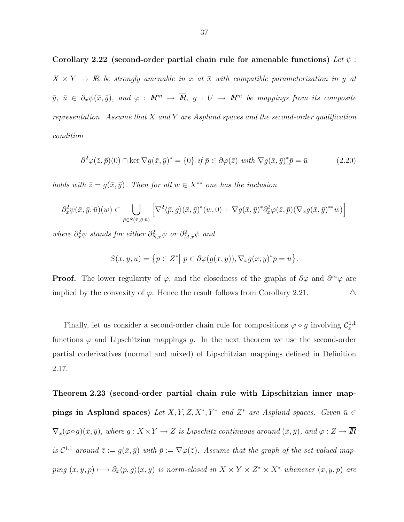Corollary 2.22 (second-order partial chain rule for amenable functions) Let  $\psi$ :  $X \times Y \to \overline{R}$  be strongly amenable in x at  $\overline{x}$  with compatible parameterization in y at  $\bar{y}, \bar{u} \in \partial_x \psi(\bar{x}, \bar{y}), \text{ and } \varphi : \mathbb{R}^m \to \overline{\mathbb{R}}, \ g : U \to \mathbb{R}^m \text{ be mappings from its composite }$ representation. Assume that  $X$  and  $Y$  are Asplund spaces and the second-order qualification condition

$$
\partial^2 \varphi(\bar{z}, \bar{p})(0) \cap \ker \nabla g(\bar{x}, \bar{y})^* = \{0\} \text{ if } \bar{p} \in \partial \varphi(\bar{z}) \text{ with } \nabla g(\bar{x}, \bar{y})^* \bar{p} = \bar{u} \tag{2.20}
$$

holds with  $\bar{z} = g(\bar{x}, \bar{y})$ . Then for all  $w \in X^{**}$  one has the inclusion

$$
\partial_x^2 \psi(\bar{x}, \bar{y}, \bar{u})(w) \subset \bigcup_{\bar{p} \in S(\bar{x}, \bar{y}, \bar{u})} \left[ \nabla^2 \langle \bar{p}, g \rangle (\bar{x}, \bar{y})^* (w, 0) + \nabla g(\bar{x}, \bar{y})^* \partial_x^2 \varphi(\bar{z}, \bar{p}) (\nabla_x g(\bar{x}, \bar{y})^{**} w) \right]
$$

where  $\partial_x^2 \psi$  stands for either  $\partial_{N,x}^2 \psi$  or  $\partial_{M,x}^2 \psi$  and

$$
S(x, y, u) = \{ p \in Z^* | p \in \partial \varphi(g(x, y)), \nabla_x g(x, y)^* p = u \}.
$$

**Proof.** The lower regularity of  $\varphi$ , and the closedness of the graphs of  $\partial\varphi$  and  $\partial^{\infty}\varphi$  are implied by the convexity of  $\varphi$ . Hence the result follows from Corollary 2.21.  $\triangle$ 

Finally, let us consider a second-order chain rule for compositions  $\varphi \circ g$  involving  $\mathcal{C}_x^{1,1}$ functions  $\varphi$  and Lipschitzian mappings g. In the next theorem we use the second-order partial coderivatives (normal and mixed) of Lipschitzian mappings defined in Definition 2.17.

Theorem 2.23 (second-order partial chain rule with Lipschitzian inner mappings in Asplund spaces) Let  $X, Y, Z, X^*, Y^*$  and  $Z^*$  are Asplund spaces. Given  $\bar{u} \in$  $\nabla_x(\varphi \circ g)(\bar{x}, \bar{y}),$  where  $g: X \times Y \to Z$  is Lipschitz continuous around  $(\bar{x}, \bar{y}),$  and  $\varphi: Z \to \overline{I\!R}$ is  $\mathcal{C}^{1,1}$  around  $\bar{z} := g(\bar{x}, \bar{y})$  with  $\bar{p} := \nabla \varphi(\bar{z})$ . Assume that the graph of the set-valued mapping  $(x, y, p) \rightarrow \partial_x \langle p, g \rangle (x, y)$  is norm-closed in  $X \times Y \times Z^* \times X^*$  whenever  $(x, y, p)$  are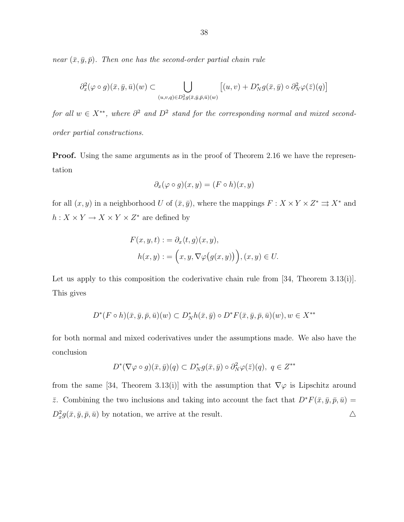near  $(\bar{x}, \bar{y}, \bar{p})$ . Then one has the second-order partial chain rule

$$
\partial_x^2(\varphi \circ g)(\bar{x}, \bar{y}, \bar{u})(w) \subset \bigcup_{(u,v,q) \in D_x^2 g(\bar{x}, \bar{y}, \bar{p}, \bar{u})(w)} [(u,v) + D_N^* g(\bar{x}, \bar{y}) \circ \partial_N^2 \varphi(\bar{z})(q)]
$$

for all  $w \in X^{**}$ , where  $\partial^2$  and  $D^2$  stand for the corresponding normal and mixed secondorder partial constructions.

Proof. Using the same arguments as in the proof of Theorem 2.16 we have the representation

$$
\partial_x(\varphi \circ g)(x, y) = (F \circ h)(x, y)
$$

for all  $(x, y)$  in a neighborhood U of  $(\bar{x}, \bar{y})$ , where the mappings  $F : X \times Y \times Z^* \rightrightarrows X^*$  and  $h: X \times Y \to X \times Y \times Z^*$  are defined by

$$
F(x, y, t) := \partial_x \langle t, g \rangle (x, y),
$$
  

$$
h(x, y) := (x, y, \nabla \varphi (g(x, y))), (x, y) \in U.
$$

Let us apply to this composition the coderivative chain rule from [34, Theorem 3.13(i)]. This gives

$$
D^*(F \circ h)(\bar{x}, \bar{y}, \bar{p}, \bar{u})(w) \subset D_N^*h(\bar{x}, \bar{y}) \circ D^*F(\bar{x}, \bar{y}, \bar{p}, \bar{u})(w), w \in X^{**}
$$

for both normal and mixed coderivatives under the assumptions made. We also have the conclusion

$$
D^*(\nabla \varphi \circ g)(\bar{x}, \bar{y})(q) \subset D^*_N g(\bar{x}, \bar{y}) \circ \partial^2_N \varphi(\bar{z})(q), \ q \in Z^{**}
$$

from the same [34, Theorem 3.13(i)] with the assumption that  $\nabla\varphi$  is Lipschitz around  $\bar{z}$ . Combining the two inclusions and taking into account the fact that  $D^*F(\bar{x}, \bar{y}, \bar{p}, \bar{u}) =$  $D_x^2 g(\bar{x}, \bar{y}, \bar{p}, \bar{u})$  by notation, we arrive at the result.  $\triangle$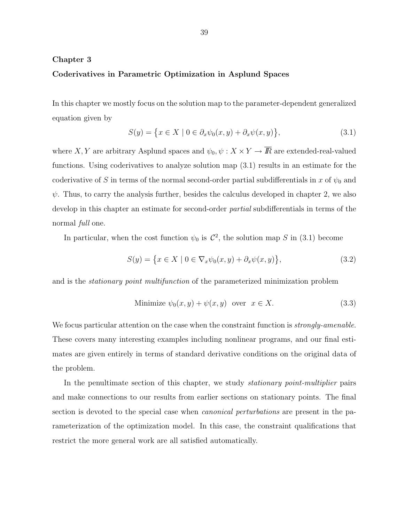## Chapter 3

# Coderivatives in Parametric Optimization in Asplund Spaces

In this chapter we mostly focus on the solution map to the parameter-dependent generalized equation given by

$$
S(y) = \{x \in X \mid 0 \in \partial_x \psi_0(x, y) + \partial_x \psi(x, y)\},\tag{3.1}
$$

where  $X, Y$  are arbitrary Asplund spaces and  $\psi_0, \psi: X \times Y \to \overline{I\!\!R}$  are extended-real-valued functions. Using coderivatives to analyze solution map (3.1) results in an estimate for the coderivative of S in terms of the normal second-order partial subdifferentials in x of  $\psi_0$  and  $\psi$ . Thus, to carry the analysis further, besides the calculus developed in chapter 2, we also develop in this chapter an estimate for second-order *partial* subdifferentials in terms of the normal *full* one.

In particular, when the cost function  $\psi_0$  is  $\mathcal{C}^2$ , the solution map S in (3.1) become

$$
S(y) = \left\{ x \in X \mid 0 \in \nabla_x \psi_0(x, y) + \partial_x \psi(x, y) \right\},\tag{3.2}
$$

and is the stationary point multifunction of the parameterized minimization problem

Minimize 
$$
\psi_0(x, y) + \psi(x, y)
$$
 over  $x \in X$ . (3.3)

We focus particular attention on the case when the constraint function is *strongly-amenable*. These covers many interesting examples including nonlinear programs, and our final estimates are given entirely in terms of standard derivative conditions on the original data of the problem.

In the penultimate section of this chapter, we study *stationary point-multiplier* pairs and make connections to our results from earlier sections on stationary points. The final section is devoted to the special case when canonical perturbations are present in the parameterization of the optimization model. In this case, the constraint qualifications that restrict the more general work are all satisfied automatically.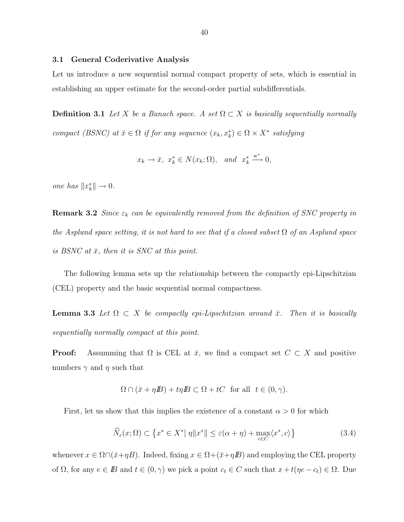### 3.1 General Coderivative Analysis

Let us introduce a new sequential normal compact property of sets, which is essential in establishing an upper estimate for the second-order partial subdifferentials.

**Definition 3.1** Let X be a Banach space. A set  $\Omega \subset X$  is basically sequentially normally compact (BSNC) at  $\bar{x} \in \Omega$  if for any sequence  $(x_k, x_k^*) \in \Omega \times X^*$  satisfying

$$
x_k \to \bar{x}, \ x_k^* \in N(x_k; \Omega), \text{ and } x_k^* \xrightarrow{w^*} 0,
$$

one has  $||x_k^*|| \to 0$ .

**Remark 3.2** Since  $\varepsilon_k$  can be equivalently removed from the definition of SNC property in the Asplund space setting, it is not hard to see that if a closed subset  $\Omega$  of an Asplund space is BSNC at  $\bar{x}$ , then it is SNC at this point.

The following lemma sets up the relationship between the compactly epi-Lipschitzian (CEL) property and the basic sequential normal compactness.

**Lemma 3.3** Let  $\Omega \subset X$  be compactly epi-Lipschitzian around  $\bar{x}$ . Then it is basically sequentially normally compact at this point.

**Proof:** Assumming that  $\Omega$  is CEL at  $\bar{x}$ , we find a compact set  $C \subset X$  and positive numbers  $\gamma$  and  $\eta$  such that

$$
\Omega \cap (\bar{x} + \eta B) + t\eta B \subset \Omega + tC \text{ for all } t \in (0, \gamma).
$$

First, let us show that this implies the existence of a constant  $\alpha > 0$  for which

$$
\widehat{N}_{\varepsilon}(x;\Omega) \subset \left\{ x^* \in X^* \middle| \ \eta \middle\| x^* \middle\| \le \varepsilon(\alpha + \eta) + \max_{c \in C} \langle x^*, c \rangle \right\}
$$
\n(3.4)

whenever  $x \in \Omega \cap (\bar{x} + \eta B)$ . Indeed, fixing  $x \in \Omega + (\bar{x} + \eta B)$  and employing the CEL property of  $\Omega$ , for any  $e \in \mathbb{B}$  and  $t \in (0, \gamma)$  we pick a point  $c_t \in C$  such that  $x + t(\eta e - c_t) \in \Omega$ . Due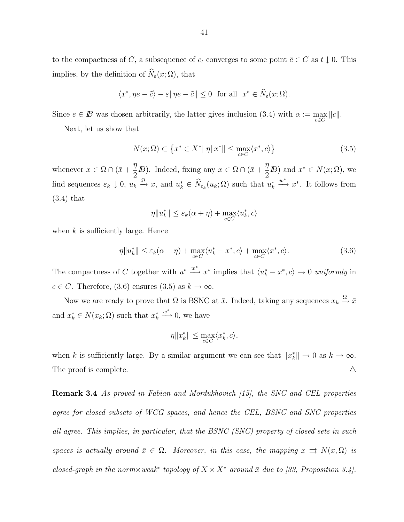to the compactness of C, a subsequence of  $c_t$  converges to some point  $\tilde{c} \in C$  as  $t \downarrow 0$ . This implies, by the definition of  $\widehat{N}_{\varepsilon}(x; \Omega)$ , that

$$
\langle x^*, \eta e - \tilde{c} \rangle - \varepsilon \|\eta e - \tilde{c}\| \le 0 \text{ for all } x^* \in \widehat{N}_{\varepsilon}(x; \Omega).
$$

Since  $e \in \mathbb{B}$  was chosen arbitrarily, the latter gives inclusion (3.4) with  $\alpha := \max_{c \in C} ||c||$ .

Next, let us show that

$$
N(x; \Omega) \subset \left\{ x^* \in X^* \mid \eta \| x^* \right\} \le \max_{c \in C} \langle x^*, c \rangle \right\} \tag{3.5}
$$

whenever  $x \in \Omega \cap (\bar{x} + \frac{\eta}{2})$ 2 *IB*). Indeed, fixing any  $x \in \Omega \cap (\bar{x} + \frac{\eta}{\Omega})$ 2 *IB*) and  $x^* \in N(x; \Omega)$ , we find sequences  $\varepsilon_k \downarrow 0$ ,  $u_k \stackrel{\Omega}{\to} x$ , and  $u_k^* \in \widehat{N}_{\varepsilon_k}(u_k; \Omega)$  such that  $u_k^*$  $\stackrel{w^*}{\longrightarrow} x^*$ . It follows from (3.4) that

$$
\eta\|u_k^*\|\leq\varepsilon_k(\alpha+\eta)+\max_{c\in C}\langle u_k^*,c\rangle
$$

when  $k$  is sufficiently large. Hence

$$
\eta \|u_k^*\| \le \varepsilon_k(\alpha + \eta) + \max_{c \in C} \langle u_k^* - x^*, c \rangle + \max_{c \in C} \langle x^*, c \rangle.
$$
 (3.6)

The compactness of C together with  $u^* \stackrel{w^*}{\longrightarrow} x^*$  implies that  $\langle u_k^* - x^*, c \rangle \to 0$  uniformly in  $c \in C$ . Therefore, (3.6) ensures (3.5) as  $k \to \infty$ .

Now we are ready to prove that  $\Omega$  is BSNC at  $\bar{x}$ . Indeed, taking any sequences  $x_k \stackrel{\Omega}{\rightarrow} \bar{x}$ and  $x_k^* \in N(x_k; \Omega)$  such that  $x_k^*$  $\stackrel{w^*}{\longrightarrow} 0$ , we have

$$
\eta\|x_k^*\|\leq \max_{c\in C}\langle x_k^*,c\rangle,
$$

when k is sufficiently large. By a similar argument we can see that  $||x_k^*|| \to 0$  as  $k \to \infty$ . The proof is complete.  $\triangle$ 

**Remark 3.4** As proved in Fabian and Mordukhovich [15], the SNC and CEL properties agree for closed subsets of WCG spaces, and hence the CEL, BSNC and SNC properties all agree. This implies, in particular, that the BSNC (SNC) property of closed sets in such spaces is actually around  $\bar{x} \in \Omega$ . Moreover, in this case, the mapping  $x \implies N(x, \Omega)$  is closed-graph in the norm×weak<sup>\*</sup> topology of  $X \times X^*$  around  $\bar{x}$  due to [33, Proposition 3.4].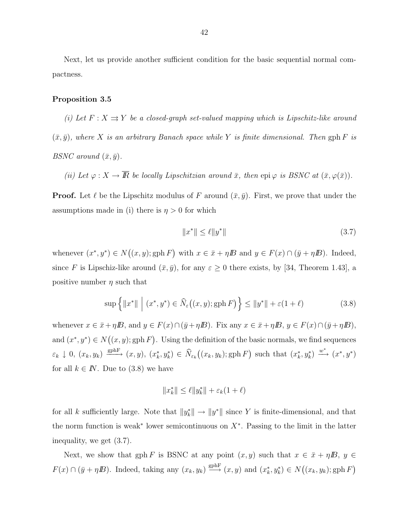Next, let us provide another sufficient condition for the basic sequential normal compactness.

# Proposition 3.5

(i) Let  $F: X \rightrightarrows Y$  be a closed-graph set-valued mapping which is Lipschitz-like around  $(\bar{x}, \bar{y})$ , where X is an arbitrary Banach space while Y is finite dimensional. Then gph F is BSNC around  $(\bar{x}, \bar{y})$ .

(ii) Let  $\varphi: X \to \overline{\mathbb{R}}$  be locally Lipschitzian around  $\bar{x}$ , then epi  $\varphi$  is BSNC at  $(\bar{x}, \varphi(\bar{x}))$ .

**Proof.** Let  $\ell$  be the Lipschitz modulus of F around  $(\bar{x}, \bar{y})$ . First, we prove that under the assumptions made in (i) there is  $\eta > 0$  for which

$$
||x^*|| \le \ell ||y^*|| \tag{3.7}
$$

whenever  $(x^*, y^*) \in N((x, y);$  gph F) with  $x \in \bar{x} + \eta \mathbb{B}$  and  $y \in F(x) \cap (\bar{y} + \eta \mathbb{B})$ . Indeed, since F is Lipschiz-like around  $(\bar{x}, \bar{y})$ , for any  $\varepsilon \geq 0$  there exists, by [34, Theorem 1.43], a positive number  $\eta$  such that

$$
\sup\left\{\|x^*\| \mid (x^*,y^*) \in \widehat{N}_{\varepsilon}\big((x,y); \text{gph } F\big)\right\} \le \|y^*\| + \varepsilon(1+\ell) \tag{3.8}
$$

whenever  $x \in \bar{x} + \eta \mathbb{B}$ , and  $y \in F(x) \cap (\bar{y} + \eta \mathbb{B})$ . Fix any  $x \in \bar{x} + \eta \mathbb{B}$ ,  $y \in F(x) \cap (\bar{y} + \eta \mathbb{B})$ , and  $(x^*, y^*) \in N((x, y);$  gph F). Using the definition of the basic normals, we find sequences  $\varepsilon_k \downarrow 0, (x_k, y_k) \xrightarrow{\text{gphF}} (x, y), (x_k^*, y_k^*) \in \widehat{N}_{\varepsilon_k}((x_k, y_k); \text{gph } F) \text{ such that } (x_k^*, y_k^*) \xrightarrow{w^*} (x^*, y^*)$ for all  $k \in \mathbb{N}$ . Due to (3.8) we have

$$
||x_k^*|| \leq \ell ||y_k^*|| + \varepsilon_k (1+\ell)
$$

for all k sufficiently large. Note that  $||y_k^*|| \to ||y^*||$  since Y is finite-dimensional, and that the norm function is weak<sup>∗</sup> lower semicontinuous on X<sup>∗</sup> . Passing to the limit in the latter inequality, we get (3.7).

Next, we show that gph F is BSNC at any point  $(x, y)$  such that  $x \in \bar{x} + \eta B$ ,  $y \in$  $F(x) \cap (\bar{y} + \eta B)$ . Indeed, taking any  $(x_k, y_k) \stackrel{\text{gphF}}{\longrightarrow} (x, y)$  and  $(x_k^*, y_k^*) \in N((x_k, y_k); \text{gph } F)$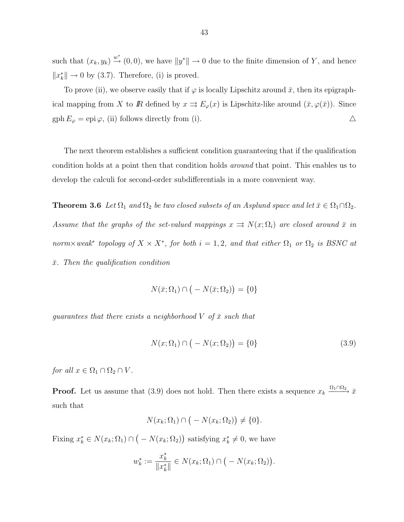such that  $(x_k, y_k) \stackrel{w^*}{\rightarrow} (0,0)$ , we have  $||y^*|| \rightarrow 0$  due to the finite dimension of Y, and hence  $||x_k^*|| \to 0$  by (3.7). Therefore, (i) is proved.

To prove (ii), we observe easily that if  $\varphi$  is locally Lipschitz around  $\bar{x}$ , then its epigraphical mapping from X to R defined by  $x \rightrightarrows E_{\varphi}(x)$  is Lipschitz-like around  $(\bar{x}, \varphi(\bar{x}))$ . Since  $gph E<sub>\varphi</sub> = epi \varphi$ , (ii) follows directly from (i).

The next theorem establishes a sufficient condition guaranteeing that if the qualification condition holds at a point then that condition holds around that point. This enables us to develop the calculi for second-order subdifferentials in a more convenient way.

**Theorem 3.6** Let  $\Omega_1$  and  $\Omega_2$  be two closed subsets of an Asplund space and let  $\bar{x} \in \Omega_1 \cap \Omega_2$ . Assume that the graphs of the set-valued mappings  $x \implies N(x; \Omega_i)$  are closed around  $\bar{x}$  in norm×weak<sup>\*</sup> topology of  $X \times X^*$ , for both  $i = 1, 2$ , and that either  $\Omega_1$  or  $\Omega_2$  is BSNC at  $\bar{x}$ . Then the qualification condition

$$
N(\bar{x};\Omega_1) \cap (-N(\bar{x};\Omega_2)) = \{0\}
$$

guarantees that there exists a neighborhood V of  $\bar{x}$  such that

$$
N(x; \Omega_1) \cap ( -N(x; \Omega_2) ) = \{0\}
$$
\n(3.9)

for all  $x \in \Omega_1 \cap \Omega_2 \cap V$ .

**Proof.** Let us assume that (3.9) does not hold. Then there exists a sequence  $x_k \xrightarrow{\Omega_1 \cap \Omega_2} \bar{x}$ such that

$$
N(x_k; \Omega_1) \cap \big(-N(x_k; \Omega_2)\big) \neq \{0\}.
$$

Fixing  $x_k^* \in N(x_k; \Omega_1) \cap ( -N(x_k; \Omega_2))$  satisfying  $x_k^* \neq 0$ , we have

$$
w_k^* := \frac{x_k^*}{\|x_k^*\|} \in N(x_k; \Omega_1) \cap ( -N(x_k; \Omega_2)).
$$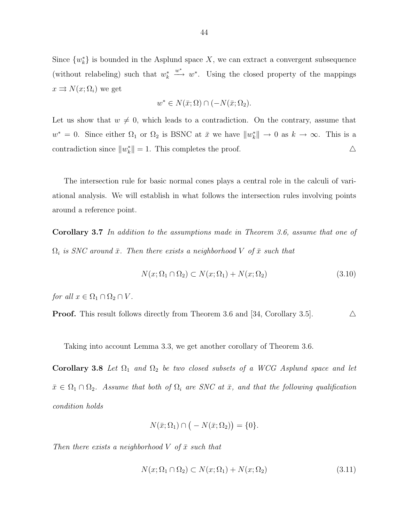Since  $\{w_k^*\}$  is bounded in the Asplund space X, we can extract a convergent subsequence (without relabeling) such that  $w_k^*$  $\stackrel{w^*}{\longrightarrow} w^*$ . Using the closed property of the mappings  $x \rightrightarrows N(x; \Omega_i)$  we get

$$
w^* \in N(\bar{x}; \Omega) \cap (-N(\bar{x}; \Omega_2).
$$

Let us show that  $w \neq 0$ , which leads to a contradiction. On the contrary, assume that  $w^* = 0$ . Since either  $\Omega_1$  or  $\Omega_2$  is BSNC at  $\bar{x}$  we have  $||w_k^*|| \to 0$  as  $k \to \infty$ . This is a contradiction since  $||w_k^*|| = 1$ . This completes the proof.  $\Delta$ 

The intersection rule for basic normal cones plays a central role in the calculi of variational analysis. We will establish in what follows the intersection rules involving points around a reference point.

Corollary 3.7 In addition to the assumptions made in Theorem 3.6, assume that one of  $\Omega_i$  is SNC around  $\bar{x}$ . Then there exists a neighborhood V of  $\bar{x}$  such that

$$
N(x; \Omega_1 \cap \Omega_2) \subset N(x; \Omega_1) + N(x; \Omega_2) \tag{3.10}
$$

for all  $x \in \Omega_1 \cap \Omega_2 \cap V$ .

**Proof.** This result follows directly from Theorem 3.6 and [34, Corollary 3.5].  $\triangle$ 

Taking into account Lemma 3.3, we get another corollary of Theorem 3.6.

Corollary 3.8 Let  $\Omega_1$  and  $\Omega_2$  be two closed subsets of a WCG Asplund space and let  $\bar{x} \in \Omega_1 \cap \Omega_2$ . Assume that both of  $\Omega_i$  are SNC at  $\bar{x}$ , and that the following qualification condition holds

$$
N(\bar{x}; \Omega_1) \cap \big(-N(\bar{x}; \Omega_2)\big) = \{0\}.
$$

Then there exists a neighborhood V of  $\bar{x}$  such that

$$
N(x; \Omega_1 \cap \Omega_2) \subset N(x; \Omega_1) + N(x; \Omega_2) \tag{3.11}
$$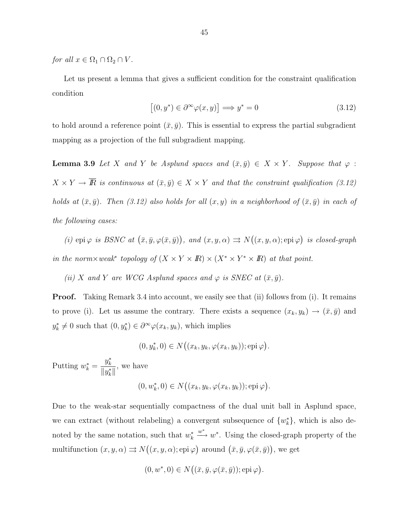for all  $x \in \Omega_1 \cap \Omega_2 \cap V$ .

Let us present a lemma that gives a sufficient condition for the constraint qualification condition

$$
[(0, y^*) \in \partial^{\infty} \varphi(x, y)] \Longrightarrow y^* = 0 \tag{3.12}
$$

to hold around a reference point  $(\bar{x}, \bar{y})$ . This is essential to express the partial subgradient mapping as a projection of the full subgradient mapping.

**Lemma 3.9** Let X and Y be Asplund spaces and  $(\bar{x}, \bar{y}) \in X \times Y$ . Suppose that  $\varphi$ :  $X \times Y \to \overline{R}$  is continuous at  $(\bar{x}, \bar{y}) \in X \times Y$  and that the constraint qualification (3.12) holds at  $(\bar{x}, \bar{y})$ . Then  $(3.12)$  also holds for all  $(x, y)$  in a neighborhood of  $(\bar{x}, \bar{y})$  in each of the following cases:

(i) epi  $\varphi$  is BSNC at  $(\bar{x}, \bar{y}, \varphi(\bar{x}, \bar{y}))$ , and  $(x, y, \alpha) \implies N((x, y, \alpha); epi \ \varphi)$  is closed-graph in the norm×weak\* topology of  $(X \times Y \times I\!\!R) \times (X^* \times Y^* \times I\!\!R)$  at that point.

(ii) X and Y are WCG Asplund spaces and  $\varphi$  is SNEC at  $(\bar{x}, \bar{y})$ .

**Proof.** Taking Remark 3.4 into account, we easily see that (ii) follows from (i). It remains to prove (i). Let us assume the contrary. There exists a sequence  $(x_k, y_k) \to (\bar{x}, \bar{y})$  and  $y_k^* \neq 0$  such that  $(0, y_k^*) \in \partial^\infty \varphi(x_k, y_k)$ , which implies

 $(0, y_k^*, 0) \in N((x_k, y_k, \varphi(x_k, y_k)); \text{epi }\varphi).$ 

Putting  $w_k^* =$  $y_k^*$  $\left\Vert y_{k}^{\ast}\right\Vert$ , we have

$$
(0, w_k^*, 0) \in N((x_k, y_k, \varphi(x_k, y_k)); \text{epi }\varphi).
$$

Due to the weak-star sequentially compactness of the dual unit ball in Asplund space, we can extract (without relabeling) a convergent subsequence of  $\{w_k^*\}$ , which is also denoted by the same notation, such that  $w_k^*$  $\stackrel{w^*}{\longrightarrow} w^*$ . Using the closed-graph property of the multifunction  $(x, y, \alpha) \Rightarrow N((x, y, \alpha); epi \ \varphi)$  around  $(\bar{x}, \bar{y}, \varphi(\bar{x}, \bar{y}))$ , we get

$$
(0, w^*, 0) \in N((\bar{x}, \bar{y}, \varphi(\bar{x}, \bar{y})); \text{epi }\varphi).
$$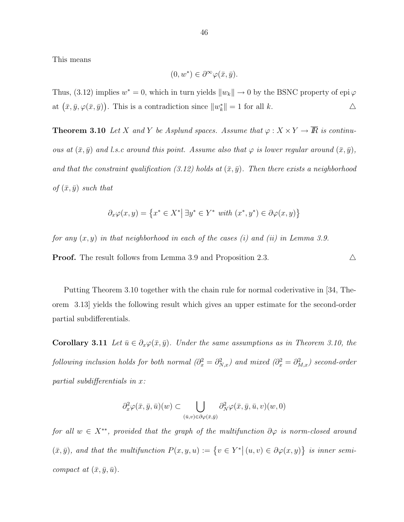This means

$$
(0, w^*) \in \partial^{\infty} \varphi(\bar{x}, \bar{y}).
$$

Thus, (3.12) implies  $w^* = 0$ , which in turn yields  $||w_k|| \to 0$  by the BSNC property of epi  $\varphi$ at  $(\bar{x}, \bar{y}, \varphi(\bar{x}, \bar{y}))$ . This is a contradiction since  $||w_k^*|| = 1$  for all k.  $\Delta$ 

**Theorem 3.10** Let X and Y be Asplund spaces. Assume that  $\varphi : X \times Y \to \overline{I\\! R}$  is continuous at  $(\bar{x}, \bar{y})$  and l.s.c around this point. Assume also that  $\varphi$  is lower regular around  $(\bar{x}, \bar{y})$ , and that the constraint qualification (3.12) holds at  $(\bar{x}, \bar{y})$ . Then there exists a neighborhood of  $(\bar{x}, \bar{y})$  such that

$$
\partial_x \varphi(x, y) = \left\{ x^* \in X^* \, \middle| \, \exists y^* \in Y^* \, \text{ with } (x^*, y^*) \in \partial \varphi(x, y) \right\}
$$

for any  $(x, y)$  in that neighborhood in each of the cases (i) and (ii) in Lemma 3.9.

**Proof.** The result follows from Lemma 3.9 and Proposition 2.3.  $\triangle$ 

Putting Theorem 3.10 together with the chain rule for normal coderivative in [34, Theorem 3.13] yields the following result which gives an upper estimate for the second-order partial subdifferentials.

**Corollary 3.11** Let  $\bar{u} \in \partial_x \varphi(\bar{x}, \bar{y})$ . Under the same assumptions as in Theorem 3.10, the following inclusion holds for both normal  $(\partial_x^2=\partial_{N,x}^2)$  and mixed  $(\partial_x^2=\partial_{M,x}^2)$  second-order partial subdifferentials in x:

$$
\partial_x^2 \varphi(\bar{x}, \bar{y}, \bar{u})(w) \subset \bigcup_{(\bar{u}, v) \in \partial \varphi(\bar{x}, \bar{y})} \partial_N^2 \varphi(\bar{x}, \bar{y}, \bar{u}, v)(w, 0)
$$

for all  $w \in X^{**}$ , provided that the graph of the multifunction  $\partial \varphi$  is norm-closed around  $(\bar{x}, \bar{y})$ , and that the multifunction  $P(x, y, u) := \{v \in Y^* | (u, v) \in \partial \varphi(x, y) \}$  is inner semicompact at  $(\bar{x}, \bar{y}, \bar{u})$ .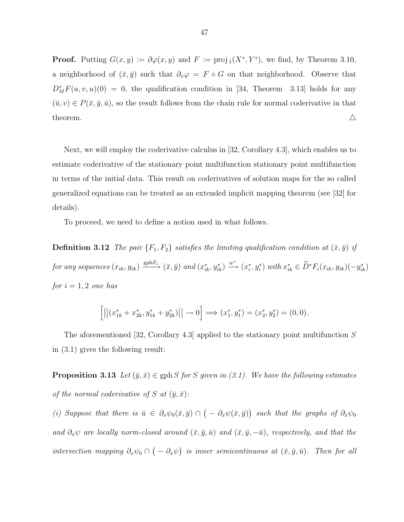**Proof.** Putting  $G(x, y) := \partial \varphi(x, y)$  and  $F := \text{proj}_1(X^*, Y^*)$ , we find, by Theorem 3.10, a neighborhood of  $(\bar{x}, \bar{y})$  such that  $\partial_x \varphi = F \circ G$  on that neighborhood. Observe that  $D_M^*F(u, v, u)(0) = 0$ , the qualification condition in [34, Theorem 3.13] holds for any  $(\bar{u}, v) \in P(\bar{x}, \bar{y}, \bar{u})$ , so the result follows from the chain rule for normal coderivative in that theorem.  $\triangle$ 

Next, we will employ the coderivative calculus in [32, Corollary 4.3], which enables us to estimate coderivative of the stationary point multifunction stationary point multifunction in terms of the initial data. This result on coderivatives of solution maps for the so called generalized equations can be treated as an extended implicit mapping theorem (see [32] for details).

To proceed, we need to define a notion used in what follows.

**Definition 3.12** The pair  $\{F_1, F_2\}$  satisfies the limiting qualification condition at  $(\bar{x}, \bar{y})$  if  $for any sequences (x_{ik}, y_{ik}) \xrightarrow{\text{gph}F_i} (\bar{x}, \bar{y}) and (x_{ik}^*, y_{ik}^*) \xrightarrow{w^*} (x_i^*, y_i^*) with x_{ik}^* \in \widehat{D}^*F_i(x_{ik}, y_{ik})(-y_{ik}^*)$ for  $i = 1, 2$  one has

$$
\left[ \left| \left| (x_{1k}^* + x_{2k}^*, y_{1k}^* + y_{2k}^*) \right| \right| \to 0 \right] \Longrightarrow (x_1^*, y_1^*) = (x_2^*, y_2^*) = (0, 0).
$$

The aforementioned [32, Corollary 4.3] applied to the stationary point multifunction  $S$ in (3.1) gives the following result:

**Proposition 3.13** Let  $(\bar{y}, \bar{x}) \in \text{gph } S$  for S given in (3.1). We have the following estimates of the normal coderivative of S at  $(\bar{y}, \bar{x})$ :

(i) Suppose that there is  $\bar{u} \in \partial_x \psi_0(\bar{x}, \bar{y}) \cap \big(-\partial_x \psi(\bar{x}, \bar{y})\big)$  such that the graphs of  $\partial_x \psi_0$ and  $\partial_x \psi$  are locally norm-closed around  $(\bar{x}, \bar{y}, \bar{u})$  and  $(\bar{x}, \bar{y}, -\bar{u})$ , respectively, and that the intersection mapping  $\partial_x\psi_0 \cap (-\partial_x\psi)$  is inner semicontinuous at  $(\bar{x}, \bar{y}, \bar{u})$ . Then for all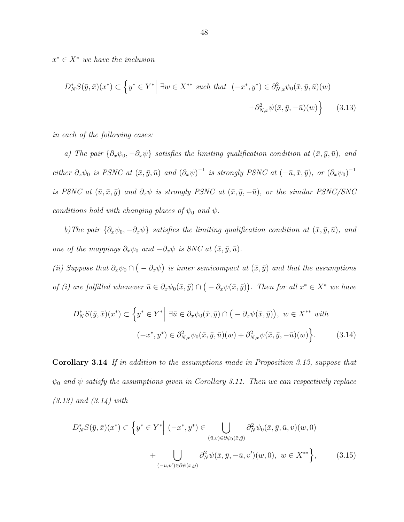$x^* \in X^*$  we have the inclusion

$$
D_N^* S(\bar{y}, \bar{x})(x^*) \subset \left\{ y^* \in Y^* \middle| \exists w \in X^{**} \text{ such that } (-x^*, y^*) \in \partial_{N,x}^2 \psi_0(\bar{x}, \bar{y}, \bar{u})(w) \right. \\ \left. + \partial_{N,x}^2 \psi(\bar{x}, \bar{y}, -\bar{u})(w) \right\} \tag{3.13}
$$

in each of the following cases:

a) The pair  $\{\partial_x\psi_0, -\partial_x\psi\}$  satisfies the limiting qualification condition at  $(\bar{x}, \bar{y}, \bar{u})$ , and either  $\partial_x \psi_0$  is PSNC at  $(\bar{x}, \bar{y}, \bar{u})$  and  $(\partial_x \psi)^{-1}$  is strongly PSNC at  $(-\bar{u}, \bar{x}, \bar{y})$ , or  $(\partial_x \psi_0)^{-1}$ is PSNC at  $(\bar{u}, \bar{x}, \bar{y})$  and  $\partial_x \psi$  is strongly PSNC at  $(\bar{x}, \bar{y}, -\bar{u})$ , or the similar PSNC/SNC conditions hold with changing places of  $\psi_0$  and  $\psi$ .

b)The pair  $\{\partial_x\psi_0, -\partial_x\psi\}$  satisfies the limiting qualification condition at  $(\bar{x}, \bar{y}, \bar{u})$ , and one of the mappings  $\partial_x \psi_0$  and  $-\partial_x \psi$  is SNC at  $(\bar{x}, \bar{y}, \bar{u})$ .

(ii) Suppose that  $\partial_x\psi_0 \cap (-\partial_x\psi)$  is inner semicompact at  $(\bar{x}, \bar{y})$  and that the assumptions of (i) are fulfilled whenever  $\bar{u} \in \partial_x \psi_0(\bar{x}, \bar{y}) \cap (-\partial_x \psi(\bar{x}, \bar{y}))$ . Then for all  $x^* \in X^*$  we have

$$
D_N^* S(\bar{y}, \bar{x})(x^*) \subset \left\{ y^* \in Y^* \Big| \exists \bar{u} \in \partial_x \psi_0(\bar{x}, \bar{y}) \cap \left( -\partial_x \psi(\bar{x}, \bar{y}) \right), w \in X^{**} \text{ with } \right.
$$
  

$$
(-x^*, y^*) \in \partial_{N,x}^2 \psi_0(\bar{x}, \bar{y}, \bar{u})(w) + \partial_{N,x}^2 \psi(\bar{x}, \bar{y}, -\bar{u})(w) \right\}.
$$
 (3.14)

Corollary 3.14 If in addition to the assumptions made in Proposition 3.13, suppose that  $\psi_0$  and  $\psi$  satisfy the assumptions given in Corollary 3.11. Then we can respectively replace (3.13) and (3.14) with

$$
D_N^* S(\bar{y}, \bar{x})(x^*) \subset \left\{ y^* \in Y^* \middle| (-x^*, y^*) \in \bigcup_{(\bar{u}, v) \in \partial \psi_0(\bar{x}, \bar{y})} \partial_N^2 \psi_0(\bar{x}, \bar{y}, \bar{u}, v)(w, 0) \right\}+ \bigcup_{(-\bar{u}, v') \in \partial \psi(\bar{x}, \bar{y})} \partial_N^2 \psi(\bar{x}, \bar{y}, -\bar{u}, v')(w, 0), w \in X^{**} \right\},
$$
(3.15)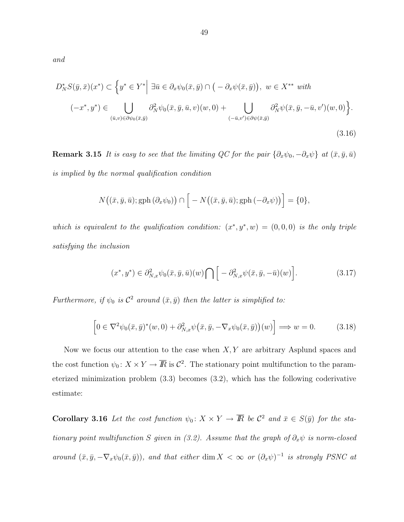and

$$
D_N^* S(\bar{y}, \bar{x})(x^*) \subset \left\{ y^* \in Y^* \Big| \exists \bar{u} \in \partial_x \psi_0(\bar{x}, \bar{y}) \cap \left( -\partial_x \psi(\bar{x}, \bar{y}) \right), w \in X^{**} \text{ with}
$$
  

$$
(-x^*, y^*) \in \bigcup_{(\bar{u}, v) \in \partial \psi_0(\bar{x}, \bar{y})} \partial_N^2 \psi_0(\bar{x}, \bar{y}, \bar{u}, v)(w, 0) + \bigcup_{(-\bar{u}, v') \in \partial \psi(\bar{x}, \bar{y})} \partial_N^2 \psi(\bar{x}, \bar{y}, -\bar{u}, v')(w, 0) \right\}.
$$
  
(3.16)

**Remark 3.15** It is easy to see that the limiting QC for the pair  $\{\partial_x\psi_0, -\partial_x\psi\}$  at  $(\bar{x}, \bar{y}, \bar{u})$ is implied by the normal qualification condition

$$
N((\bar{x}, \bar{y}, \bar{u}); \text{gph}(\partial_x \psi_0)) \cap \bigg[-N((\bar{x}, \bar{y}, \bar{u}); \text{gph}(-\partial_x \psi))\bigg] = \{0\},\
$$

which is equivalent to the qualification condition:  $(x^*, y^*, w) = (0, 0, 0)$  is the only triple satisfying the inclusion

$$
(x^*, y^*) \in \partial_{N,x}^2 \psi_0(\bar{x}, \bar{y}, \bar{u})(w) \bigcap \left[ -\partial_{N,x}^2 \psi(\bar{x}, \bar{y}, -\bar{u})(w) \right]. \tag{3.17}
$$

Furthermore, if  $\psi_0$  is  $\mathcal{C}^2$  around  $(\bar{x}, \bar{y})$  then the latter is simplified to:

$$
\left[0 \in \nabla^2 \psi_0(\bar{x}, \bar{y})^*(w, 0) + \partial_{N, x}^2 \psi(\bar{x}, \bar{y}, -\nabla_x \psi_0(\bar{x}, \bar{y}))(w)\right] \Longrightarrow w = 0. \tag{3.18}
$$

Now we focus our attention to the case when  $X, Y$  are arbitrary Asplund spaces and the cost function  $\psi_0: X \times Y \to \overline{R}$  is  $\mathcal{C}^2$ . The stationary point multifunction to the parameterized minimization problem (3.3) becomes (3.2), which has the following coderivative estimate:

**Corollary 3.16** Let the cost function  $\psi_0: X \times Y \to \overline{R}$  be  $\mathcal{C}^2$  and  $\bar{x} \in S(\bar{y})$  for the stationary point multifunction S given in (3.2). Assume that the graph of  $\partial_x \psi$  is norm-closed around  $(\bar{x}, \bar{y}, -\nabla_x \psi_0(\bar{x}, \bar{y}))$ , and that either dim  $X < \infty$  or  $(\partial_x \psi)^{-1}$  is strongly PSNC at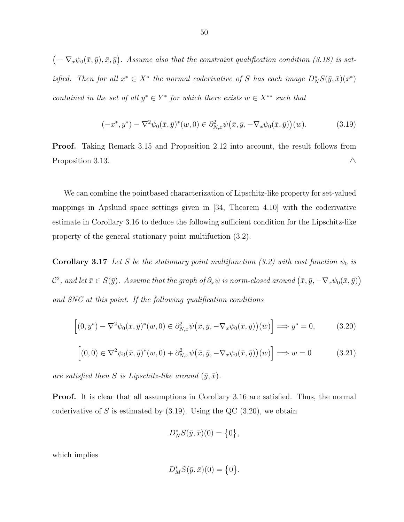$(-\nabla_x\psi_0(\bar{x},\bar{y}),\bar{x},\bar{y})$ . Assume also that the constraint qualification condition (3.18) is satisfied. Then for all  $x^* \in X^*$  the normal coderivative of S has each image  $D_N^*S(\bar{y}, \bar{x})(x^*)$ contained in the set of all  $y^* \in Y^*$  for which there exists  $w \in X^{**}$  such that

$$
(-x^*, y^*) - \nabla^2 \psi_0(\bar{x}, \bar{y})^*(w, 0) \in \partial^2_{N, x} \psi(\bar{x}, \bar{y}, -\nabla_x \psi_0(\bar{x}, \bar{y}))(w).
$$
 (3.19)

Proof. Taking Remark 3.15 and Proposition 2.12 into account, the result follows from Proposition 3.13.  $\triangle$ 

We can combine the pointbased characterization of Lipschitz-like property for set-valued mappings in Apslund space settings given in [34, Theorem 4.10] with the coderivative estimate in Corollary 3.16 to deduce the following sufficient condition for the Lipschitz-like property of the general stationary point multifuction (3.2).

**Corollary 3.17** Let S be the stationary point multifunction (3.2) with cost function  $\psi_0$  is  $\mathcal{C}^2$ , and let  $\bar{x}\in S(\bar{y})$ . Assume that the graph of  $\partial_x\psi$  is norm-closed around  $(\bar{x},\bar{y},-\nabla_x\psi_0(\bar{x},\bar{y}))$ and SNC at this point. If the following qualification conditions

$$
\left[ (0, y^*) - \nabla^2 \psi_0(\bar{x}, \bar{y})^*(w, 0) \in \partial^2_{N, x} \psi(\bar{x}, \bar{y}, -\nabla_x \psi_0(\bar{x}, \bar{y})) (w) \right] \Longrightarrow y^* = 0,
$$
 (3.20)

$$
\left[ (0,0) \in \nabla^2 \psi_0(\bar{x}, \bar{y})^*(w,0) + \partial_{N,x}^2 \psi(\bar{x}, \bar{y}, -\nabla_x \psi_0(\bar{x}, \bar{y})) (w) \right] \Longrightarrow w = 0 \quad (3.21)
$$

are satisfied then S is Lipschitz-like around  $(\bar{y}, \bar{x})$ .

Proof. It is clear that all assumptions in Corollary 3.16 are satisfied. Thus, the normal coderivative of S is estimated by  $(3.19)$ . Using the QC  $(3.20)$ , we obtain

$$
D_N^* S(\bar{y}, \bar{x})(0) = \{0\},\,
$$

which implies

$$
D_M^* S(\bar{y}, \bar{x})(0) = \{0\}.
$$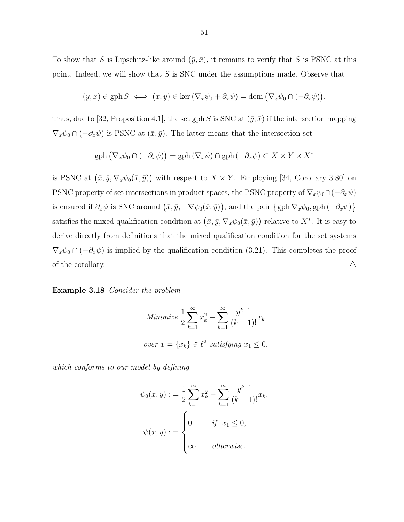To show that S is Lipschitz-like around  $(\bar{y}, \bar{x})$ , it remains to verify that S is PSNC at this point. Indeed, we will show that  $S$  is SNC under the assumptions made. Observe that

$$
(y, x) \in \mathrm{gph}\,S \iff (x, y) \in \ker\left(\nabla_x \psi_0 + \partial_x \psi\right) = \mathrm{dom}\left(\nabla_x \psi_0 \cap (-\partial_x \psi)\right).
$$

Thus, due to [32, Proposition 4.1], the set gph S is SNC at  $(\bar{y}, \bar{x})$  if the intersection mapping  $\nabla_x \psi_0 \cap (-\partial_x \psi)$  is PSNC at  $(\bar{x}, \bar{y})$ . The latter means that the intersection set

$$
\text{gph}(\nabla_x \psi_0 \cap (-\partial_x \psi)) = \text{gph}(\nabla_x \psi) \cap \text{gph}(-\partial_x \psi) \subset X \times Y \times X^*
$$

is PSNC at  $(\bar{x}, \bar{y}, \nabla_x \psi_0(\bar{x}, \bar{y}))$  with respect to  $X \times Y$ . Employing [34, Corollary 3.80] on PSNC property of set intersections in product spaces, the PSNC property of  $\nabla_x\psi_0\cap(-\partial_x\psi)$ is ensured if  $\partial_x \psi$  is SNC around  $(\bar{x}, \bar{y}, -\nabla \psi_0(\bar{x}, \bar{y}))$ , and the pair  $\{\text{gph }\nabla_x \psi_0, \text{gph }(-\partial_x \psi)\}\$ satisfies the mixed qualification condition at  $(\bar{x}, \bar{y}, \nabla_x \psi_0(\bar{x}, \bar{y}))$  relative to  $X^*$ . It is easy to derive directly from definitions that the mixed qualification condition for the set systems  $\nabla_x \psi_0 \cap (-\partial_x \psi)$  is implied by the qualification condition (3.21). This completes the proof of the corollary.  $\triangle$ 

### Example 3.18 Consider the problem

Minimize 
$$
\frac{1}{2} \sum_{k=1}^{\infty} x_k^2 - \sum_{k=1}^{\infty} \frac{y^{k-1}}{(k-1)!} x_k
$$
  
over 
$$
x = \{x_k\} \in \ell^2 \text{ satisfying } x_1 \le 0,
$$

which conforms to our model by defining

$$
\psi_0(x, y) := \frac{1}{2} \sum_{k=1}^{\infty} x_k^2 - \sum_{k=1}^{\infty} \frac{y^{k-1}}{(k-1)!} x_k,
$$

$$
\psi(x, y) := \begin{cases} 0 & \text{if } x_1 \le 0, \\ \infty & \text{otherwise.} \end{cases}
$$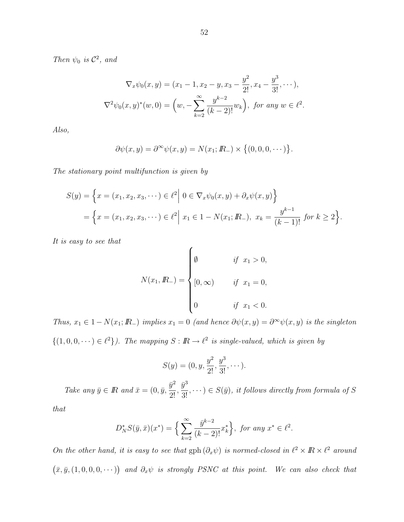Then  $\psi_0$  is  $\mathcal{C}^2$ , and

$$
\nabla_x \psi_0(x, y) = (x_1 - 1, x_2 - y, x_3 - \frac{y^2}{2!}, x_4 - \frac{y^3}{3!}, \cdots),
$$
  

$$
\nabla^2 \psi_0(x, y)^*(w, 0) = \left(w, -\sum_{k=2}^{\infty} \frac{y^{k-2}}{(k-2)!} w_k\right), \text{ for any } w \in \ell^2.
$$

Also,

$$
\partial \psi(x,y) = \partial^{\infty} \psi(x,y) = N(x_1; I\!\!R_{-}) \times \big\{ (0,0,0,\cdots) \big\}.
$$

The stationary point multifunction is given by

$$
S(y) = \left\{ x = (x_1, x_2, x_3, \dots) \in \ell^2 \middle| 0 \in \nabla_x \psi_0(x, y) + \partial_x \psi(x, y) \right\}
$$
  
= 
$$
\left\{ x = (x_1, x_2, x_3, \dots) \in \ell^2 \middle| x_1 \in 1 - N(x_1; I\!\!R_-,), x_k = \frac{y^{k-1}}{(k-1)!} \text{ for } k \ge 2 \right\}.
$$

It is easy to see that

$$
N(x_1, I\!\!R_{-}) = \begin{cases} \emptyset & \text{if } x_1 > 0, \\ \\ [0, \infty) & \text{if } x_1 = 0, \\ 0 & \text{if } x_1 < 0. \end{cases}
$$

Thus,  $x_1 \in 1 - N(x_1; R_-)$  implies  $x_1 = 0$  (and hence  $\partial \psi(x, y) = \partial^{\infty} \psi(x, y)$  is the singleton

 $\{(1,0,0,\dots) \in \ell^2\}$ . The mapping  $S: \mathbb{R} \to \ell^2$  is single-valued, which is given by

$$
S(y) = (0, y, \frac{y^2}{2!}, \frac{y^3}{3!}, \dots).
$$

Take any  $\bar{y} \in \mathbb{R}$  and  $\bar{x} = (0, \bar{y}, \frac{\bar{y}^2}{2})$  $\frac{9}{2!}$  $\bar{y}^3$  $S(\overline{y})$ ,  $\overline{y}$ ,  $\cdots$   $\in S(\overline{y})$ , it follows directly from formula of S

that

$$
D_N^*S(\bar{y}, \bar{x})(x^*) = \Big\{\sum_{k=2}^{\infty} \frac{\bar{y}^{k-2}}{(k-2)!} x_k^* \Big\}, \text{ for any } x^* \in \ell^2.
$$

On the other hand, it is easy to see that  $gph(\partial_x \psi)$  is normed-closed in  $\ell^2 \times \mathbb{R} \times \ell^2$  around  $(\bar{x}, \bar{y}, (1, 0, 0, 0, \dots))$  and  $\partial_x \psi$  is strongly PSNC at this point. We can also check that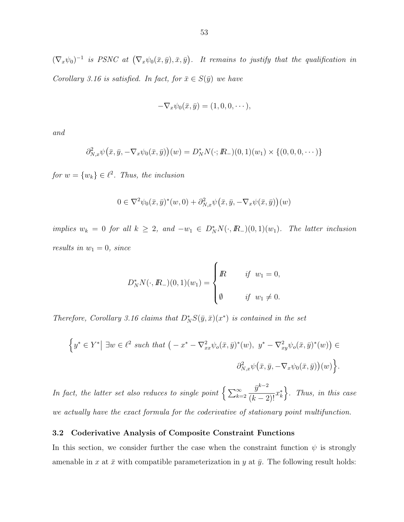$(\nabla_x \psi_0)^{-1}$  is PSNC at  $(\nabla_x \psi_0(\bar{x}, \bar{y}), \bar{x}, \bar{y})$ . It remains to justify that the qualification in Corollary 3.16 is satisfied. In fact, for  $\bar{x} \in S(\bar{y})$  we have

$$
-\nabla_x \psi_0(\bar{x}, \bar{y}) = (1, 0, 0, \cdots),
$$

and

$$
\partial_{N,x}^2 \psi(\bar{x}, \bar{y}, -\nabla_x \psi_0(\bar{x}, \bar{y})) (w) = D_N^* N(\cdot; R_-)(0, 1)(w_1) \times \{(0, 0, 0, \cdots)\}
$$

for  $w = \{w_k\} \in \ell^2$ . Thus, the inclusion

$$
0 \in \nabla^2 \psi_0(\bar{x}, \bar{y})^*(w, 0) + \partial^2_{N, x} \psi(\bar{x}, \bar{y}, -\nabla_x \psi(\bar{x}, \bar{y})) (w)
$$

implies  $w_k = 0$  for all  $k \geq 2$ , and  $-w_1 \in D_N^*N(\cdot, R_-)(0, 1)(w_1)$ . The latter inclusion results in  $w_1 = 0$ , since

$$
D_N^* N(\cdot, R_-)(0,1)(w_1) = \begin{cases} R & \text{if } w_1 = 0, \\ \emptyset & \text{if } w_1 \neq 0. \end{cases}
$$

Therefore, Corollary 3.16 claims that  $D_N^*S(\bar{y},\bar{x})(x^*)$  is contained in the set

$$
\left\{ y^* \in Y^* \big| \exists w \in \ell^2 \text{ such that } \left( -x^* - \nabla_{xx}^2 \psi_o(\bar{x}, \bar{y})^*(w), y^* - \nabla_{xy}^2 \psi_o(\bar{x}, \bar{y})^*(w) \right) \in
$$
  

$$
\partial_{N,x}^2 \psi(\bar{x}, \bar{y}, -\nabla_x \psi_0(\bar{x}, \bar{y})) (w) \right\}.
$$

In fact, the latter set also reduces to single point  $\Big\{\sum_{k=2}^{\infty}$  $\bar{y}^{k-2}$  $\left\{\frac{y^{k-2}}{(k-2)!}x_k^*\right\}$ . Thus, in this case we actually have the exact formula for the coderivative of stationary point multifunction.

### 3.2 Coderivative Analysis of Composite Constraint Functions

In this section, we consider further the case when the constraint function  $\psi$  is strongly amenable in x at  $\bar{x}$  with compatible parameterization in y at  $\bar{y}$ . The following result holds: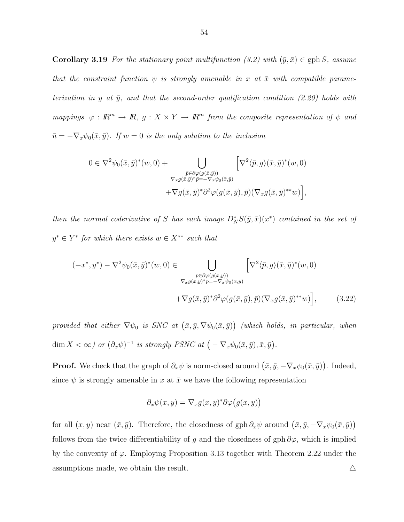**Corollary 3.19** For the stationary point multifunction (3.2) with  $(\bar{y}, \bar{x}) \in \text{gph } S$ , assume that the constraint function  $\psi$  is strongly amenable in x at  $\bar{x}$  with compatible parameterization in y at  $\bar{y}$ , and that the second-order qualification condition (2.20) holds with mappings  $\varphi : \mathbb{R}^m \to \overline{\mathbb{R}}$ ,  $g : X \times Y \to \mathbb{R}^m$  from the composite representation of  $\psi$  and  $\bar{u} = -\nabla_x \psi_0(\bar{x}, \bar{y})$ . If  $w = 0$  is the only solution to the inclusion

$$
0 \in \nabla^2 \psi_0(\bar{x}, \bar{y})^*(w, 0) + \bigcup_{\substack{\bar{p} \in \partial \varphi(g(\bar{x}, \bar{y})) \\ \nabla_x g(\bar{x}, \bar{y})^* \bar{p} = -\nabla_x \psi_0(\bar{x}, \bar{y})}} \left[ \nabla^2 \langle \bar{p}, g \rangle (\bar{x}, \bar{y})^*(w, 0) \right. \\ \left. + \nabla g(\bar{x}, \bar{y})^* \partial^2 \varphi(g(\bar{x}, \bar{y}), \bar{p}) (\nabla_x g(\bar{x}, \bar{y})^{**} w) \right],
$$

then the normal coderivative of S has each image  $D_N^*S(\bar{y},\bar{x})(x^*)$  contained in the set of  $y^* \in Y^*$  for which there exists  $w \in X^{**}$  such that

$$
(-x^*, y^*) - \nabla^2 \psi_0(\bar{x}, \bar{y})^*(w, 0) \in \bigcup_{\substack{\bar{p} \in \partial \varphi(g(\bar{x}, \bar{y})) \\ \nabla_x g(\bar{x}, \bar{y})^* \bar{p} = -\nabla_x \psi_0(\bar{x}, \bar{y})}} \left[ \nabla^2 \langle \bar{p}, g \rangle (\bar{x}, \bar{y})^*(w, 0) \right. \\ \left. + \nabla g(\bar{x}, \bar{y})^* \partial^2 \varphi(g(\bar{x}, \bar{y}), \bar{p}) (\nabla_x g(\bar{x}, \bar{y})^{**} w) \right], \tag{3.22}
$$

provided that either  $\nabla \psi_0$  is SNC at  $(\bar{x}, \bar{y}, \nabla \psi_0(\bar{x}, \bar{y}))$  (which holds, in particular, when  $\dim X < \infty$ ) or  $(\partial_x \psi)^{-1}$  is strongly PSNC at  $(-\nabla_x \psi_0(\bar{x}, \bar{y}), \bar{x}, \bar{y}).$ 

**Proof.** We check that the graph of  $\partial_x \psi$  is norm-closed around  $(\bar{x}, \bar{y}, -\nabla_x \psi_0(\bar{x}, \bar{y}))$ . Indeed, since  $\psi$  is strongly amenable in x at  $\bar{x}$  we have the following representation

$$
\partial_x \psi(x, y) = \nabla_x g(x, y)^* \partial \varphi \big( g(x, y) \big)
$$

for all  $(x, y)$  near  $(\bar{x}, \bar{y})$ . Therefore, the closedness of gph  $\partial_x \psi$  around  $(\bar{x}, \bar{y}, -\nabla_x \psi_0(\bar{x}, \bar{y}))$ follows from the twice differentiability of g and the closedness of gph  $\partial\varphi$ , which is implied by the convexity of  $\varphi$ . Employing Proposition 3.13 together with Theorem 2.22 under the assumptions made, we obtain the result.  $\triangle$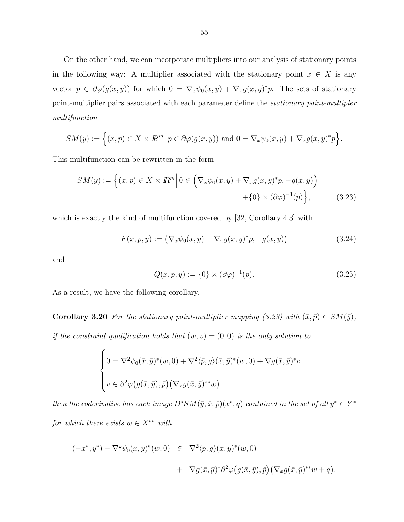On the other hand, we can incorporate multipliers into our analysis of stationary points in the following way: A multiplier associated with the stationary point  $x \in X$  is any vector  $p \in \partial \varphi(g(x, y))$  for which  $0 = \nabla_x \psi_0(x, y) + \nabla_x g(x, y)^* p$ . The sets of stationary point-multiplier pairs associated with each parameter define the stationary point-multipler multifunction

$$
SM(y) := \left\{ (x, p) \in X \times \mathbb{R}^m \middle| p \in \partial \varphi(g(x, y)) \text{ and } 0 = \nabla_x \psi_0(x, y) + \nabla_x g(x, y)^* p \right\}.
$$

This multifunction can be rewritten in the form

$$
SM(y) := \left\{ (x, p) \in X \times \mathbb{R}^m \middle| 0 \in \left( \nabla_x \psi_0(x, y) + \nabla_x g(x, y)^* p, -g(x, y) \right) + \{0\} \times (\partial \varphi)^{-1}(p) \right\},\tag{3.23}
$$

which is exactly the kind of multifunction covered by [32, Corollary 4.3] with

$$
F(x, p, y) := (\nabla_x \psi_0(x, y) + \nabla_x g(x, y)^* p, -g(x, y))
$$
\n(3.24)

and

$$
Q(x, p, y) := \{0\} \times (\partial \varphi)^{-1}(p).
$$
 (3.25)

As a result, we have the following corollary.

**Corollary 3.20** For the stationary point-multiplier mapping (3.23) with  $(\bar{x}, \bar{p}) \in SM(\bar{y})$ , if the constraint qualification holds that  $(w, v) = (0, 0)$  is the only solution to

$$
\begin{cases}\n0 = \nabla^2 \psi_0(\bar{x}, \bar{y})^*(w, 0) + \nabla^2 \langle \bar{p}, g \rangle(\bar{x}, \bar{y})^*(w, 0) + \nabla g(\bar{x}, \bar{y})^*v \\
v \in \partial^2 \varphi(g(\bar{x}, \bar{y}), \bar{p}) (\nabla_x g(\bar{x}, \bar{y})^{**}w)\n\end{cases}
$$

then the coderivative has each image  $D^*SM(\bar{y},\bar{x},\bar{p})(x^*,q)$  contained in the set of all  $y^* \in Y^*$ for which there exists  $w \in X^{**}$  with

$$
\begin{array}{rcl}\n(-x^*,y^*) - \nabla^2 \psi_0(\bar{x},\bar{y})^*(w,0) & \in & \nabla^2 \langle \bar{p},g \rangle(\bar{x},\bar{y})^*(w,0) \\
& & \quad + \nabla g(\bar{x},\bar{y})^* \partial^2 \varphi(g(\bar{x},\bar{y}),\bar{p}) \left( \nabla_x g(\bar{x},\bar{y})^{**} w + q \right).\n\end{array}
$$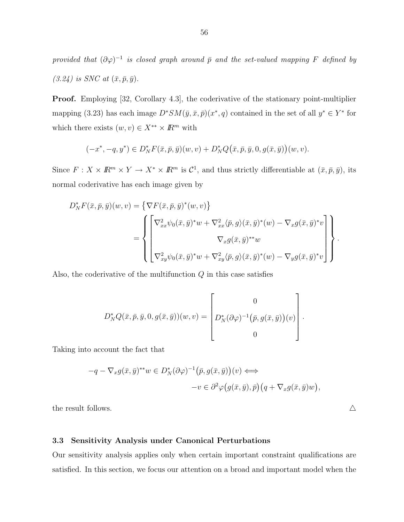provided that  $(\partial \varphi)^{-1}$  is closed graph around  $\bar{p}$  and the set-valued mapping F defined by  $(3.24)$  is SNC at  $(\bar{x}, \bar{p}, \bar{y})$ .

**Proof.** Employing [32, Corollary 4.3], the coderivative of the stationary point-multiplier mapping (3.23) has each image  $D^*SM(\bar{y},\bar{x},\bar{p})(x^*,q)$  contained in the set of all  $y^* \in Y^*$  for which there exists  $(w,v) \in X^{**} \times I\!\!R^m$  with

$$
(-x^*, -q, y^*) \in D_N^*F(\bar{x}, \bar{p}, \bar{y})(w, v) + D_N^*Q(\bar{x}, \bar{p}, \bar{y}, 0, g(\bar{x}, \bar{y}))(w, v).
$$

Since  $F: X \times \mathbb{R}^m \times Y \to X^* \times \mathbb{R}^m$  is  $\mathcal{C}^1$ , and thus strictly differentiable at  $(\bar{x}, \bar{p}, \bar{y})$ , its normal coderivative has each image given by

$$
D_N^* F(\bar{x}, \bar{p}, \bar{y})(w, v) = \left\{ \nabla F(\bar{x}, \bar{p}, \bar{y})^*(w, v) \right\}
$$
  
\n
$$
= \left\{ \begin{bmatrix} \nabla_{xx}^2 \psi_0(\bar{x}, \bar{y})^* w + \nabla_{xx}^2 \langle \bar{p}, g \rangle (\bar{x}, \bar{y})^*(w) - \nabla_x g(\bar{x}, \bar{y})^* v \\ \nabla_x g(\bar{x}, \bar{y})^* w \\ \nabla_{xy}^2 \psi_0(\bar{x}, \bar{y})^* w + \nabla_{xy}^2 \langle \bar{p}, g \rangle (\bar{x}, \bar{y})^*(w) - \nabla_y g(\bar{x}, \bar{y})^* v \end{bmatrix} \right\}.
$$

Also, the coderivative of the multifunction  $Q$  in this case satisfies

$$
D_N^*Q(\bar{x}, \bar{p}, \bar{y}, 0, g(\bar{x}, \bar{y}))(w, v) = \begin{bmatrix} 0 \\ D_N^*(\partial \varphi)^{-1}(\bar{p}, g(\bar{x}, \bar{y}))(v) \\ 0 \end{bmatrix}
$$

Taking into account the fact that

$$
-q - \nabla_x g(\bar{x}, \bar{y})^{**} w \in D_N^*(\partial \varphi)^{-1} (\bar{p}, g(\bar{x}, \bar{y}))(v) \iff
$$
  

$$
-v \in \partial^2 \varphi(g(\bar{x}, \bar{y}), \bar{p}) (q + \nabla_x g(\bar{x}, \bar{y})w),
$$

the result follows.  $\triangle$ 

## 3.3 Sensitivity Analysis under Canonical Perturbations

Our sensitivity analysis applies only when certain important constraint qualifications are satisfied. In this section, we focus our attention on a broad and important model when the

.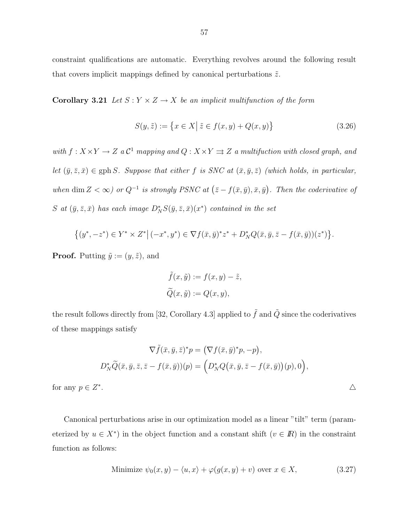constraint qualifications are automatic. Everything revolves around the following result that covers implicit mappings defined by canonical perturbations  $\tilde{z}$ .

Corollary 3.21 Let  $S: Y \times Z \rightarrow X$  be an implicit multifunction of the form

$$
S(y, \tilde{z}) := \{ x \in X \mid \tilde{z} \in f(x, y) + Q(x, y) \}
$$
\n(3.26)

with  $f: X \times Y \to Z$  a  $\mathcal{C}^1$  mapping and  $Q: X \times Y \rightrightarrows Z$  a multifuction with closed graph, and let  $(\bar{y}, \bar{z}, \bar{x}) \in \text{gph } S$ . Suppose that either f is SNC at  $(\bar{x}, \bar{y}, \bar{z})$  (which holds, in particular, when dim  $Z < \infty$ ) or  $Q^{-1}$  is strongly PSNC at  $(\bar{z} - f(\bar{x}, \bar{y}), \bar{x}, \bar{y})$ . Then the coderivative of S at  $(\bar{y}, \bar{z}, \bar{x})$  has each image  $D_N^* S(\bar{y}, \bar{z}, \bar{x}) (x^*)$  contained in the set

$$
\{(y^*, -z^*) \in Y^* \times Z^* \big| (-x^*, y^*) \in \nabla f(\bar{x}, \bar{y})^* z^* + D_N^* Q(\bar{x}, \bar{y}, \bar{z} - f(\bar{x}, \bar{y}))(z^*) \}.
$$

**Proof.** Putting  $\tilde{y} := (y, \tilde{z})$ , and

$$
\tilde{f}(x,\tilde{y}) := f(x,y) - \tilde{z},
$$
  

$$
\tilde{Q}(x,\tilde{y}) := Q(x,y),
$$

the result follows directly from [32, Corollary 4.3] applied to  $\tilde{f}$  and  $\tilde{Q}$  since the coderivatives of these mappings satisfy

$$
\nabla \tilde{f}(\bar{x}, \bar{y}, \bar{z})^* p = (\nabla f(\bar{x}, \bar{y})^* p, -p),
$$
  

$$
D_N^* \tilde{Q}(\bar{x}, \bar{y}, \bar{z}, \bar{z} - f(\bar{x}, \bar{y})) (p) = (D_N^* Q(\bar{x}, \bar{y}, \bar{z} - f(\bar{x}, \bar{y})) (p), 0),
$$

for any  $p \in Z^*$ . And the contract of the contract of the contract of  $\Delta$ 

Canonical perturbations arise in our optimization model as a linear "tilt" term (parameterized by  $u \in X^*$ ) in the object function and a constant shift  $(v \in \mathbb{R})$  in the constraint function as follows:

Minimize 
$$
\psi_0(x, y) - \langle u, x \rangle + \varphi(g(x, y) + v)
$$
 over  $x \in X$ , (3.27)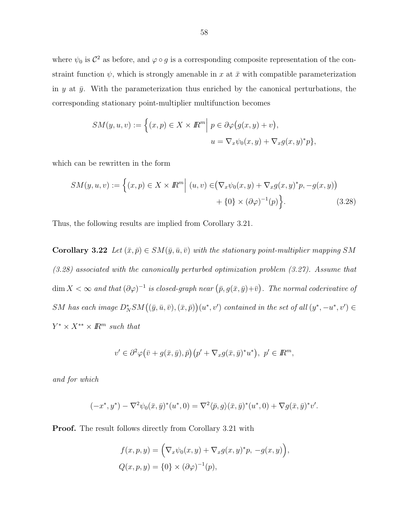where  $\psi_0$  is  $\mathcal{C}^2$  as before, and  $\varphi \circ g$  is a corresponding composite representation of the constraint function  $\psi$ , which is strongly amenable in x at  $\bar{x}$  with compatible parameterization in y at  $\bar{y}$ . With the parameterization thus enriched by the canonical perturbations, the corresponding stationary point-multiplier multifunction becomes

$$
SM(y, u, v) := \left\{ (x, p) \in X \times \mathbb{R}^m \middle| p \in \partial \varphi (g(x, y) + v), \right\}
$$

$$
u = \nabla_x \psi_0(x, y) + \nabla_x g(x, y)^* p \right\},
$$

which can be rewritten in the form

$$
SM(y, u, v) := \left\{ (x, p) \in X \times \mathbb{R}^m \middle| (u, v) \in (\nabla_x \psi_0(x, y) + \nabla_x g(x, y)^* p, -g(x, y)) + \{0\} \times (\partial \varphi)^{-1}(p) \right\}.
$$
\n(3.28)

Thus, the following results are implied from Corollary 3.21.

Corollary 3.22 Let  $(\bar{x}, \bar{p}) \in SM(\bar{y}, \bar{u}, \bar{v})$  with the stationary point-multiplier mapping SM (3.28) associated with the canonically perturbed optimization problem (3.27). Assume that  $\dim X < \infty$  and that  $(\partial \varphi)^{-1}$  is closed-graph near  $(\bar{p}, g(\bar{x}, \bar{y}) + \bar{v})$ . The normal coderivative of  $SM$  has each image  $D_N^*SM((\bar{y},\bar{u},\bar{v}),(\bar{x},\bar{p}))(u^*,v')$  contained in the set of all  $(y^*,-u^*,v')\in$  $Y^* \times X^{**} \times \mathbb{R}^m$  such that

$$
v' \in \partial^2 \varphi(\bar{v} + g(\bar{x}, \bar{y}), \bar{p})\big(p' + \nabla_x g(\bar{x}, \bar{y})^* u^*\big), \ p' \in \mathbb{R}^m,
$$

and for which

$$
(-x^*, y^*) - \nabla^2 \psi_0(\bar{x}, \bar{y})^* (u^*, 0) = \nabla^2 \langle \bar{p}, g \rangle (\bar{x}, \bar{y})^* (u^*, 0) + \nabla g(\bar{x}, \bar{y})^* v'.
$$

Proof. The result follows directly from Corollary 3.21 with

$$
f(x, p, y) = \left(\nabla_x \psi_0(x, y) + \nabla_x g(x, y)^* p, -g(x, y)\right),
$$
  

$$
Q(x, p, y) = \{0\} \times (\partial \varphi)^{-1}(p),
$$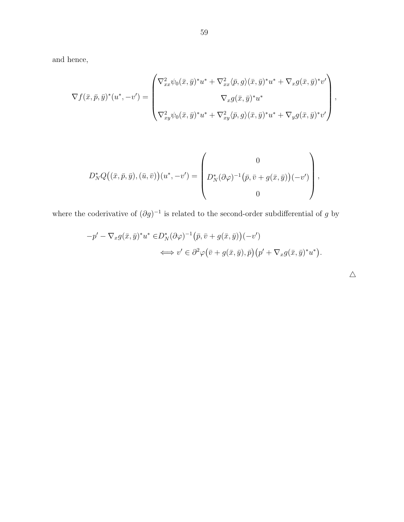and hence,

$$
\nabla f(\bar{x}, \bar{p}, \bar{y})^*(u^*, -v') = \begin{pmatrix} \nabla_{xx}^2 \psi_0(\bar{x}, \bar{y})^* u^* + \nabla_{xx}^2 \langle \bar{p}, g \rangle (\bar{x}, \bar{y})^* u^* + \nabla_{x} g(\bar{x}, \bar{y})^* v' \\ \nabla_{x} g(\bar{x}, \bar{y})^* u^* \\ \nabla_{xy}^2 \psi_0(\bar{x}, \bar{y})^* u^* + \nabla_{xy}^2 \langle \bar{p}, g \rangle (\bar{x}, \bar{y})^* u^* + \nabla_{y} g(\bar{x}, \bar{y})^* v' \end{pmatrix},
$$

$$
D_N^*Q((\bar{x},\bar{p},\bar{y}),(\bar{u},\bar{v}))(u^*,-v')=\left(\begin{array}{c}0\\D_N^*(\partial\varphi)^{-1}(\bar{p},\bar{v}+g(\bar{x},\bar{y}))(-v')\\0\end{array}\right),\,
$$

where the coderivative of  $(\partial g)^{-1}$  is related to the second-order subdifferential of g by

$$
-p' - \nabla_x g(\bar{x}, \bar{y})^* u^* \in D_N^*(\partial \varphi)^{-1} (\bar{p}, \bar{v} + g(\bar{x}, \bar{y})) (-v')
$$
  

$$
\iff v' \in \partial^2 \varphi (\bar{v} + g(\bar{x}, \bar{y}), \bar{p}) (p' + \nabla_x g(\bar{x}, \bar{y})^* u^*).
$$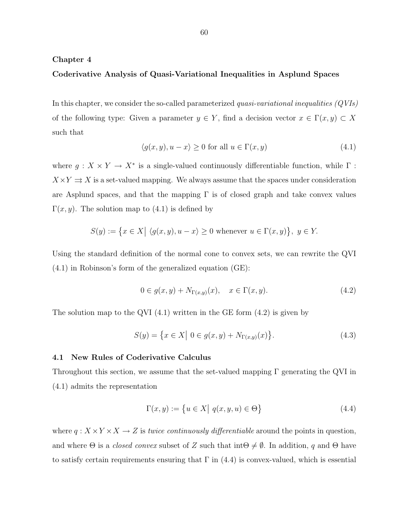## Chapter 4

# Coderivative Analysis of Quasi-Variational Inequalities in Asplund Spaces

In this chapter, we consider the so-called parameterized *quasi-variational inequalities (QVIs)* of the following type: Given a parameter  $y \in Y$ , find a decision vector  $x \in \Gamma(x, y) \subset X$ such that

$$
\langle g(x, y), u - x \rangle \ge 0 \text{ for all } u \in \Gamma(x, y) \tag{4.1}
$$

where  $g: X \times Y \to X^*$  is a single-valued continuously differentiable function, while  $\Gamma$ :  $X \times Y \Rightarrow X$  is a set-valued mapping. We always assume that the spaces under consideration are Asplund spaces, and that the mapping  $\Gamma$  is of closed graph and take convex values  $\Gamma(x, y)$ . The solution map to (4.1) is defined by

$$
S(y) := \{ x \in X \mid \langle g(x, y), u - x \rangle \ge 0 \text{ whenever } u \in \Gamma(x, y) \}, y \in Y.
$$

Using the standard definition of the normal cone to convex sets, we can rewrite the QVI (4.1) in Robinson's form of the generalized equation (GE):

$$
0 \in g(x, y) + N_{\Gamma(x, y)}(x), \quad x \in \Gamma(x, y). \tag{4.2}
$$

The solution map to the QVI  $(4.1)$  written in the GE form  $(4.2)$  is given by

$$
S(y) = \{ x \in X \mid 0 \in g(x, y) + N_{\Gamma(x, y)}(x) \}.
$$
\n(4.3)

### 4.1 New Rules of Coderivative Calculus

Throughout this section, we assume that the set-valued mapping  $\Gamma$  generating the QVI in (4.1) admits the representation

$$
\Gamma(x, y) := \left\{ u \in X \middle| \ q(x, y, u) \in \Theta \right\}
$$
\n
$$
(4.4)
$$

where  $q: X \times Y \times X \rightarrow Z$  is *twice continuously differentiable* around the points in question, and where  $\Theta$  is a *closed convex* subset of Z such that int $\Theta \neq \emptyset$ . In addition, q and  $\Theta$  have to satisfy certain requirements ensuring that  $\Gamma$  in (4.4) is convex-valued, which is essential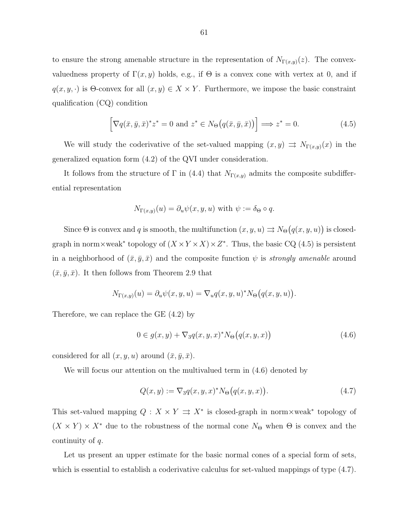to ensure the strong amenable structure in the representation of  $N_{\Gamma(x,y)}(z)$ . The convexvaluedness property of  $\Gamma(x, y)$  holds, e.g., if  $\Theta$  is a convex cone with vertex at 0, and if  $q(x, y, \cdot)$  is Θ-convex for all  $(x, y) \in X \times Y$ . Furthermore, we impose the basic constraint qualification (CQ) condition

$$
\[\nabla q(\bar{x}, \bar{y}, \bar{x})^* z^* = 0 \text{ and } z^* \in N_\Theta(q(\bar{x}, \bar{y}, \bar{x}))\] \Longrightarrow z^* = 0. \tag{4.5}
$$

We will study the coderivative of the set-valued mapping  $(x, y) \implies N_{\Gamma(x,y)}(x)$  in the generalized equation form (4.2) of the QVI under consideration.

It follows from the structure of  $\Gamma$  in (4.4) that  $N_{\Gamma(x,y)}$  admits the composite subdifferential representation

$$
N_{\Gamma(x,y)}(u) = \partial_u \psi(x,y,u) \text{ with } \psi := \delta_{\Theta} \circ q.
$$

Since  $\Theta$  is convex and q is smooth, the multifunction  $(x, y, u) \rightrightarrows N_{\Theta}(q(x, y, u))$  is closedgraph in norm×weak<sup>\*</sup> topology of  $(X \times Y \times X) \times Z^*$ . Thus, the basic CQ (4.5) is persistent in a neighborhood of  $(\bar{x}, \bar{y}, \bar{x})$  and the composite function  $\psi$  is strongly amenable around  $(\bar{x}, \bar{y}, \bar{x})$ . It then follows from Theorem 2.9 that

$$
N_{\Gamma(x,y)}(u) = \partial_u \psi(x,y,u) = \nabla_u q(x,y,u)^* N_{\Theta}(q(x,y,u)).
$$

Therefore, we can replace the GE (4.2) by

$$
0 \in g(x, y) + \nabla_3 q(x, y, x)^* N_\Theta \big( q(x, y, x) \big) \tag{4.6}
$$

considered for all  $(x, y, u)$  around  $(\bar{x}, \bar{y}, \bar{x})$ .

We will focus our attention on the multivalued term in (4.6) denoted by

$$
Q(x,y) := \nabla_3 q(x,y,x)^* N_\Theta \big( q(x,y,x) \big). \tag{4.7}
$$

This set-valued mapping  $Q: X \times Y \Rightarrow X^*$  is closed-graph in norm×weak\* topology of  $(X \times Y) \times X^*$  due to the robustness of the normal cone  $N_{\Theta}$  when  $\Theta$  is convex and the continuity of q.

Let us present an upper estimate for the basic normal cones of a special form of sets, which is essential to establish a coderivative calculus for set-valued mappings of type  $(4.7)$ .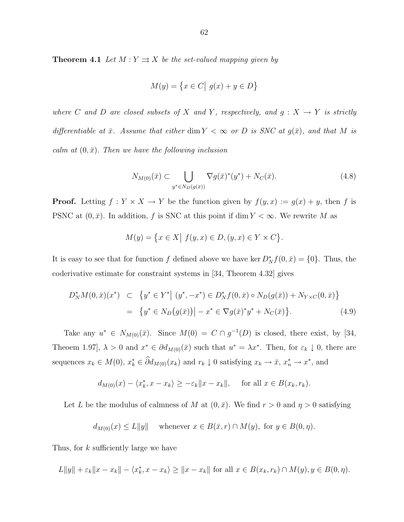**Theorem 4.1** Let  $M: Y \rightrightarrows X$  be the set-valued mapping given by

$$
M(y) = \left\{ x \in C \middle| \ g(x) + y \in D \right\}
$$

where C and D are closed subsets of X and Y, respectively, and  $g: X \to Y$  is strictly differentiable at  $\bar{x}$ . Assume that either dim  $Y < \infty$  or D is SNC at  $g(\bar{x})$ , and that M is calm at  $(0, \bar{x})$ . Then we have the following inclusion

$$
N_{M(0)}(\bar{x}) \subset \bigcup_{y^* \in N_D(g(\bar{x}))} \nabla g(\bar{x})^*(y^*) + N_C(\bar{x}). \tag{4.8}
$$

**Proof.** Letting  $f: Y \times X \to Y$  be the function given by  $f(y, x) := g(x) + y$ , then f is PSNC at  $(0, \bar{x})$ . In addition, f is SNC at this point if dim  $Y < \infty$ . We rewrite M as

$$
M(y) = \{x \in X \mid f(y, x) \in D, (y, x) \in Y \times C\}.
$$

It is easy to see that for function f defined above we have ker  $D_N^* f(0, \bar{x}) = \{0\}$ . Thus, the coderivative estimate for constraint systems in [34, Theorem 4.32] gives

$$
D_N^* M(0, \bar{x}) (x^*) \subset \{ y^* \in Y^* | (y^*, -x^*) \in D_N^* f(0, \bar{x}) \circ N_D(g(\bar{x})) + N_{Y \times C}(0, \bar{x}) \}
$$
  
= 
$$
\{ y^* \in N_D(g(\bar{x})) | -x^* \in \nabla g(\bar{x})^* y^* + N_C(\bar{x}) \}. \tag{4.9}
$$

Take any  $u^* \in N_{M(0)}(\bar{x})$ . Since  $M(0) = C \cap g^{-1}(D)$  is closed, there exist, by [34, Theoem 1.97,  $\lambda > 0$  and  $x^* \in \partial d_{M(0)}(\bar{x})$  such that  $u^* = \lambda x^*$ . Then, for  $\varepsilon_k \downarrow 0$ , there are sequences  $x_k \in M(0)$ ,  $x_k^* \in \partial d_{M(0)}(x_k)$  and  $r_k \downarrow 0$  satisfying  $x_k \to \bar{x}$ ,  $x_n^* \to x^*$ , and

$$
d_{M(0)}(x) - \langle x_k^*, x - x_k \rangle \ge -\varepsilon_k \|x - x_k\|, \quad \text{ for all } x \in B(x_k, r_k).
$$

Let L be the modulus of calmness of M at  $(0, \bar{x})$ . We find  $r > 0$  and  $\eta > 0$  satisfying

$$
d_{M(0)}(x) \le L||y|| \quad \text{ whenever } x \in B(\bar{x}, r) \cap M(y), \text{ for } y \in B(0, \eta).
$$

Thus, for k sufficiently large we have

$$
L||y|| + \varepsilon_k ||x - x_k|| - \langle x_k^*, x - x_k \rangle \ge ||x - x_k|| \text{ for all } x \in B(x_k, r_k) \cap M(y), y \in B(0, \eta).
$$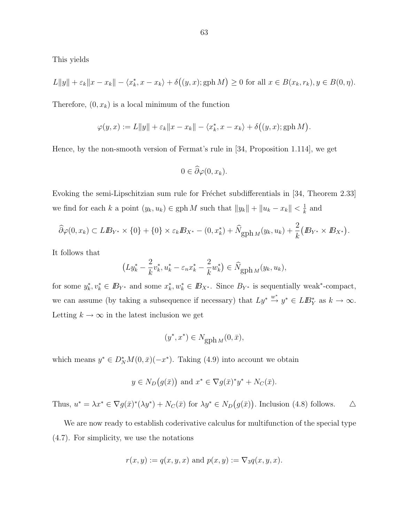This yields

$$
L||y|| + \varepsilon_k ||x - x_k|| - \langle x_k^*, x - x_k \rangle + \delta((y, x); \text{gph } M) \ge 0 \text{ for all } x \in B(x_k, r_k), y \in B(0, \eta).
$$

Therefore,  $(0, x_k)$  is a local minimum of the function

$$
\varphi(y,x) := L||y|| + \varepsilon_k ||x - x_k|| - \langle x_k^*, x - x_k \rangle + \delta((y,x); \text{gph } M).
$$

Hence, by the non-smooth version of Fermat's rule in [34, Proposition 1.114], we get

$$
0\in\widehat{\partial}\varphi(0,x_k).
$$

Evoking the semi-Lipschitzian sum rule for Fréchet subdifferentials in [34, Theorem 2.33] we find for each k a point  $(y_k, u_k) \in \text{gph } M$  such that  $||y_k|| + ||u_k - x_k|| < \frac{1}{k}$  $\frac{1}{k}$  and

$$
\widehat{\partial}\varphi(0,x_k) \subset L\mathbb{B}_{Y^*} \times \{0\} + \{0\} \times \varepsilon_k \mathbb{B}_{X^*} - (0,x_k^*) + \widehat{N}_{\text{gph }M}(y_k,u_k) + \frac{2}{k} (B_{Y^*} \times B_{X^*}).
$$

It follows that

$$
(Ly_k^* - \frac{2}{k}v_k^*, u_k^* - \varepsilon_n x_k^* - \frac{2}{k}w_k^*) \in \widehat{N}_{\text{gph }M}(y_k, u_k),
$$

for some  $y_k^*, v_k^* \in \mathbb{B}_{Y^*}$  and some  $x_k^*, w_k^* \in \mathbb{B}_{X^*}$ . Since  $B_{Y^*}$  is sequentially weak\*-compact, we can assume (by taking a subsequence if necessary) that  $Ly^* \stackrel{w^*}{\to} y^* \in LB_Y^*$  as  $k \to \infty$ . Letting  $k\to\infty$  in the latest inclusion we get

$$
(y^*,x^*)\in N_{\operatorname{gph} M}(0,\bar{x}),
$$

which means  $y^* \in D^*_{N}M(0,\bar{x})(-x^*)$ . Taking (4.9) into account we obtain

$$
y \in N_D(g(\bar{x}))
$$
 and  $x^* \in \nabla g(\bar{x})^* y^* + N_C(\bar{x}).$ 

Thus,  $u^* = \lambda x^* \in \nabla g(\bar{x})^*(\lambda y^*) + N_C(\bar{x})$  for  $\lambda y^* \in N_D(g(\bar{x}))$ . Inclusion (4.8) follows.  $\Delta$ 

We are now ready to establish coderivative calculus for multifunction of the special type (4.7). For simplicity, we use the notations

$$
r(x, y) := q(x, y, x)
$$
 and  $p(x, y) := \nabla_3 q(x, y, x)$ .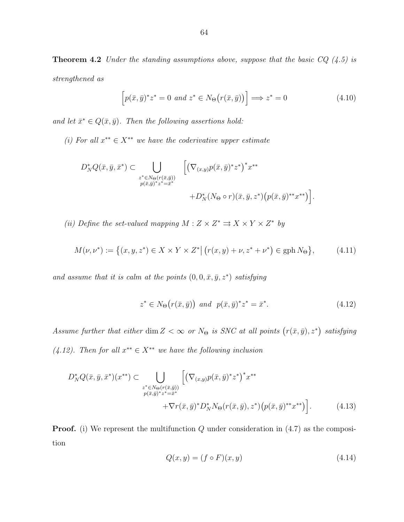**Theorem 4.2** Under the standing assumptions above, suppose that the basic  $CQ$  (4.5) is strengthened as

$$
\[p(\bar{x}, \bar{y})^* z^* = 0 \text{ and } z^* \in N_\Theta(r(\bar{x}, \bar{y}))\] \Longrightarrow z^* = 0 \tag{4.10}
$$

and let  $\bar{x}^* \in Q(\bar{x}, \bar{y})$ . Then the following assertions hold:

(i) For all  $x^{**} \in X^{**}$  we have the coderivative upper estimate

$$
D_N^* Q(\bar{x}, \bar{y}, \bar{x}^*) \subset \bigcup_{\substack{z^* \in N_{\Theta}(r(\bar{x}, \bar{y})) \\ p(\bar{x}, \bar{y})^* z^* = \bar{x}^*}} \left[ \left( \nabla_{(x, y)} p(\bar{x}, \bar{y})^* z^* \right)^* x^{**} + D_N^* (N_{\Theta} \circ r)(\bar{x}, \bar{y}, z^*) \left( p(\bar{x}, \bar{y})^{**} x^{**} \right) \right].
$$

(ii) Define the set-valued mapping  $M: Z \times Z^* \rightrightarrows X \times Y \times Z^*$  by

$$
M(\nu, \nu^*) := \left\{ (x, y, z^*) \in X \times Y \times Z^* \middle| \left( r(x, y) + \nu, z^* + \nu^* \right) \in \text{gph } N_{\Theta} \right\},\tag{4.11}
$$

and assume that it is calm at the points  $(0, 0, \bar{x}, \bar{y}, z^*)$  satisfying

$$
z^* \in N_{\Theta}\big(r(\bar{x}, \bar{y})\big) \quad \text{and} \quad p(\bar{x}, \bar{y})^* z^* = \bar{x}^*.
$$
\n
$$
(4.12)
$$

Assume further that either dim  $Z < \infty$  or  $N_{\Theta}$  is SNC at all points  $(r(\bar{x}, \bar{y}), z^*)$  satisfying (4.12). Then for all  $x^{**} \in X^{**}$  we have the following inclusion

$$
D_N^* Q(\bar{x}, \bar{y}, \bar{x}^*)(x^{**}) \subset \bigcup_{\substack{z^* \in N_{\Theta}(r(\bar{x}, \bar{y})) \\ p(\bar{x}, \bar{y})^* z^* = \bar{x}^*}} \left[ \left( \nabla_{(x, y)} p(\bar{x}, \bar{y})^* z^* \right)^* x^{**} + \nabla r(\bar{x}, \bar{y})^* D_N^* N_{\Theta}(r(\bar{x}, \bar{y}), z^*) \left( p(\bar{x}, \bar{y})^{**} x^{**} \right) \right]. \tag{4.13}
$$

**Proof.** (i) We represent the multifunction  $Q$  under consideration in  $(4.7)$  as the composition

$$
Q(x, y) = (f \circ F)(x, y) \tag{4.14}
$$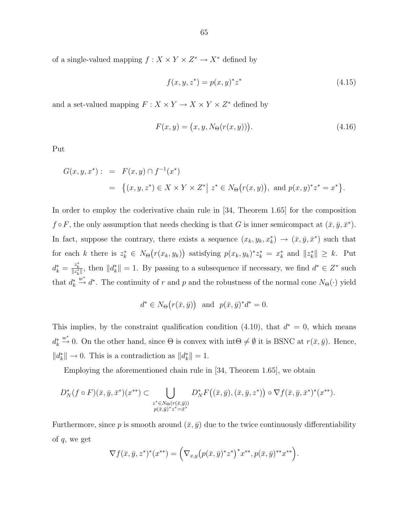of a single-valued mapping  $f: X \times Y \times Z^* \to X^*$  defined by

$$
f(x, y, z^*) = p(x, y)^* z^*
$$
\n(4.15)

and a set-valued mapping  $F: X \times Y \to X \times Y \times Z^*$  defined by

$$
F(x, y) = (x, y, N_{\Theta}(r(x, y))).
$$
\n(4.16)

Put

$$
G(x, y, x^*) := F(x, y) \cap f^{-1}(x^*)
$$
  
= { $(x, y, z^*) \in X \times Y \times Z^* | z^* \in N_{\Theta}(r(x, y)), \text{ and } p(x, y^*) = x^*}.$ 

In order to employ the coderivative chain rule in [34, Theorem 1.65] for the composition  $f \circ F$ , the only assumption that needs checking is that G is inner semicompact at  $(\bar{x}, \bar{y}, \bar{x}^*)$ . In fact, suppose the contrary, there exists a sequence  $(x_k, y_k, x_k^*) \to (\bar{x}, \bar{y}, \bar{x}^*)$  such that for each k there is  $z_k^* \in N_\Theta(r(x_k, y_k))$  satisfying  $p(x_k, y_k)^* z_k^* = x_k^*$  and  $||z_k^*|| \geq k$ . Put  $d_k^* = \frac{z_k^*}{\|z_k^*\|}$ , then  $||d_k^*|| = 1$ . By passing to a subsequence if necessary, we find  $d^* \in Z^*$  such that  $d_k^*$  $\stackrel{w^*}{\rightarrow} d^*$ . The continuity of r and p and the robustness of the normal cone N<sub>Θ</sub>(·) yield

$$
d^* \in N_{\Theta}(r(\bar{x}, \bar{y})) \text{ and } p(\bar{x}, \bar{y})^* d^* = 0.
$$

This implies, by the constraint qualification condition (4.10), that  $d^* = 0$ , which means  $d_k^*$ <sup>w<sup>∗</sup></sup> 0. On the other hand, since Θ is convex with intΘ  $\neq$  Ø it is BSNC at  $r(\bar{x}, \bar{y})$ . Hence,  $||d_k^*|| \to 0$ . This is a contradiction as  $||d_k^*|| = 1$ .

Employing the aforementioned chain rule in [34, Theorem 1.65], we obtain

$$
D_N^*(f \circ F)(\bar{x}, \bar{y}, \bar{x}^*)(x^{**}) \subset \bigcup_{\substack{z^* \in N_{\Theta}(r(\bar{x}, \bar{y})) \\ p(\bar{x}, \bar{y})^* z^* = \bar{x}^*}} D_N^* F((\bar{x}, \bar{y}), (\bar{x}, \bar{y}, z^*)) \circ \nabla f(\bar{x}, \bar{y}, \bar{x}^*)^*(x^{**}).
$$

Furthermore, since p is smooth around  $(\bar{x}, \bar{y})$  due to the twice continuously differentiability of q, we get

$$
\nabla f(\bar{x}, \bar{y}, z^*)^*(x^{**}) = (\nabla_{x,y} (p(\bar{x}, \bar{y})^* z^*)^* x^{**}, p(\bar{x}, \bar{y})^{**} x^{**}).
$$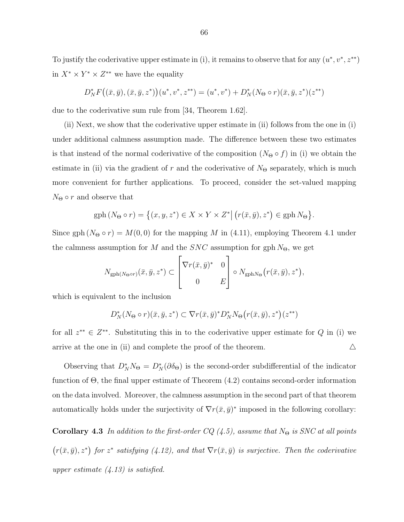To justify the coderivative upper estimate in (i), it remains to observe that for any  $(u^*, v^*, z^{**})$ in  $X^* \times Y^* \times Z^{**}$  we have the equality

$$
D_N^*F((\bar{x}, \bar{y}), (\bar{x}, \bar{y}, z^*)) (u^*, v^*, z^{**}) = (u^*, v^*) + D_N^*(N_{\Theta} \circ r)(\bar{x}, \bar{y}, z^*)(z^{**})
$$

due to the coderivative sum rule from [34, Theorem 1.62].

(ii) Next, we show that the coderivative upper estimate in (ii) follows from the one in (i) under additional calmness assumption made. The difference between these two estimates is that instead of the normal coderivative of the composition  $(N_{\Theta} \circ f)$  in (i) we obtain the estimate in (ii) via the gradient of r and the coderivative of  $N_{\Theta}$  separately, which is much more convenient for further applications. To proceed, consider the set-valued mapping  $N_{\Theta} \circ r$  and observe that

$$
\text{gph}(N_{\Theta} \circ r) = \left\{ (x, y, z^*) \in X \times Y \times Z^* \middle| \left( r(\bar{x}, \bar{y}), z^* \right) \in \text{gph } N_{\Theta} \right\}.
$$

Since gph  $(N_{\Theta} \circ r) = M(0,0)$  for the mapping M in (4.11), employing Theorem 4.1 under the calmness assumption for M and the  $SNC$  assumption for gph  $N_{\Theta}$ , we get

$$
N_{\text{gph}(N_{\Theta}\circ r)}(\bar{x}, \bar{y}, z^*) \subset \begin{bmatrix} \nabla r(\bar{x}, \bar{y})^* & 0 \\ 0 & E \end{bmatrix} \circ N_{\text{gph}N_{\Theta}}(r(\bar{x}, \bar{y}), z^*),
$$

which is equivalent to the inclusion

$$
D_N^*(N_\Theta \circ r)(\bar{x}, \bar{y}, z^*) \subset \nabla r(\bar{x}, \bar{y})^* D_N^* N_\Theta(r(\bar{x}, \bar{y}), z^*)(z^{**})
$$

for all  $z^{**} \in Z^{**}$ . Substituting this in to the coderivative upper estimate for Q in (i) we arrive at the one in (ii) and complete the proof of the theorem.  $\Delta$ 

Observing that  $D_N^* N_{\Theta} = D_N^* (\partial \delta_{\Theta})$  is the second-order subdifferential of the indicator function of Θ, the final upper estimate of Theorem (4.2) contains second-order information on the data involved. Moreover, the calmness assumption in the second part of that theorem automatically holds under the surjectivity of  $\nabla r(\bar{x}, \bar{y})^*$  imposed in the following corollary:

Corollary 4.3 In addition to the first-order  $CQ(4.5)$ , assume that N<sub>Θ</sub> is SNC at all points  $(r(\bar{x}, \bar{y}), z^*)$  for  $z^*$  satisfying (4.12), and that  $\nabla r(\bar{x}, \bar{y})$  is surjective. Then the coderivative upper estimate  $(4.13)$  is satisfied.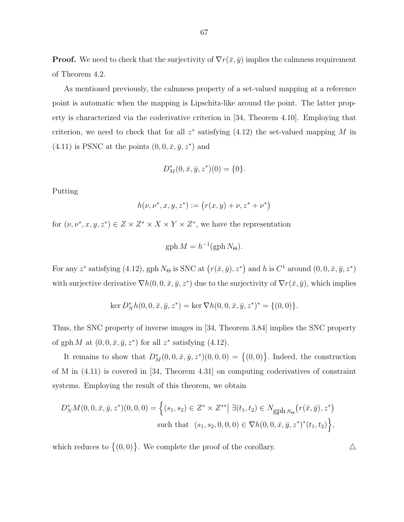**Proof.** We need to check that the surjectivity of  $\nabla r(\bar{x}, \bar{y})$  implies the calmness requirement of Theorem 4.2.

As mentioned previously, the calmness property of a set-valued mapping at a reference point is automatic when the mapping is Lipschitz-like around the point. The latter property is characterized via the coderivative criterion in [34, Theorem 4.10]. Employing that criterion, we need to check that for all  $z^*$  satisfying (4.12) the set-valued mapping M in  $(4.11)$  is PSNC at the points  $(0, 0, \bar{x}, \bar{y}, z^*)$  and

$$
D_M^*(0, \bar{x}, \bar{y}, z^*)(0) = \{0\}.
$$

Putting

$$
h(\nu, \nu^*, x, y, z^*) := (r(x, y) + \nu, z^* + \nu^*)
$$

for  $(\nu, \nu^*, x, y, z^*) \in Z \times Z^* \times X \times Y \times Z^*$ , we have the representation

$$
gph M = h^{-1} (gph N_{\Theta}).
$$

For any z<sup>\*</sup> satisfying (4.12), gph  $N_{\Theta}$  is SNC at  $(r(\bar{x}, \bar{y}), z^*)$  and h is  $C^1$  around  $(0, 0, \bar{x}, \bar{y}, z^*)$ with surjective derivative  $\nabla h(0,0,\bar{x},\bar{y},z^*)$  due to the surjectivity of  $\nabla r(\bar{x},\bar{y})$ , which implies

$$
\ker D_N^*h(0,0,\bar{x},\bar{y},z^*) = \ker \nabla h(0,0,\bar{x},\bar{y},z^*)^* = \{(0,0)\}.
$$

Thus, the SNC property of inverse images in [34, Theorem 3.84] implies the SNC property of gph M at  $(0, 0, \bar{x}, \bar{y}, z^*)$  for all  $z^*$  satisfying  $(4.12)$ .

It remains to show that  $D_M^*(0,0,\bar{x},\bar{y},z^*)(0,0,0) = \{(0,0)\}\.$  Indeed, the construction of M in (4.11) is covered in [34, Theorem 4.31] on computing coderivatives of constraint systems. Employing the result of this theorem, we obtain

$$
D_N^* M(0, 0, \bar{x}, \bar{y}, z^*)(0, 0, 0) = \left\{ (s_1, s_2) \in Z^* \times Z^{**} \middle| \exists (t_1, t_2) \in N_{\text{gph }N_{\Theta}} \big( r(\bar{x}, \bar{y}), z^* \big) \right\}
$$
  
such that  $(s_1, s_2, 0, 0, 0) \in \nabla h(0, 0, \bar{x}, \bar{y}, z^*)^*(t_1, t_2) \right\}$ ,

which reduces to  $\{(0,0)\}$ . We complete the proof of the corollary.  $\triangle$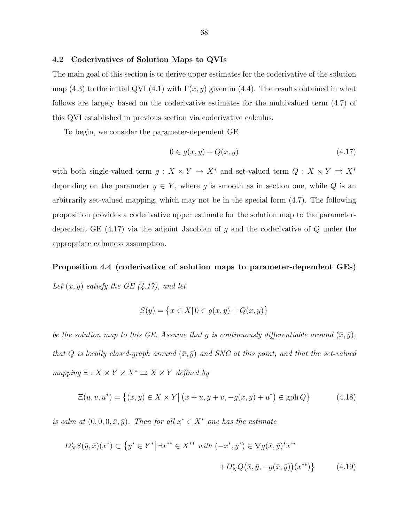#### 4.2 Coderivatives of Solution Maps to QVIs

The main goal of this section is to derive upper estimates for the coderivative of the solution map (4.3) to the initial QVI (4.1) with  $\Gamma(x, y)$  given in (4.4). The results obtained in what follows are largely based on the coderivative estimates for the multivalued term (4.7) of this QVI established in previous section via coderivative calculus.

To begin, we consider the parameter-dependent GE

$$
0 \in g(x, y) + Q(x, y) \tag{4.17}
$$

with both single-valued term  $g: X \times Y \to X^*$  and set-valued term  $Q: X \times Y \rightrightarrows X^*$ depending on the parameter  $y \in Y$ , where g is smooth as in section one, while Q is an arbitrarily set-valued mapping, which may not be in the special form (4.7). The following proposition provides a coderivative upper estimate for the solution map to the parameterdependent GE (4.17) via the adjoint Jacobian of g and the coderivative of Q under the appropriate calmness assumption.

# Proposition 4.4 (coderivative of solution maps to parameter-dependent GEs) Let  $(\bar{x}, \bar{y})$  satisfy the GE  $(4.17)$ , and let

$$
S(y) = \{ x \in X | 0 \in g(x, y) + Q(x, y) \}
$$

be the solution map to this GE. Assume that g is continuously differentiable around  $(\bar{x}, \bar{y})$ , that Q is locally closed-graph around  $(\bar{x}, \bar{y})$  and SNC at this point, and that the set-valued  $mapping \Xi : X \times Y \times X^* \rightrightarrows X \times Y$  defined by

$$
\Xi(u, v, u^*) = \{(x, y) \in X \times Y | (x + u, y + v, -g(x, y) + u^*) \in \text{gph } Q \}
$$
(4.18)

is calm at  $(0,0,0,\bar{x},\bar{y})$ . Then for all  $x^* \in X^*$  one has the estimate

$$
D_N^* S(\bar{y}, \bar{x})(x^*) \subset \{ y^* \in Y^* | \exists x^{**} \in X^{**} \text{ with } (-x^*, y^*) \in \nabla g(\bar{x}, \bar{y})^* x^{**} + D_N^* Q(\bar{x}, \bar{y}, -g(\bar{x}, \bar{y}))(x^{**}) \}
$$
(4.19)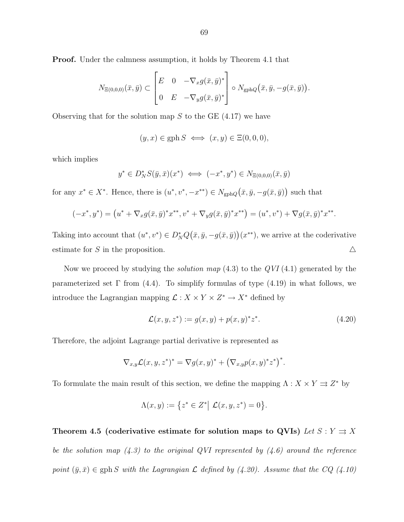Proof. Under the calmness assumption, it holds by Theorem 4.1 that

$$
N_{\Xi(0,0,0)}(\bar{x},\bar{y}) \subset \begin{bmatrix} E & 0 & -\nabla_x g(\bar{x},\bar{y})^* \\ 0 & E & -\nabla_y g(\bar{x},\bar{y})^* \end{bmatrix} \circ N_{\text{gph}Q}(\bar{x},\bar{y},-g(\bar{x},\bar{y})).
$$

Observing that for the solution map  $S$  to the GE  $(4.17)$  we have

$$
(y, x) \in \text{gph}\,S \iff (x, y) \in \Xi(0, 0, 0),
$$

which implies

$$
y^* \in D_N^* S(\bar{y}, \bar{x})(x^*) \iff (-x^*, y^*) \in N_{\Xi(0,0,0)}(\bar{x}, \bar{y})
$$

for any  $x^* \in X^*$ . Hence, there is  $(u^*, v^*, -x^{**}) \in N_{\text{gph}Q}(\bar{x}, \bar{y}, -g(\bar{x}, \bar{y}))$  such that

$$
(-x^*,y^*) = (u^* + \nabla_x g(\bar{x}, \bar{y})^* x^{**}, v^* + \nabla_y g(\bar{x}, \bar{y})^* x^{**}) = (u^*, v^*) + \nabla g(\bar{x}, \bar{y})^* x^{**}.
$$

Taking into account that  $(u^*, v^*) \in D_N^*Q(\bar{x}, \bar{y}, -g(\bar{x}, \bar{y}))(x^{**})$ , we arrive at the coderivative estimate for S in the proposition.  $\Delta$ 

Now we proceed by studying the *solution map*  $(4.3)$  to the  $QVI(4.1)$  generated by the parameterized set  $\Gamma$  from (4.4). To simplify formulas of type (4.19) in what follows, we introduce the Lagrangian mapping  $\mathcal{L}: X \times Y \times Z^* \to X^*$  defined by

$$
\mathcal{L}(x, y, z^*) := g(x, y) + p(x, y)^* z^*.
$$
\n(4.20)

Therefore, the adjoint Lagrange partial derivative is represented as

$$
\nabla_{x,y}\mathcal{L}(x,y,z^*)^* = \nabla g(x,y)^* + \left(\nabla_{x,y}p(x,y)^*z^*\right)^*.
$$

To formulate the main result of this section, we define the mapping  $\Lambda: X \times Y \rightrightarrows Z^*$  by

$$
\Lambda(x, y) := \{ z^* \in Z^* | \mathcal{L}(x, y, z^*) = 0 \}.
$$

Theorem 4.5 (coderivative estimate for solution maps to QVIs) Let  $S: Y \rightrightarrows X$ be the solution map  $(4.3)$  to the original QVI represented by  $(4.6)$  around the reference point  $(\bar{y}, \bar{x}) \in \text{gph } S$  with the Lagrangian  $\mathcal L$  defined by (4.20). Assume that the CQ (4.10)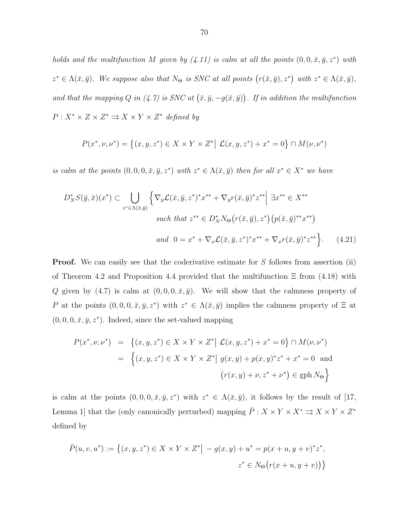holds and the multifunction M given by  $(4.11)$  is calm at all the points  $(0,0,\bar{x},\bar{y},z^*)$  with  $z^* \in \Lambda(\bar{x}, \bar{y})$ . We suppose also that  $N_{\Theta}$  is SNC at all points  $(r(\bar{x}, \bar{y}), z^*)$  with  $z^* \in \Lambda(\bar{x}, \bar{y}),$ and that the mapping Q in (4.7) is SNC at  $(\bar{x}, \bar{y}, -g(\bar{x}, \bar{y}))$ . If in addition the multifunction  $P: X^* \times Z \times Z^* \rightrightarrows X \times Y \times Z^*$  defined by

$$
P(x^*, \nu, \nu^*) = \{(x, y, z^*) \in X \times Y \times Z^* \mid \mathcal{L}(x, y, z^*) + x^* = 0\} \cap M(\nu, \nu^*)
$$

is calm at the points  $(0,0,0,\bar{x},\bar{y},z^*)$  with  $z^* \in \Lambda(\bar{x},\bar{y})$  then for all  $x^* \in X^*$  we have

$$
D_N^* S(\bar{y}, \bar{x})(x^*) \subset \bigcup_{z^* \in \Lambda(\bar{x}, \bar{y})} \left\{ \nabla_y \mathcal{L}(\bar{x}, \bar{y}, z^*)^* x^{**} + \nabla_y r(\bar{x}, \bar{y})^* z^{**} \middle| \exists x^{**} \in X^{**} \right\} \nsuch that  $z^{**} \in D_N^* N_\Theta(r(\bar{x}, \bar{y}), z^*) \left( p(\bar{x}, \bar{y})^{**} x^{**} \right)$   
\nand  $0 = x^* + \nabla_x \mathcal{L}(\bar{x}, \bar{y}, z^*)^* x^{**} + \nabla_x r(\bar{x}, \bar{y})^* z^{**} \right\}.$  (4.21)
$$

**Proof.** We can easily see that the coderivative estimate for S follows from assertion (ii) of Theorem 4.2 and Proposition 4.4 provided that the multifunction  $\Xi$  from (4.18) with Q given by (4.7) is calm at  $(0, 0, 0, \bar{x}, \bar{y})$ . We will show that the calmness property of P at the points  $(0,0,0,\bar{x},\bar{y},z^*)$  with  $z^* \in \Lambda(\bar{x},\bar{y})$  implies the calmness property of  $\Xi$  at  $(0, 0, 0, \bar{x}, \bar{y}, z^*)$ . Indeed, since the set-valued mapping

$$
P(x^*, \nu, \nu^*) = \{(x, y, z^*) \in X \times Y \times Z^* | \mathcal{L}(x, y, z^*) + x^* = 0\} \cap M(\nu, \nu^*)
$$
  
=  $\{(x, y, z^*) \in X \times Y \times Z^* | g(x, y) + p(x, y)^* z^* + x^* = 0 \text{ and } (r(x, y) + \nu, z^* + \nu^*) \in \text{gph } N_{\Theta}\}$ 

is calm at the points  $(0,0,0,\bar{x},\bar{y},z^*)$  with  $z^* \in \Lambda(\bar{x},\bar{y})$ , it follows by the result of [17, Lemma 1] that the (only canonically perturbed) mapping  $\overline{P}$  :  $X \times Y \times X^* \rightrightarrows X \times Y \times Z^*$ defined by

$$
\bar{P}(u, v, u^*) := \{(x, y, z^*) \in X \times Y \times Z^* | -g(x, y) + u^* = p(x + u, y + v)^* z^*,
$$
  

$$
z^* \in N_{\Theta}(r(x + u, y + v))\}
$$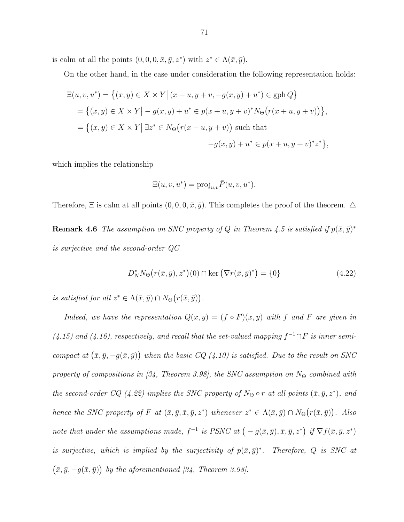is calm at all the points  $(0,0,0,\bar{x},\bar{y},z^*)$  with  $z^* \in \Lambda(\bar{x},\bar{y})$ .

On the other hand, in the case under consideration the following representation holds:

$$
\begin{aligned} \Xi(u, v, u^*) &= \left\{ (x, y) \in X \times Y \, \middle| \, (x + u, y + v, -g(x, y) + u^*) \in \text{gph } Q \right\} \\ &= \left\{ (x, y) \in X \times Y \, \middle| \, -g(x, y) + u^* \in p(x + u, y + v)^* N_\Theta \big( r(x + u, y + v) \big) \right\}, \\ &= \left\{ (x, y) \in X \times Y \, \middle| \, \exists z^* \in N_\Theta \big( r(x + u, y + v) \big) \text{ such that } \\ &\quad -g(x, y) + u^* \in p(x + u, y + v)^* z^* \right\}, \end{aligned}
$$

which implies the relationship

$$
\Xi(u, v, u^*) = \text{proj}_{u,v} \overline{P}(u, v, u^*).
$$

Therefore,  $\Xi$  is calm at all points  $(0, 0, 0, \bar{x}, \bar{y})$ . This completes the proof of the theorem.  $\Delta$ 

**Remark 4.6** The assumption on SNC property of Q in Theorem 4.5 is satisfied if  $p(\bar{x}, \bar{y})^*$ is surjective and the second-order QC

$$
D_N^* N_{\Theta} (r(\bar{x}, \bar{y}), z^*)(0) \cap \ker (\nabla r(\bar{x}, \bar{y})^*) = \{0\}
$$
 (4.22)

is satisfied for all  $z^* \in \Lambda(\bar{x}, \bar{y}) \cap N_{\Theta}(r(\bar{x}, \bar{y}))$ .

Indeed, we have the representation  $Q(x, y) = (f \circ F)(x, y)$  with f and F are given in  $(4.15)$  and  $(4.16)$ , respectively, and recall that the set-valued mapping  $f^{-1}\cap F$  is inner semicompact at  $(\bar{x}, \bar{y}, -g(\bar{x}, \bar{y}))$  when the basic CQ (4.10) is satisfied. Due to the result on SNC property of compositions in [34, Theorem 3.98], the SNC assumption on  $N_{\Theta}$  combined with the second-order CQ (4.22) implies the SNC property of  $N_{\Theta} \circ r$  at all points  $(\bar{x}, \bar{y}, z^*)$ , and hence the SNC property of F at  $(\bar{x}, \bar{y}, \bar{x}, \bar{y}, z^*)$  whenever  $z^* \in \Lambda(\bar{x}, \bar{y}) \cap N_{\Theta}(r(\bar{x}, \bar{y}))$ . Also note that under the assumptions made,  $f^{-1}$  is PSNC at  $(-g(\bar{x}, \bar{y}), \bar{x}, \bar{y}, z^*)$  if  $\nabla f(\bar{x}, \bar{y}, z^*)$ is surjective, which is implied by the surjectivity of  $p(\bar{x}, \bar{y})^*$ . Therefore, Q is SNC at  $(\bar{x}, \bar{y}, -g(\bar{x}, \bar{y}))$  by the aforementioned [34, Theorem 3.98].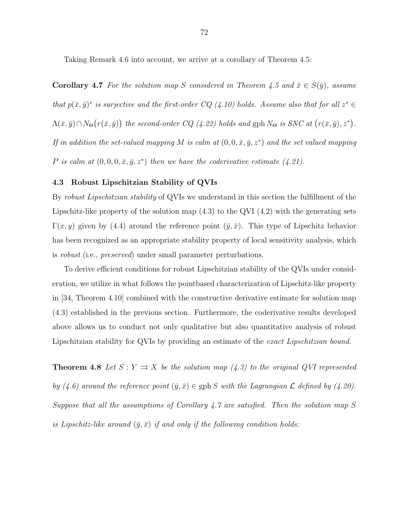Taking Remark 4.6 into account, we arrive at a corollary of Theorem 4.5:

**Corollary 4.7** For the solution map S considered in Theorem 4.5 and  $\bar{x} \in S(\bar{y})$ , assume that  $p(\bar{x}, \bar{y})^*$  is surjective and the first-order CQ (4.10) holds. Assume also that for all  $z^* \in$  $\Lambda(\bar{x},\bar{y})\cap N_{\Theta}\big(r(\bar{x},\bar{y})\big)$  the second-order CQ (4.22) holds and gph  $N_{\Theta}$  is SNC at  $\big(r(\bar{x},\bar{y}),z^*\big)$ . If in addition the set-valued mapping M is calm at  $(0, 0, \bar{x}, \bar{y}, z^*)$  and the set valued mapping P is calm at  $(0,0,0,\bar{x},\bar{y},z^*)$  then we have the coderivative estimate  $(4.21)$ .

### 4.3 Robust Lipschitzian Stability of QVIs

By robust Lipschitzian stability of QVIs we understand in this section the fulfillment of the Lipschitz-like property of the solution map  $(4.3)$  to the QVI  $(4.2)$  with the generating sets  $\Gamma(x, y)$  given by (4.4) around the reference point  $(\bar{y}, \bar{x})$ . This type of Lipschitz behavior has been recognized as an appropriate stability property of local sensitivity analysis, which is robust (i.e., preserved) under small parameter perturbations.

To derive efficient conditions for robust Lipschitzian stability of the QVIs under consideration, we utilize in what follows the pointbased characterization of Lipschitz-like property in [34, Theorem 4.10] combined with the constructive derivative estimate for solution map (4.3) established in the previous section. Furthermore, the coderivative results developed above allows us to conduct not only qualitative but also quantitative analysis of robust Lipschitzian stability for QVIs by providing an estimate of the exact Lipschitzian bound.

**Theorem 4.8** Let  $S: Y \rightrightarrows X$  be the solution map (4.3) to the original QVI represented by (4.6) around the reference point  $(\bar{y}, \bar{x}) \in \text{gph } S$  with the Lagrangian  $\mathcal L$  defined by (4.20). Suppose that all the assumptions of Corollary 4.7 are satisfied. Then the solution map S is Lipschitz-like around  $(\bar{y}, \bar{x})$  if and only if the following condition holds: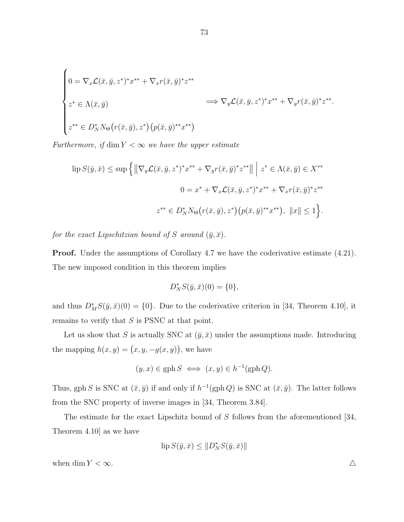$$
\begin{cases}\n0 = \nabla_x \mathcal{L}(\bar{x}, \bar{y}, z^*)^* x^{**} + \nabla_x r(\bar{x}, \bar{y})^* z^{**} \\
z^* \in \Lambda(\bar{x}, \bar{y}) \\
z^{**} \in D_N^* N_\Theta(r(\bar{x}, \bar{y}), z^*) \big( p(\bar{x}, \bar{y})^{**} x^{**} \big) \\
\end{cases} \implies \nabla_y \mathcal{L}(\bar{x}, \bar{y}, z^*)^* x^{**} + \nabla_y r(\bar{x}, \bar{y})^* z^{**}.
$$

Furthermore, if  $\dim Y < \infty$  we have the upper estimate

$$
\text{lip } S(\bar{y}, \bar{x}) \le \sup \left\{ \left\| \nabla_y \mathcal{L}(\bar{x}, \bar{y}, z^*)^* x^{**} + \nabla_y r(\bar{x}, \bar{y})^* z^{**} \right\| \, \middle| \, z^* \in \Lambda(\bar{x}, \bar{y}) \in X^{**} \right\}
$$
\n
$$
0 = x^* + \nabla_x \mathcal{L}(\bar{x}, \bar{y}, z^*)^* x^{**} + \nabla_x r(\bar{x}, \bar{y})^* z^{**}
$$
\n
$$
z^{**} \in D_N^* N_\Theta \big( r(\bar{x}, \bar{y}), z^* \big) \big( p(\bar{x}, \bar{y})^{**} x^{**} \big), \, \|x\| \le 1 \Big\}.
$$

for the exact Lipschitzian bound of S around  $(\bar{y}, \bar{x})$ .

**Proof.** Under the assumptions of Corollary 4.7 we have the coderivative estimate  $(4.21)$ . The new imposed condition in this theorem implies

$$
D_N^* S(\bar{y}, \bar{x})(0) = \{0\},\,
$$

and thus  $D_M^*S(\bar{y},\bar{x})(0) = \{0\}$ . Due to the coderivative criterion in [34, Theorem 4.10], it remains to verify that  $S$  is PSNC at that point.

Let us show that S is actually SNC at  $(\bar{y}, \bar{x})$  under the assumptions made. Introducing the mapping  $h(x, y) = (x, y, -g(x, y))$ , we have

$$
(y, x) \in \text{gph } S \iff (x, y) \in h^{-1}(\text{gph } Q).
$$

Thus, gph S is SNC at  $(\bar{x}, \bar{y})$  if and only if  $h^{-1}(\text{gph }Q)$  is SNC at  $(\bar{x}, \bar{y})$ . The latter follows from the SNC property of inverse images in [34, Theorem 3.84].

The estimate for the exact Lipschitz bound of S follows from the aforementioned [34, Theorem 4.10] as we have

$$
\mathrm{lip}\,S(\bar{y},\bar{x})\leq \|D_N^*S(\bar{y},\bar{x})\|
$$

when dim  $Y < \infty$ .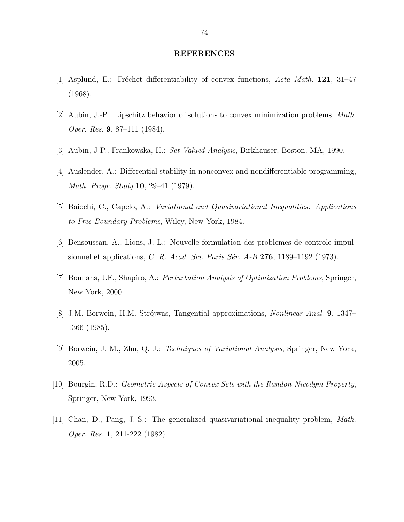### REFERENCES

- [1] Asplund, E.: Fréchet differentiability of convex functions, Acta Math. 121, 31–47 (1968).
- [2] Aubin, J.-P.: Lipschitz behavior of solutions to convex minimization problems, Math. Oper. Res. 9, 87–111 (1984).
- [3] Aubin, J-P., Frankowska, H.: Set-Valued Analysis, Birkhauser, Boston, MA, 1990.
- [4] Auslender, A.: Differential stability in nonconvex and nondifferentiable programming, Math. Progr. Study 10, 29–41 (1979).
- [5] Baiochi, C., Capelo, A.: Variational and Quasivariational Inequalities: Applications to Free Boundary Problems, Wiley, New York, 1984.
- [6] Bensoussan, A., Lions, J. L.: Nouvelle formulation des problemes de controle impulsionnel et applications, C. R. Acad. Sci. Paris Sér. A-B  $276$ , 1189–1192 (1973).
- [7] Bonnans, J.F., Shapiro, A.: Perturbation Analysis of Optimization Problems, Springer, New York, 2000.
- [8] J.M. Borwein, H.M. Strójwas, Tangential approximations, *Nonlinear Anal.* 9, 1347– 1366 (1985).
- [9] Borwein, J. M., Zhu, Q. J.: Techniques of Variational Analysis, Springer, New York, 2005.
- [10] Bourgin, R.D.: Geometric Aspects of Convex Sets with the Randon-Nicodym Property, Springer, New York, 1993.
- [11] Chan, D., Pang, J.-S.: The generalized quasivariational inequality problem, Math. Oper. Res. 1, 211-222 (1982).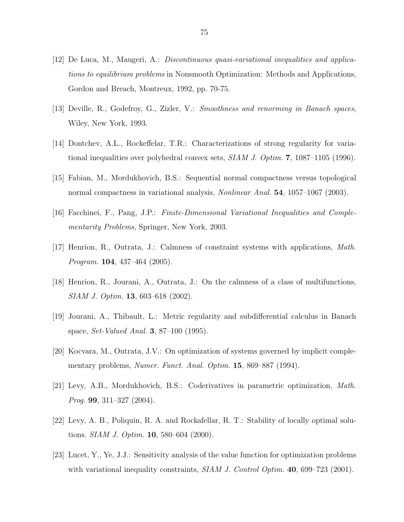- [12] De Luca, M., Maugeri, A.: Discontinuous quasi-variational inequalities and applications to equilibrium problems in Nonsmooth Optimization: Methods and Applications, Gordon and Breach, Montreux, 1992, pp. 70-75.
- [13] Deville, R., Godefroy, G., Zizler, V.: Smoothness and renorming in Banach spaces, Wiley, New York, 1993.
- [14] Dontchev, A.L., Rockeffelar, T.R.: Characterizations of strong regularity for variational inequalities over polyhedral convex sets, *SIAM J. Optim.* **7**, 1087–1105 (1996).
- [15] Fabian, M., Mordukhovich, B.S.: Sequential normal compactness versus topological normal compactness in variational analysis, Nonlinear Anal. 54, 1057–1067 (2003).
- [16] Facchinei, F., Pang, J.P.: Finite-Dimensional Variational Inequalities and Complementarity Problems, Springer, New York, 2003.
- [17] Henrion, R., Outrata, J.: Calmness of constraint systems with applications, Math. Program. 104, 437–464 (2005).
- [18] Henrion, R., Jourani, A., Outrata, J.: On the calmness of a class of multifunctions, SIAM J. Optim. 13, 603–618 (2002).
- [19] Jourani, A., Thibault, L.: Metric regularity and subdifferential calculus in Banach space, Set-Valued Anal. 3, 87–100 (1995).
- [20] Kocvara, M., Outrata, J.V.: On optimization of systems governed by implicit complementary problems, Numer. Funct. Anal. Optim. **15**, 869–887 (1994).
- [21] Levy, A.B., Mordukhovich, B.S.: Coderivatives in parametric optimization, Math. *Prog.* **99**, 311–327 (2004).
- [22] Levy, A. B., Poliquin, R. A. and Rockafellar, R. T.: Stability of locally optimal solutions. SIAM J. Optim. 10, 580–604 (2000).
- [23] Lucet, Y., Ye, J.J.: Sensitivity analysis of the value function for optimization problems with variational inequality constraints,  $SIAM$  J. Control Optim. 40, 699–723 (2001).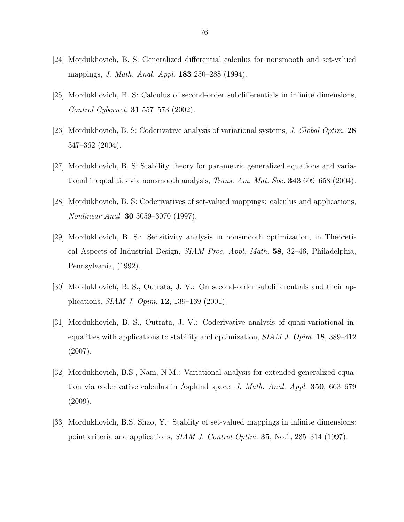- [24] Mordukhovich, B. S: Generalized differential calculus for nonsmooth and set-valued mappings, *J. Math. Anal. Appl.* **183** 250–288 (1994).
- [25] Mordukhovich, B. S: Calculus of second-order subdifferentials in infinite dimensions, Control Cybernet. 31 557–573 (2002).
- [26] Mordukhovich, B. S: Coderivative analysis of variational systems, J. Global Optim. 28 347–362 (2004).
- [27] Mordukhovich, B. S: Stability theory for parametric generalized equations and variational inequalities via nonsmooth analysis, *Trans. Am. Mat. Soc.* **343** 609–658 (2004).
- [28] Mordukhovich, B. S: Coderivatives of set-valued mappings: calculus and applications, Nonlinear Anal. 30 3059–3070 (1997).
- [29] Mordukhovich, B. S.: Sensitivity analysis in nonsmooth optimization, in Theoretical Aspects of Industrial Design, SIAM Proc. Appl. Math. 58, 32–46, Philadelphia, Pennsylvania, (1992).
- [30] Mordukhovich, B. S., Outrata, J. V.: On second-order subdifferentials and their applications. SIAM J. Opim. 12, 139–169 (2001).
- [31] Mordukhovich, B. S., Outrata, J. V.: Coderivative analysis of quasi-variational inequalities with applications to stability and optimization,  $SIAM J.$  Opim. **18**, 389–412 (2007).
- [32] Mordukhovich, B.S., Nam, N.M.: Variational analysis for extended generalized equation via coderivative calculus in Asplund space, J. Math. Anal. Appl. 350, 663–679 (2009).
- [33] Mordukhovich, B.S, Shao, Y.: Stablity of set-valued mappings in infinite dimensions: point criteria and applications, SIAM J. Control Optim. 35, No.1, 285–314 (1997).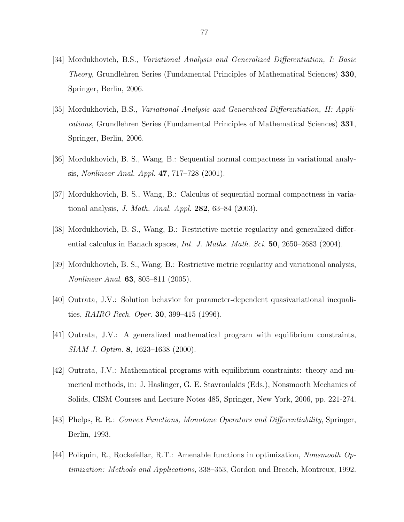- [34] Mordukhovich, B.S., Variational Analysis and Generalized Differentiation, I: Basic Theory, Grundlehren Series (Fundamental Principles of Mathematical Sciences) 330, Springer, Berlin, 2006.
- [35] Mordukhovich, B.S., Variational Analysis and Generalized Differentiation, II: Applications, Grundlehren Series (Fundamental Principles of Mathematical Sciences) 331, Springer, Berlin, 2006.
- [36] Mordukhovich, B. S., Wang, B.: Sequential normal compactness in variational analysis, Nonlinear Anal. Appl. 47, 717–728 (2001).
- [37] Mordukhovich, B. S., Wang, B.: Calculus of sequential normal compactness in variational analysis, *J. Math. Anal. Appl.* **282**,  $63-84$  (2003).
- [38] Mordukhovich, B. S., Wang, B.: Restrictive metric regularity and generalized differential calculus in Banach spaces, *Int. J. Maths. Math. Sci.* 50, 2650–2683 (2004).
- [39] Mordukhovich, B. S., Wang, B.: Restrictive metric regularity and variational analysis, *Nonlinear Anal.* **63**, 805–811 (2005).
- [40] Outrata, J.V.: Solution behavior for parameter-dependent quasivariational inequalities, *RAIRO Rech. Oper.* **30**, 399–415 (1996).
- [41] Outrata, J.V.: A generalized mathematical program with equilibrium constraints, SIAM J. Optim. 8, 1623–1638 (2000).
- [42] Outrata, J.V.: Mathematical programs with equilibrium constraints: theory and numerical methods, in: J. Haslinger, G. E. Stavroulakis (Eds.), Nonsmooth Mechanics of Solids, CISM Courses and Lecture Notes 485, Springer, New York, 2006, pp. 221-274.
- [43] Phelps, R. R.: Convex Functions, Monotone Operators and Differentiability, Springer, Berlin, 1993.
- [44] Poliquin, R., Rockefellar, R.T.: Amenable functions in optimization, Nonsmooth Optimization: Methods and Applications, 338–353, Gordon and Breach, Montreux, 1992.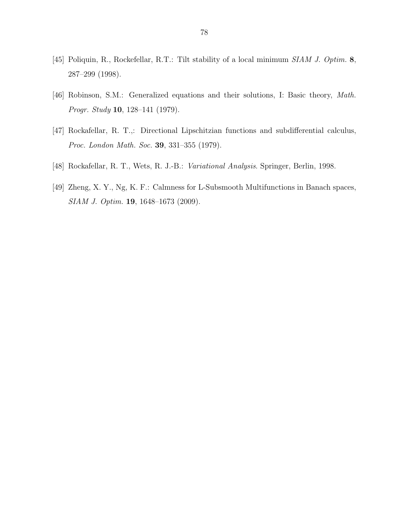- [45] Poliquin, R., Rockefellar, R.T.: Tilt stability of a local minimum SIAM J. Optim. 8, 287–299 (1998).
- [46] Robinson, S.M.: Generalized equations and their solutions, I: Basic theory, Math. Progr. Study 10, 128–141 (1979).
- [47] Rockafellar, R. T.,: Directional Lipschitzian functions and subdifferential calculus, Proc. London Math. Soc. 39, 331–355 (1979).
- [48] Rockafellar, R. T., Wets, R. J.-B.: Variational Analysis. Springer, Berlin, 1998.
- [49] Zheng, X. Y., Ng, K. F.: Calmness for L-Subsmooth Multifunctions in Banach spaces, SIAM J. Optim. 19, 1648–1673 (2009).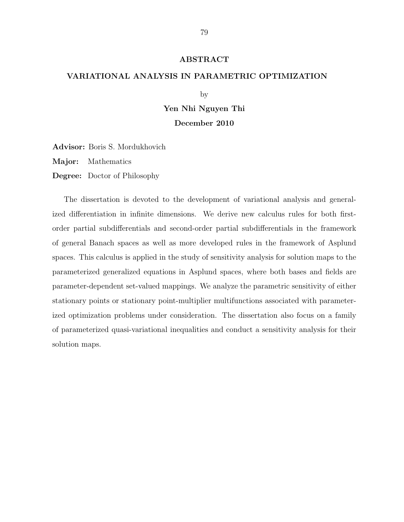### ABSTRACT

### VARIATIONAL ANALYSIS IN PARAMETRIC OPTIMIZATION

by

# Yen Nhi Nguyen Thi December 2010

Advisor: Boris S. Mordukhovich

Major: Mathematics

Degree: Doctor of Philosophy

The dissertation is devoted to the development of variational analysis and generalized differentiation in infinite dimensions. We derive new calculus rules for both firstorder partial subdifferentials and second-order partial subdifferentials in the framework of general Banach spaces as well as more developed rules in the framework of Asplund spaces. This calculus is applied in the study of sensitivity analysis for solution maps to the parameterized generalized equations in Asplund spaces, where both bases and fields are parameter-dependent set-valued mappings. We analyze the parametric sensitivity of either stationary points or stationary point-multiplier multifunctions associated with parameterized optimization problems under consideration. The dissertation also focus on a family of parameterized quasi-variational inequalities and conduct a sensitivity analysis for their solution maps.